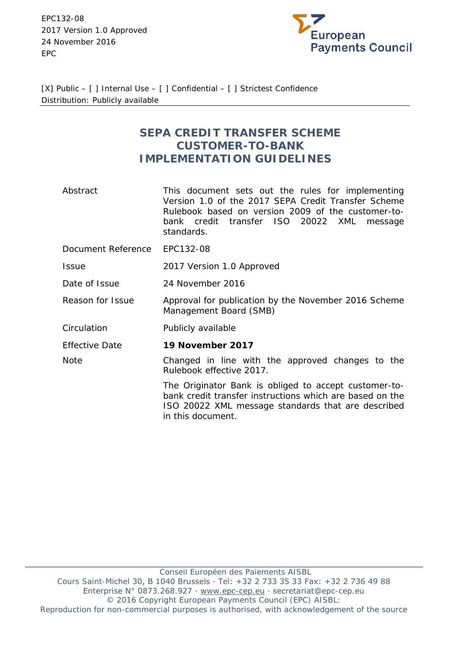EPC132-08 2017 Version 1.0 Approved 24 November 2016 EPC



[X] Public – [ ] Internal Use – [ ] Confidential – [ ] Strictest Confidence Distribution: Publicly available

# **SEPA CREDIT TRANSFER SCHEME CUSTOMER-TO-BANK IMPLEMENTATION GUIDELINES**

- Abstract This document sets out the rules for implementing Version 1.0 of the 2017 SEPA Credit Transfer Scheme Rulebook based on version 2009 of the customer-tobank credit transfer ISO 20022 XML message standards.
- Document Reference EPC132-08
- Issue 2017 Version 1.0 Approved
- Date of Issue 24 November 2016
- Reason for Issue Approval for publication by the November 2016 Scheme Management Board (SMB)
- Circulation Publicly available

**Note** 

Effective Date **19 November 2017**

> Changed in line with the approved changes to the Rulebook effective 2017.

> > The Originator Bank is obliged to accept customer-tobank credit transfer instructions which are based on the ISO 20022 XML message standards that are described in this document.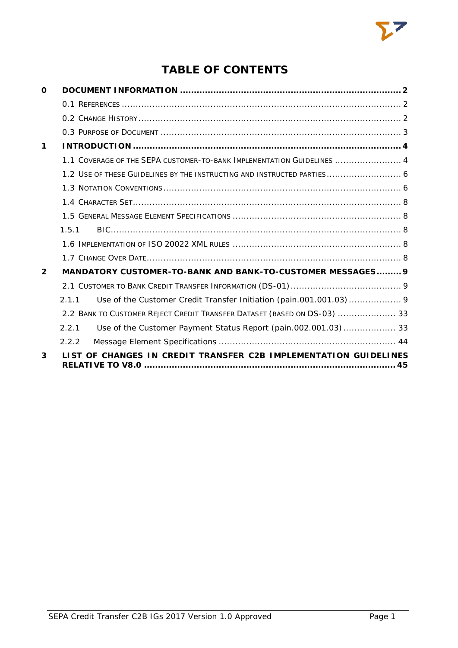

# **TABLE OF CONTENTS**

| O            |                                                                          |  |
|--------------|--------------------------------------------------------------------------|--|
|              |                                                                          |  |
|              |                                                                          |  |
|              |                                                                          |  |
| 1            |                                                                          |  |
|              | 1.1 COVERAGE OF THE SEPA CUSTOMER-TO-BANK IMPLEMENTATION GUIDELINES  4   |  |
|              | 1.2 USE OF THESE GUIDELINES BY THE INSTRUCTING AND INSTRUCTED PARTIES 6  |  |
|              |                                                                          |  |
|              |                                                                          |  |
|              |                                                                          |  |
|              | 1.5.1                                                                    |  |
|              |                                                                          |  |
|              |                                                                          |  |
| $\mathbf{2}$ | MANDATORY CUSTOMER-TO-BANK AND BANK-TO-CUSTOMER MESSAGES 9               |  |
|              |                                                                          |  |
|              | 211                                                                      |  |
|              | 2.2 BANK TO CUSTOMER REJECT CREDIT TRANSFER DATASET (BASED ON DS-03)  33 |  |
|              | Use of the Customer Payment Status Report (pain.002.001.03) 33<br>2.2.1  |  |
|              | 2.2.2                                                                    |  |
| 3            | LIST OF CHANGES IN CREDIT TRANSFER C2B IMPLEMENTATION GUIDELINES         |  |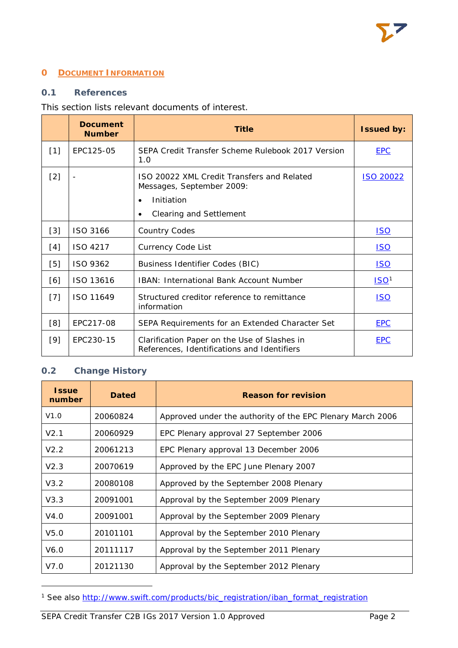# <span id="page-2-0"></span>**0 DOCUMENT INFORMATION**

# <span id="page-2-1"></span>**0.1 References**

# This section lists relevant documents of interest.

|       | <b>Document</b><br><b>Number</b> | <b>Title</b>                                                                                       | <b>Issued by:</b> |
|-------|----------------------------------|----------------------------------------------------------------------------------------------------|-------------------|
| $[1]$ | EPC125-05                        | SEPA Credit Transfer Scheme Rulebook 2017 Version<br>1.0                                           | <b>EPC</b>        |
| $[2]$ | $\overline{\phantom{a}}$         | ISO 20022 XML Credit Transfers and Related<br>Messages, September 2009:<br>Initiation<br>$\bullet$ | <b>ISO 20022</b>  |
|       |                                  | <b>Clearing and Settlement</b><br>$\bullet$                                                        |                   |
| $[3]$ | ISO 3166                         | <b>Country Codes</b>                                                                               | <u>ISO</u>        |
| [4]   | ISO 4217                         | <b>Currency Code List</b>                                                                          | <u>ISO</u>        |
| [5]   | ISO 9362                         | <b>Business Identifier Codes (BIC)</b>                                                             | <u>ISO</u>        |
| [6]   | ISO 13616                        | <b>IBAN: International Bank Account Number</b>                                                     | ISO <sup>1</sup>  |
| $[7]$ | ISO 11649                        | Structured creditor reference to remittance<br>information                                         | <b>ISO</b>        |
| [8]   | EPC217-08                        | SEPA Requirements for an Extended Character Set                                                    | <b>EPC</b>        |
| $[9]$ | EPC230-15                        | Clarification Paper on the Use of Slashes in<br>References, Identifications and Identifiers        | <b>EPC</b>        |

# <span id="page-2-2"></span>**0.2 Change History**

1

| <b>Issue</b><br>number | <b>Dated</b> | <b>Reason for revision</b>                                 |  |
|------------------------|--------------|------------------------------------------------------------|--|
| V1.0                   | 20060824     | Approved under the authority of the EPC Plenary March 2006 |  |
| V2.1                   | 20060929     | EPC Plenary approval 27 September 2006                     |  |
| V2.2                   | 20061213     | EPC Plenary approval 13 December 2006                      |  |
| V2.3                   | 20070619     | Approved by the EPC June Plenary 2007                      |  |
| V3.2                   | 20080108     | Approved by the September 2008 Plenary                     |  |
| V3.3                   | 20091001     | Approval by the September 2009 Plenary                     |  |
| V4.0                   | 20091001     | Approval by the September 2009 Plenary                     |  |
| V5.0                   | 20101101     | Approval by the September 2010 Plenary                     |  |
| V6.0                   | 20111117     | Approval by the September 2011 Plenary                     |  |
| V7.0                   | 20121130     | Approval by the September 2012 Plenary                     |  |

<span id="page-2-3"></span><sup>&</sup>lt;sup>1</sup> See also [http://www.swift.com/products/bic\\_registration/iban\\_format\\_registration](http://www.swift.com/products/bic_registration/iban_format_registration)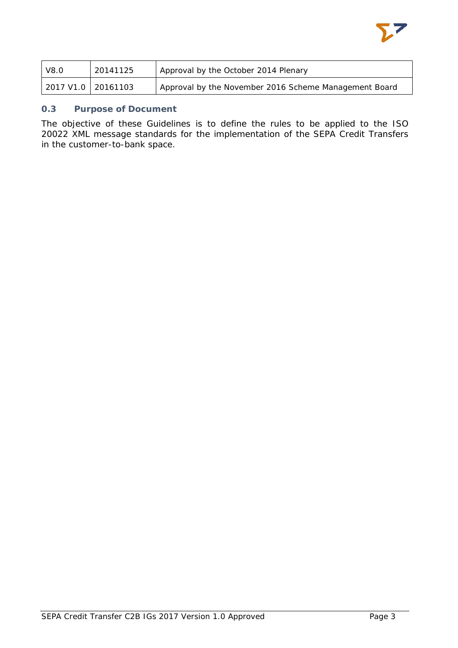

| V8.0                 | 20141125 | Approval by the October 2014 Plenary                  |
|----------------------|----------|-------------------------------------------------------|
| 2017 V1.0   20161103 |          | Approval by the November 2016 Scheme Management Board |

### <span id="page-3-0"></span>**0.3 Purpose of Document**

The objective of these Guidelines is to define the rules to be applied to the ISO 20022 XML message standards for the implementation of the SEPA Credit Transfers in the customer-to-bank space.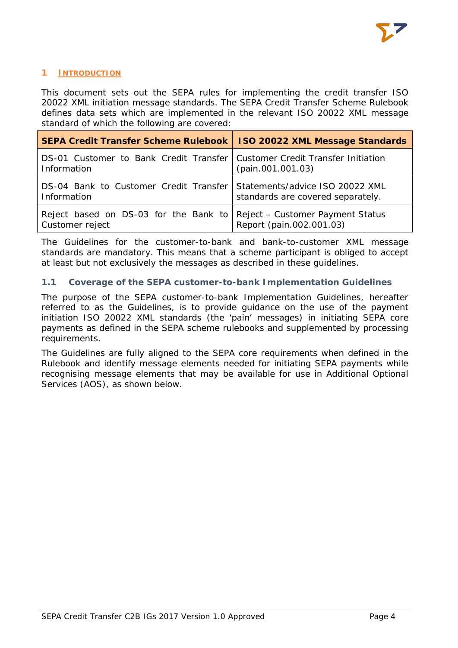# <span id="page-4-0"></span>**1 INTRODUCTION**

This document sets out the SEPA rules for implementing the credit transfer ISO 20022 XML initiation message standards. The SEPA Credit Transfer Scheme Rulebook defines data sets which are implemented in the relevant ISO 20022 XML message standard of which the following are covered:

| SEPA Credit Transfer Scheme Rulebook   ISO 20022 XML Message Standards                      |                                   |
|---------------------------------------------------------------------------------------------|-----------------------------------|
| DS-01 Customer to Bank Credit Transfer   Customer Credit Transfer Initiation<br>Information | (pain.001.001.03)                 |
| DS-04 Bank to Customer Credit Transfer Statements/advice ISO 20022 XML<br>Information       | standards are covered separately. |
| Reject based on DS-03 for the Bank to Reject - Customer Payment Status<br>Customer reject   | Report (pain.002.001.03)          |

The Guidelines for the customer-to-bank and bank-to-customer XML message standards are mandatory. This means that a scheme participant is obliged to accept at least but not exclusively the messages as described in these guidelines.

# <span id="page-4-1"></span>**1.1 Coverage of the SEPA customer-to-bank Implementation Guidelines**

The purpose of the SEPA customer-to-bank Implementation Guidelines, hereafter referred to as the Guidelines, is to provide guidance on the use of the payment initiation ISO 20022 XML standards (the 'pain' messages) in initiating SEPA core payments as defined in the SEPA scheme rulebooks and supplemented by processing requirements.

The Guidelines are fully aligned to the SEPA core requirements when defined in the Rulebook and identify message elements needed for initiating SEPA payments while recognising message elements that may be available for use in Additional Optional Services (AOS), as shown below.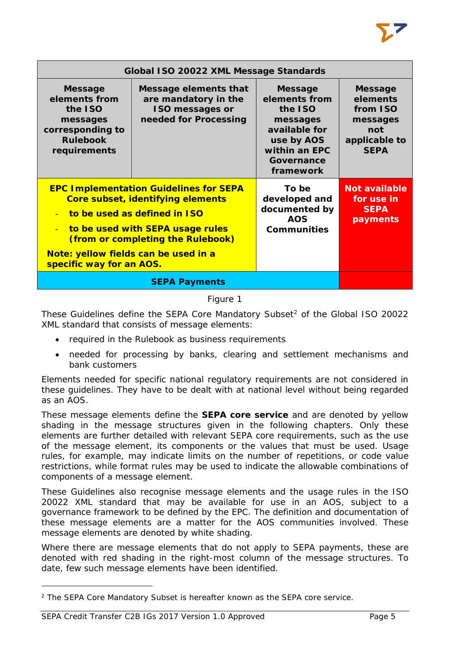| Global ISO 20022 XML Message Standards                                                                        |                                                                                                                                                                                             |                                                                                                                                   |                                                                                           |
|---------------------------------------------------------------------------------------------------------------|---------------------------------------------------------------------------------------------------------------------------------------------------------------------------------------------|-----------------------------------------------------------------------------------------------------------------------------------|-------------------------------------------------------------------------------------------|
| <b>Message</b><br>elements from<br>the ISO<br>messages<br>corresponding to<br><b>Rulebook</b><br>requirements | Message elements that<br>are mandatory in the<br><b>ISO messages or</b><br>needed for Processing                                                                                            | <b>Message</b><br>elements from<br>the ISO<br>messages<br>available for<br>use by AOS<br>within an EPC<br>Governance<br>framework | <b>Message</b><br>elements<br>from ISO<br>messages<br>not<br>applicable to<br><b>SEPA</b> |
| $\equiv$<br>$\sim$<br>Note: yellow fields can be used in a<br>specific way for an AOS.                        | <b>EPC Implementation Guidelines for SEPA</b><br>Core subset, identifying elements<br>to be used as defined in ISO<br>to be used with SEPA usage rules<br>(from or completing the Rulebook) | To be<br>developed and<br>documented by<br><b>AOS</b><br><b>Communities</b>                                                       | <b>Not available</b><br>for use in<br><b>SEPA</b><br>payments                             |
|                                                                                                               |                                                                                                                                                                                             |                                                                                                                                   |                                                                                           |

# Figure 1

These Guidelines define the SEPA Core Mandatory Subset<sup>[2](#page-5-0)</sup> of the Global ISO 20022 XML standard that consists of message elements:

- required in the Rulebook as business requirements
- needed for processing by banks, clearing and settlement mechanisms and bank customers

Elements needed for specific national regulatory requirements are not considered in these guidelines. They have to be dealt with at national level without being regarded as an AOS.

These message elements define the **SEPA core service** and are denoted by yellow shading in the message structures given in the following chapters. Only these elements are further detailed with relevant SEPA core requirements, such as the use of the message element, its components or the values that must be used. Usage rules, for example, may indicate limits on the number of repetitions, or code value restrictions, while format rules may be used to indicate the allowable combinations of components of a message element.

These Guidelines also recognise message elements and the usage rules in the ISO 20022 XML standard that may be available for use in an AOS, subject to a governance framework to be defined by the EPC. The definition and documentation of these message elements are a matter for the AOS communities involved. These message elements are denoted by white shading.

Where there are message elements that do not apply to SEPA payments, these are denoted with red shading in the right-most column of the message structures. To date, few such message elements have been identified.

1

<span id="page-5-0"></span><sup>2</sup> The SEPA Core Mandatory Subset is hereafter known as the SEPA core service.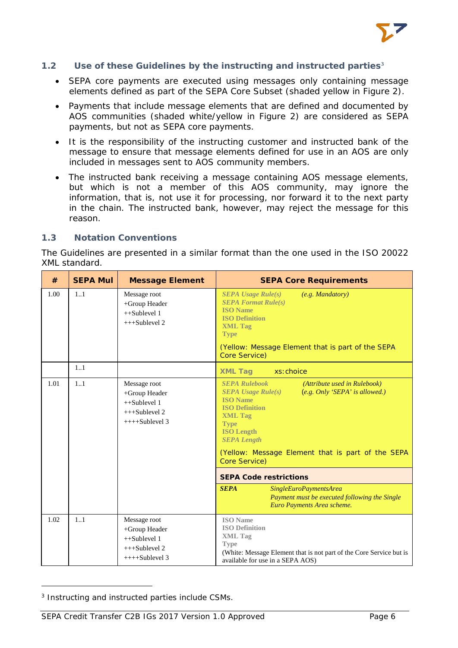

#### <span id="page-6-0"></span>**1.2 Use of these Guidelines by the instructing and instructed parties[3](#page-6-2)**

- SEPA core payments are executed using messages only containing message elements defined as part of the SEPA Core Subset (shaded vellow in Figure 2).
- Payments that include message elements that are defined and documented by AOS communities (shaded white/yellow in Figure 2) are considered as SEPA payments, but not as SEPA core payments.
- It is the responsibility of the instructing customer and instructed bank of the message to ensure that message elements defined for use in an AOS are only included in messages sent to AOS community members.
- The instructed bank receiving a message containing AOS message elements, but which is not a member of this AOS community, may ignore the information, that is, not use it for processing, nor forward it to the next party in the chain. The instructed bank, however, may reject the message for this reason.

#### <span id="page-6-1"></span>**1.3 Notation Conventions**

The Guidelines are presented in a similar format than the one used in the ISO 20022 XML standard.

| #    | <b>SEPA Mul</b> | <b>Message Element</b>                                                                 | <b>SEPA Core Requirements</b>                                                                                                                                                                                                                                                                                                                                                                                                                                            |
|------|-----------------|----------------------------------------------------------------------------------------|--------------------------------------------------------------------------------------------------------------------------------------------------------------------------------------------------------------------------------------------------------------------------------------------------------------------------------------------------------------------------------------------------------------------------------------------------------------------------|
| 1.00 | 11              | Message root<br>+Group Header<br>$++Sublevel 1$<br>$+++Sublevel 2$                     | <b>SEPA Usage Rule(s)</b><br>(e.g. Mandatory)<br><b>SEPA Format Rule(s)</b><br><b>ISO</b> Name<br><b>ISO Definition</b><br><b>XML Tag</b><br><b>Type</b><br>(Yellow: Message Element that is part of the SEPA<br>Core Service)                                                                                                                                                                                                                                           |
|      | 1.1             |                                                                                        | <b>XML Tag</b><br>xs: choice                                                                                                                                                                                                                                                                                                                                                                                                                                             |
| 1.01 | 1.1             | Message root<br>+Group Header<br>$++Sublevel 1$<br>$+++Sublevel 2$<br>$+++S$ ublevel 3 | <b>SEPA Rulebook</b><br>(Attribute used in Rulebook)<br>(e.g. Only 'SEPA' is allowed.)<br>$SEPA$ Usage Rule $(s)$<br><b>ISO</b> Name<br><b>ISO Definition</b><br><b>XML Tag</b><br><b>Type</b><br><b>ISO Length</b><br><b>SEPA Length</b><br>(Yellow: Message Element that is part of the SEPA<br>Core Service)<br><b>SEPA Code restrictions</b><br><b>SEPA</b><br>SingleEuroPaymentsArea<br>Payment must be executed following the Single<br>Euro Payments Area scheme. |
| 1.02 | 1.1             | Message root<br>+Group Header<br>$++Sublevel 1$<br>$+++Sublevel 2$<br>$+++Sublevel 3$  | <b>ISO</b> Name<br><b>ISO Definition</b><br><b>XML</b> Tag<br><b>Type</b><br>(White: Message Element that is not part of the Core Service but is<br>available for use in a SEPA AOS)                                                                                                                                                                                                                                                                                     |

<span id="page-6-2"></span><sup>3</sup> Instructing and instructed parties include CSMs.

1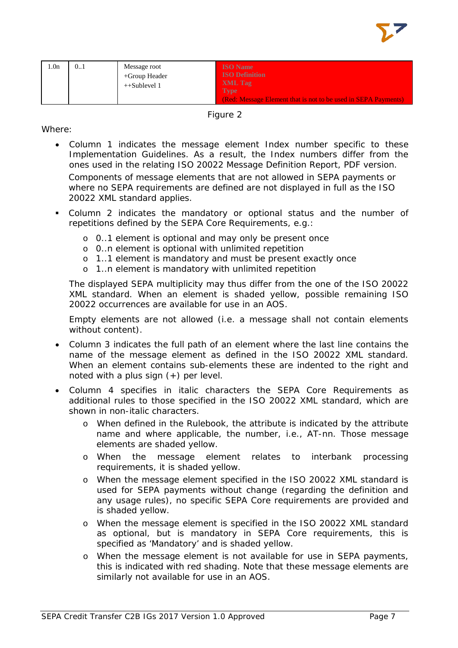

| 1.0n | 01 | Message root<br>$+$ Group Header<br>$++Sublevel 1$ | <b>ISO</b> Name<br><b>ISO Definition</b><br>XML Tag                           |
|------|----|----------------------------------------------------|-------------------------------------------------------------------------------|
|      |    |                                                    | <b>Type</b><br>(Red: Message Element that is not to be used in SEPA Payments) |

Figure 2

Where:

- Column 1 indicates the message element Index number specific to these Implementation Guidelines. As a result, the Index numbers differ from the ones used in the relating ISO 20022 Message Definition Report, PDF version. Components of message elements that are not allowed in SEPA payments or where no SEPA requirements are defined are not displayed in full as the ISO 20022 XML standard applies.
- Column 2 indicates the mandatory or optional status and the number of repetitions defined by the SEPA Core Requirements, e.g.:
	- o 0..1 element is optional and may only be present once
	- o 0..n element is optional with unlimited repetition
	- o 1..1 element is mandatory and must be present exactly once
	- o 1..n element is mandatory with unlimited repetition

The displayed SEPA multiplicity may thus differ from the one of the ISO 20022 XML standard. When an element is shaded yellow, possible remaining ISO 20022 occurrences are available for use in an AOS.

Empty elements are not allowed (i.e. a message shall not contain elements without content).

- Column 3 indicates the full path of an element where the last line contains the name of the message element as defined in the ISO 20022 XML standard. When an element contains sub-elements these are indented to the right and noted with a plus sign (+) per level.
- Column 4 specifies in italic characters the SEPA Core Requirements as additional rules to those specified in the ISO 20022 XML standard, which are shown in non-italic characters.
	- o When defined in the Rulebook, the attribute is indicated by the attribute name and where applicable, the number, i.e., AT-nn. Those message elements are shaded yellow.
	- o When the message element relates to interbank processing requirements, it is shaded yellow.
	- o When the message element specified in the ISO 20022 XML standard is used for SEPA payments without change (regarding the definition and any usage rules), no specific SEPA Core requirements are provided and is shaded yellow.
	- o When the message element is specified in the ISO 20022 XML standard as optional, but is mandatory in SEPA Core requirements, this is specified as 'Mandatory' and is shaded yellow.
	- o When the message element is not available for use in SEPA payments, this is indicated with red shading. Note that these message elements are similarly not available for use in an AOS.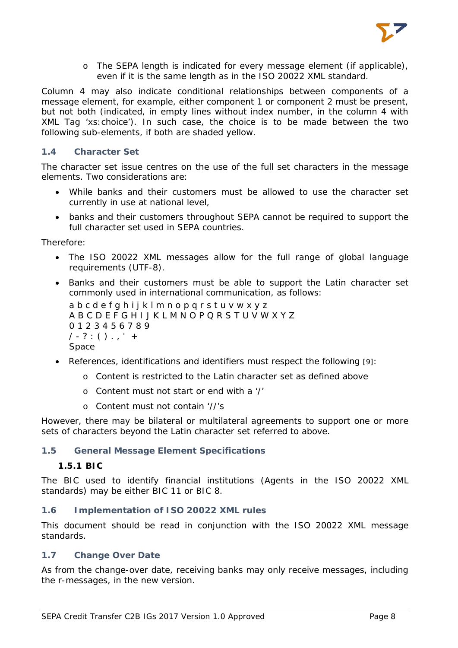

o The SEPA length is indicated for every message element (if applicable), even if it is the same length as in the ISO 20022 XML standard.

Column 4 may also indicate conditional relationships between components of a message element, for example, either component 1 or component 2 must be present, but not both (indicated, in empty lines without index number, in the column 4 with XML Tag 'xs:choice'). In such case, the choice is to be made between the two following sub-elements, if both are shaded yellow.

#### <span id="page-8-0"></span>**1.4 Character Set**

The character set issue centres on the use of the full set characters in the message elements. Two considerations are:

- While banks and their customers must be allowed to use the character set currently in use at national level,
- banks and their customers throughout SEPA cannot be required to support the full character set used in SEPA countries.

#### Therefore:

- The ISO 20022 XML messages allow for the full range of global language requirements (UTF-8).
- Banks and their customers must be able to support the Latin character set commonly used in international communication, as follows: a b c d e f q h i j k l m n o p q r s t u v w x y z A B C D E F G H I J K L M N O P Q R S T U V W X Y Z

0 1 2 3 4 5 6 7 8 9  $1 - ? : () . . ' +$ Space

- References, identifications and identifiers must respect the following [9]:
	- o Content is restricted to the Latin character set as defined above
	- o Content must not start or end with a '/'
	- o Content must not contain '//'s

However, there may be bilateral or multilateral agreements to support one or more sets of characters beyond the Latin character set referred to above.

#### <span id="page-8-2"></span><span id="page-8-1"></span>**1.5 General Message Element Specifications**

#### **1.5.1 BIC**

The BIC used to identify financial institutions (Agents in the ISO 20022 XML standards) may be either BIC 11 or BIC 8.

# <span id="page-8-3"></span>**1.6 Implementation of ISO 20022 XML rules**

This document should be read in conjunction with the ISO 20022 XML message standards.

#### <span id="page-8-4"></span>**1.7 Change Over Date**

As from the change-over date, receiving banks may only receive messages, including the r-messages, in the new version.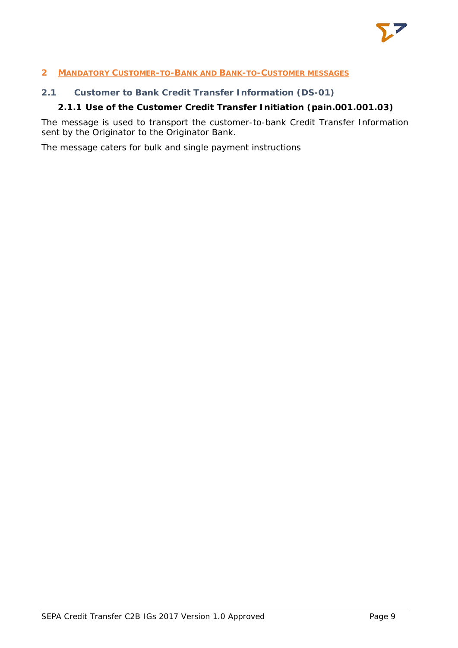

# <span id="page-9-0"></span>**2 MANDATORY CUSTOMER-TO-BANK AND BANK-TO-CUSTOMER MESSAGES**

### <span id="page-9-2"></span><span id="page-9-1"></span>**2.1 Customer to Bank Credit Transfer Information (DS-01)**

# **2.1.1 Use of the Customer Credit Transfer Initiation (pain.001.001.03)**

The message is used to transport the customer-to-bank Credit Transfer Information sent by the Originator to the Originator Bank.

The message caters for bulk and single payment instructions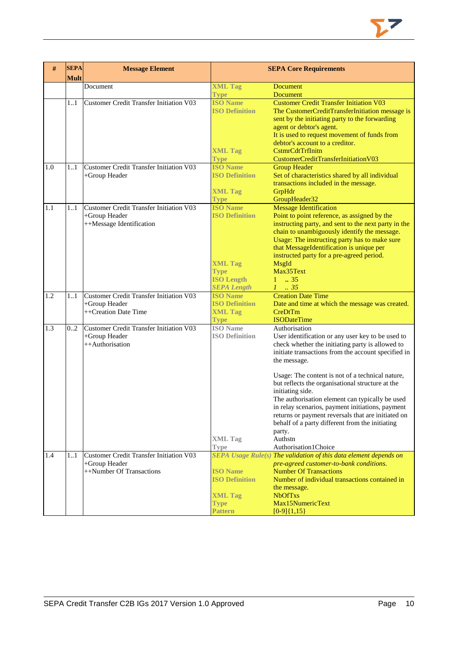

| #   | <b>SEPA</b><br><b>Mult</b> | <b>Message Element</b>                                                                      | <b>SEPA Core Requirements</b>                                                                                        |                                                                                                                                                                                                                                                                                                                                                                                                                                                                                                                                                                                        |
|-----|----------------------------|---------------------------------------------------------------------------------------------|----------------------------------------------------------------------------------------------------------------------|----------------------------------------------------------------------------------------------------------------------------------------------------------------------------------------------------------------------------------------------------------------------------------------------------------------------------------------------------------------------------------------------------------------------------------------------------------------------------------------------------------------------------------------------------------------------------------------|
|     |                            | Document                                                                                    | <b>XML Tag</b><br><b>Type</b>                                                                                        | <b>Document</b><br><b>Document</b>                                                                                                                                                                                                                                                                                                                                                                                                                                                                                                                                                     |
|     | 11                         | <b>Customer Credit Transfer Initiation V03</b>                                              | <b>ISO Name</b><br><b>ISO Definition</b><br><b>XML Tag</b><br><b>Type</b>                                            | <b>Customer Credit Transfer Initiation V03</b><br>The CustomerCreditTransferInitiation message is<br>sent by the initiating party to the forwarding<br>agent or debtor's agent.<br>It is used to request movement of funds from<br>debtor's account to a creditor.<br>CstmrCdtTrfInitn<br>CustomerCreditTransferInitiationV03                                                                                                                                                                                                                                                          |
| 1.0 | 11                         | <b>Customer Credit Transfer Initiation V03</b><br>+Group Header                             | <b>ISO Name</b><br><b>ISO Definition</b><br><b>XML Tag</b><br><b>Type</b>                                            | <b>Group Header</b><br>Set of characteristics shared by all individual<br>transactions included in the message.<br>GrpHdr<br>GroupHeader32                                                                                                                                                                                                                                                                                                                                                                                                                                             |
| 1.1 | 11                         | <b>Customer Credit Transfer Initiation V03</b><br>+Group Header<br>++Message Identification | <b>ISO Name</b><br><b>ISO Definition</b><br><b>XML Tag</b><br><b>Type</b><br><b>ISO Length</b><br><b>SEPA Length</b> | <b>Message Identification</b><br>Point to point reference, as assigned by the<br>instructing party, and sent to the next party in the<br>chain to unambiguously identify the message.<br>Usage: The instructing party has to make sure<br>that MessageIdentification is unique per<br>instructed party for a pre-agreed period.<br>MsgId<br>Max35Text<br>$1 \t . 35$<br>$1 \t35$                                                                                                                                                                                                       |
| 1.2 | 11                         | <b>Customer Credit Transfer Initiation V03</b><br>+Group Header<br>++Creation Date Time     | <b>ISO</b> Name<br><b>ISO Definition</b><br><b>XML Tag</b><br><b>Type</b>                                            | <b>Creation Date Time</b><br>Date and time at which the message was created.<br>CreDtTm<br><b>ISODateTime</b>                                                                                                                                                                                                                                                                                                                                                                                                                                                                          |
| 1.3 | 02                         | <b>Customer Credit Transfer Initiation V03</b><br>+Group Header<br>++Authorisation          | <b>ISO</b> Name<br><b>ISO Definition</b><br><b>XML Tag</b><br><b>Type</b>                                            | Authorisation<br>User identification or any user key to be used to<br>check whether the initiating party is allowed to<br>initiate transactions from the account specified in<br>the message.<br>Usage: The content is not of a technical nature,<br>but reflects the organisational structure at the<br>initiating side.<br>The authorisation element can typically be used<br>in relay scenarios, payment initiations, payment<br>returns or payment reversals that are initiated on<br>behalf of a party different from the initiating<br>party.<br>Authstn<br>Authorisation1Choice |
| 1.4 | 11                         | Customer Credit Transfer Initiation V03<br>+Group Header<br>++Number Of Transactions        | <b>ISO Name</b><br><b>ISO Definition</b><br><b>XML Tag</b><br><b>Type</b><br><b>Pattern</b>                          | SEPA Usage Rule(s) The validation of this data element depends on<br>pre-agreed customer-to-bank conditions.<br><b>Number Of Transactions</b><br>Number of individual transactions contained in<br>the message.<br><b>NbOfTxs</b><br>Max15NumericText<br>$[0-9]{1,15}$                                                                                                                                                                                                                                                                                                                 |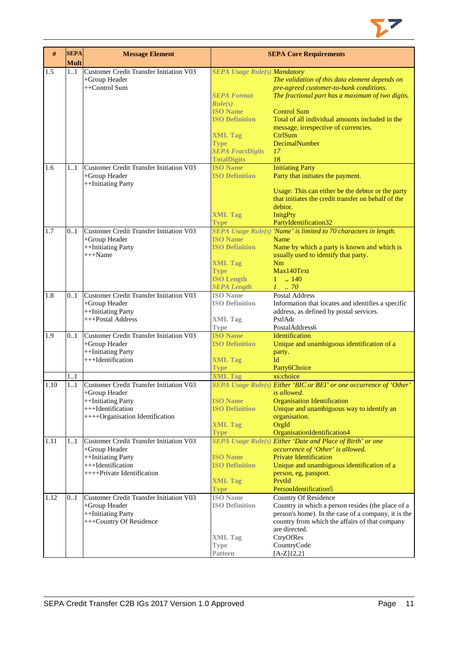

| #    | <b>SEPA</b><br><b>Mult</b> | <b>Message Element</b>                         |                                          | <b>SEPA Core Requirements</b>                                       |
|------|----------------------------|------------------------------------------------|------------------------------------------|---------------------------------------------------------------------|
| 1.5  | 11                         | Customer Credit Transfer Initiation V03        | <b>SEPA Usage Rule(s) Mandatory</b>      |                                                                     |
|      |                            | +Group Header                                  |                                          | The validation of this data element depends on                      |
|      |                            | ++Control Sum                                  |                                          | pre-agreed customer-to-bank conditions.                             |
|      |                            |                                                | <b>SEPA Format</b>                       | The fractional part has a maximum of two digits.                    |
|      |                            |                                                | Rule(s)                                  |                                                                     |
|      |                            |                                                | <b>ISO Name</b>                          | <b>Control Sum</b>                                                  |
|      |                            |                                                | <b>ISO Definition</b>                    | Total of all individual amounts included in the                     |
|      |                            |                                                |                                          | message, irrespective of currencies.                                |
|      |                            |                                                | <b>XML Tag</b>                           | CtrlSum                                                             |
|      |                            |                                                | <b>Type</b>                              | DecimalNumber                                                       |
|      |                            |                                                | <b>SEPA FractDigits</b>                  | 17                                                                  |
|      |                            |                                                | <b>TotalDigits</b>                       | 18                                                                  |
| 1.6  | 11                         | <b>Customer Credit Transfer Initiation V03</b> | <b>ISO</b> Name                          | <b>Initiating Party</b>                                             |
|      |                            | +Group Header                                  | <b>ISO Definition</b>                    | Party that initiates the payment.                                   |
|      |                            | ++Initiating Party                             |                                          |                                                                     |
|      |                            |                                                |                                          | Usage: This can either be the debtor or the party                   |
|      |                            |                                                |                                          | that initiates the credit transfer on behalf of the                 |
|      |                            |                                                |                                          | debtor.                                                             |
|      |                            |                                                | <b>XML Tag</b>                           | <b>InitgPty</b>                                                     |
|      |                            |                                                | <b>Type</b>                              | PartyIdentification32                                               |
| 1.7  | 0.1                        | Customer Credit Transfer Initiation V03        |                                          | SEPA Usage Rule(s) 'Name' is limited to 70 characters in length.    |
|      |                            | +Group Header                                  | <b>ISO</b> Name                          | Name                                                                |
|      |                            | ++Initiating Party                             | <b>ISO Definition</b>                    | Name by which a party is known and which is                         |
|      |                            | $+++Name$                                      |                                          | usually used to identify that party.                                |
|      |                            |                                                | <b>XML Tag</b>                           | Nm                                                                  |
|      |                            |                                                | <b>Type</b>                              | Max140Text                                                          |
|      |                            |                                                | <b>ISO Length</b>                        | $1 \t  140$                                                         |
|      |                            |                                                | <b>SEPA Length</b>                       | $1 \dots 70$                                                        |
| 1.8  | 0.1                        | Customer Credit Transfer Initiation V03        | <b>ISO</b> Name                          | <b>Postal Address</b>                                               |
|      |                            | +Group Header                                  | <b>ISO Definition</b>                    | Information that locates and identifies a specific                  |
|      |                            | ++Initiating Party                             |                                          | address, as defined by postal services.                             |
|      |                            | +++Postal Address                              | <b>XML Tag</b>                           | PstlAdr                                                             |
|      |                            |                                                | Type                                     | PostalAddress6                                                      |
| 1.9  | 0.1                        | <b>Customer Credit Transfer Initiation V03</b> | <b>ISO Name</b>                          | Identification                                                      |
|      |                            | +Group Header                                  | <b>ISO Definition</b>                    | Unique and unambiguous identification of a                          |
|      |                            | ++Initiating Party<br>+++Identification        |                                          | party.<br>Id                                                        |
|      |                            |                                                | <b>XML Tag</b>                           |                                                                     |
|      |                            |                                                | <b>Type</b>                              | Party6Choice                                                        |
|      | 1.1                        |                                                | <b>XML Tag</b>                           | xs:choice                                                           |
| 1.10 | 1.1                        | Customer Credit Transfer Initiation V03        |                                          | SEPA Usage Rule(s) Either 'BIC or BEI' or one occurrence of 'Other' |
|      |                            | +Group Header                                  |                                          | <i>is allowed.</i>                                                  |
|      |                            | ++Initiating Party                             | <b>ISO Name</b>                          | <b>Organisation Identification</b>                                  |
|      |                            | +++Identification                              | <b>ISO Definition</b>                    | Unique and unambiguous way to identify an                           |
|      |                            | ++++Organisation Identification                |                                          | organisation.                                                       |
|      |                            |                                                | <b>XML Tag</b>                           | OrgId                                                               |
|      |                            |                                                | <b>Type</b>                              | OrganisationIdentification4                                         |
| 1.11 | 1.1                        | Customer Credit Transfer Initiation V03        |                                          | <b>SEPA Usage Rule(s) Either 'Date and Place of Birth' or one</b>   |
|      |                            | +Group Header                                  |                                          | occurrence of 'Other' is allowed.                                   |
|      |                            | ++Initiating Party<br>+++Identification        | <b>ISO Name</b><br><b>ISO Definition</b> | <b>Private Identification</b>                                       |
|      |                            | ++++Private Identification                     |                                          | Unique and unambiguous identification of a                          |
|      |                            |                                                |                                          | person, eg, passport.                                               |
|      |                            |                                                | <b>XML Tag</b>                           | PrvtId<br>PersonIdentification5                                     |
|      |                            | <b>Customer Credit Transfer Initiation V03</b> | Type<br><b>ISO</b> Name                  |                                                                     |
| 1.12 | 0.1                        |                                                | <b>ISO Definition</b>                    | <b>Country Of Residence</b>                                         |
|      |                            | +Group Header                                  |                                          | Country in which a person resides (the place of a                   |
|      |                            | ++Initiating Party                             |                                          | person's home). In the case of a company, it is the                 |
|      |                            | +++Country Of Residence                        |                                          | country from which the affairs of that company<br>are directed.     |
|      |                            |                                                | <b>XML Tag</b>                           | CtryOfRes                                                           |
|      |                            |                                                |                                          |                                                                     |
|      |                            |                                                | Type                                     | CountryCode                                                         |
|      |                            |                                                | Pattern                                  | $[A-Z]\{2,2\}$                                                      |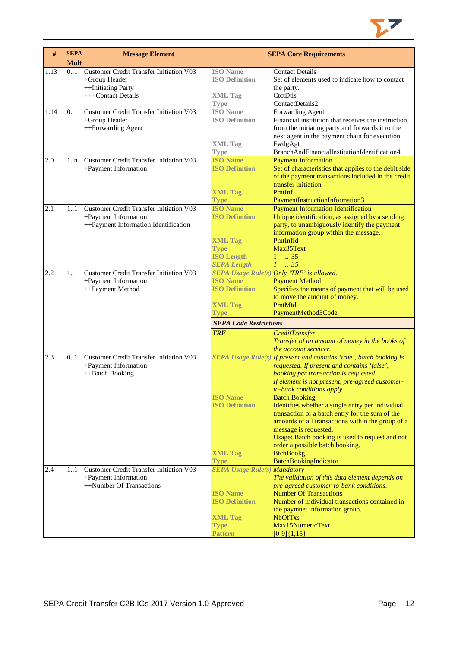

| #    | <b>SEPA</b><br><b>Mult</b> | <b>Message Element</b>                                                                                  |                                                                                                                                     | <b>SEPA Core Requirements</b>                                                                                                                                                                                                                                                                                                                                                                                                                                                                                                                                      |
|------|----------------------------|---------------------------------------------------------------------------------------------------------|-------------------------------------------------------------------------------------------------------------------------------------|--------------------------------------------------------------------------------------------------------------------------------------------------------------------------------------------------------------------------------------------------------------------------------------------------------------------------------------------------------------------------------------------------------------------------------------------------------------------------------------------------------------------------------------------------------------------|
| 1.13 | 01                         | Customer Credit Transfer Initiation V03<br>+Group Header<br>++Initiating Party<br>+++Contact Details    | <b>ISO</b> Name<br><b>ISO Definition</b><br><b>XML Tag</b><br>Type                                                                  | <b>Contact Details</b><br>Set of elements used to indicate how to contact<br>the party.<br>CtctDtls<br>ContactDetails2                                                                                                                                                                                                                                                                                                                                                                                                                                             |
| 1.14 | 0.1                        | <b>Customer Credit Transfer Initiation V03</b><br>+Group Header<br>++Forwarding Agent                   | <b>ISO</b> Name<br><b>ISO Definition</b><br><b>XML Tag</b>                                                                          | Forwarding Agent<br>Financial institution that receives the instruction<br>from the initiating party and forwards it to the<br>next agent in the payment chain for execution.<br>FwdgAgt                                                                                                                                                                                                                                                                                                                                                                           |
| 2.0  |                            | <b>Customer Credit Transfer Initiation V03</b>                                                          | <b>Type</b><br><b>ISO Name</b>                                                                                                      | BranchAndFinancialInstitutionIdentification4<br><b>Payment Information</b>                                                                                                                                                                                                                                                                                                                                                                                                                                                                                         |
|      | $1 \dots n$                | +Payment Information                                                                                    | <b>ISO Definition</b><br><b>XML Tag</b>                                                                                             | Set of characteristics that applies to the debit side<br>of the payment transactions included in the credit<br>transfer initiation.<br>PmtInf<br>PaymentInstructionInformation3                                                                                                                                                                                                                                                                                                                                                                                    |
| 2.1  | 1.1                        | Customer Credit Transfer Initiation V03<br>+Payment Information<br>++Payment Information Identification | <b>Type</b><br><b>ISO Name</b><br><b>ISO Definition</b><br><b>XML Tag</b><br><b>Type</b><br><b>ISO Length</b><br><b>SEPA Length</b> | <b>Payment Information Identification</b><br>Unique identification, as assigned by a sending<br>party, to unambiguously identify the payment<br>information group within the message.<br>PmtInfId<br>Max35Text<br>$1 \t . 35$<br>$1-.35$                                                                                                                                                                                                                                                                                                                           |
| 2.2  | 1.1                        | Customer Credit Transfer Initiation V03<br>+Payment Information<br>++Payment Method                     | <b>ISO Name</b><br><b>ISO Definition</b><br><b>XML Tag</b><br><b>Type</b>                                                           | SEPA Usage Rule(s) Only 'TRF' is allowed.<br><b>Payment Method</b><br>Specifies the means of payment that will be used<br>to move the amount of money.<br>PmtMtd<br>PaymentMethod3Code                                                                                                                                                                                                                                                                                                                                                                             |
|      |                            |                                                                                                         | <b>SEPA Code Restrictions</b>                                                                                                       |                                                                                                                                                                                                                                                                                                                                                                                                                                                                                                                                                                    |
|      |                            |                                                                                                         | <b>TRF</b>                                                                                                                          | <b>CreditTransfer</b><br>Transfer of an amount of money in the books of<br>the account servicer.                                                                                                                                                                                                                                                                                                                                                                                                                                                                   |
| 2.3  | 0.1                        | Customer Credit Transfer Initiation V03<br>+Payment Information<br>++Batch Booking                      | <b>ISO Name</b><br><b>ISO Definition</b><br><b>XML Tag</b>                                                                          | SEPA Usage Rule(s) If present and contains 'true', batch booking is<br>requested. If present and contains 'false',<br>booking per transaction is requested.<br>If element is not present, pre-agreed customer-<br>to-bank conditions apply.<br><b>Batch Booking</b><br>Identifies whether a single entry per individual<br>transaction or a batch entry for the sum of the<br>amounts of all transactions within the group of a<br>message is requested.<br>Usage: Batch booking is used to request and not<br>order a possible batch booking.<br><b>BtchBookg</b> |
|      |                            |                                                                                                         | <b>Type</b>                                                                                                                         | BatchBookingIndicator                                                                                                                                                                                                                                                                                                                                                                                                                                                                                                                                              |
| 2.4  | 11                         | Customer Credit Transfer Initiation V03<br>+Payment Information<br>++Number Of Transactions             | <b>SEPA Usage Rule(s) Mandatory</b><br><b>ISO Name</b><br><b>ISO Definition</b><br><b>XML Tag</b><br><b>Type</b>                    | The validation of this data element depends on<br>pre-agreed customer-to-bank conditions.<br><b>Number Of Transactions</b><br>Number of individual transactions contained in<br>the paymnet information group.<br><b>NbOfTxs</b><br>Max15NumericText                                                                                                                                                                                                                                                                                                               |
|      |                            |                                                                                                         | <b>Pattern</b>                                                                                                                      | $[0-9]{1,15}$                                                                                                                                                                                                                                                                                                                                                                                                                                                                                                                                                      |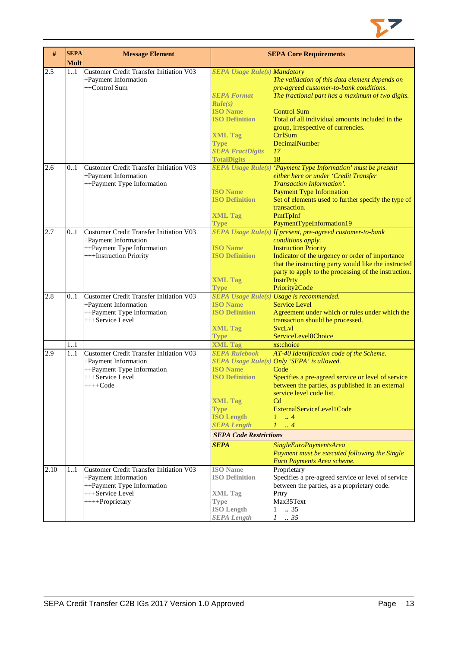

| $\#$ | <b>SEPA</b><br><b>Mult</b> | <b>Message Element</b>                                                                                                               |                                                                                                                                                                               | <b>SEPA Core Requirements</b>                                                                                                                                                                                                                                                                                          |
|------|----------------------------|--------------------------------------------------------------------------------------------------------------------------------------|-------------------------------------------------------------------------------------------------------------------------------------------------------------------------------|------------------------------------------------------------------------------------------------------------------------------------------------------------------------------------------------------------------------------------------------------------------------------------------------------------------------|
| 2.5  | 11                         | Customer Credit Transfer Initiation V03<br>+Payment Information<br>++Control Sum                                                     | <b>SEPA Usage Rule(s) Mandatory</b><br><b>SEPA Format</b><br>Rule(s)<br><b>ISO Name</b><br><b>ISO Definition</b><br><b>XML Tag</b><br><b>Type</b><br><b>SEPA FractDigits</b>  | The validation of this data element depends on<br>pre-agreed customer-to-bank conditions.<br>The fractional part has a maximum of two digits.<br><b>Control Sum</b><br>Total of all individual amounts included in the<br>group, irrespective of currencies.<br>CtrlSum<br>DecimalNumber<br>17<br>18                   |
| 2.6  | 0.1                        | Customer Credit Transfer Initiation V03<br>+Payment Information<br>++Payment Type Information                                        | <b>TotalDigits</b><br><b>ISO Name</b><br><b>ISO Definition</b><br><b>XML Tag</b><br><b>Type</b>                                                                               | SEPA Usage Rule(s) 'Payment Type Information' must be present<br>either here or under 'Credit Transfer<br>Transaction Information'.<br><b>Payment Type Information</b><br>Set of elements used to further specify the type of<br>transaction.<br>PmtTpInf<br>PaymentTypeInformation19                                  |
| 2.7  | 0.1                        | <b>Customer Credit Transfer Initiation V03</b><br>+Payment Information<br>++Payment Type Information<br>+++Instruction Priority      | <b>ISO</b> Name<br><b>ISO Definition</b><br><b>XML Tag</b><br><b>Type</b>                                                                                                     | SEPA Usage Rule(s) If present, pre-agreed customer-to-bank<br>conditions apply.<br><b>Instruction Priority</b><br>Indicator of the urgency or order of importance<br>that the instructing party would like the instructed<br>party to apply to the processing of the instruction.<br><b>InstrPrty</b><br>Priority2Code |
| 2.8  | 01                         | <b>Customer Credit Transfer Initiation V03</b><br>+Payment Information<br>++Payment Type Information<br>+++Service Level             | <b>ISO Name</b><br><b>ISO Definition</b><br><b>XML Tag</b><br><b>Type</b>                                                                                                     | SEPA Usage Rule(s) Usage is recommended.<br><b>Service Level</b><br>Agreement under which or rules under which the<br>transaction should be processed.<br><b>SvcLvl</b><br>ServiceLevel8Choice                                                                                                                         |
|      | 11                         |                                                                                                                                      | <b>XML Tag</b>                                                                                                                                                                | xs:choice                                                                                                                                                                                                                                                                                                              |
| 2.9  | 11                         | Customer Credit Transfer Initiation V03<br>+Payment Information<br>++Payment Type Information<br>+++Service Level<br>$+++Code$       | <b>SEPA Rulebook</b><br><b>ISO Name</b><br><b>ISO Definition</b><br><b>XML Tag</b><br><b>Type</b><br><b>ISO Length</b><br><b>SEPA Length</b><br><b>SEPA Code Restrictions</b> | AT-40 Identification code of the Scheme.<br>SEPA Usage Rule(s) Only 'SEPA' is allowed.<br>Code<br>Specifies a pre-agreed service or level of service<br>between the parties, as published in an external<br>service level code list.<br>Cd<br>ExternalServiceLevel1Code<br>$\ldots$ 4<br>1<br>1<br>$\cdot$ 4           |
|      |                            |                                                                                                                                      | <b>SEPA</b>                                                                                                                                                                   | SingleEuroPaymentsArea                                                                                                                                                                                                                                                                                                 |
|      |                            |                                                                                                                                      |                                                                                                                                                                               | Payment must be executed following the Single<br>Euro Payments Area scheme.                                                                                                                                                                                                                                            |
| 2.10 | 11                         | Customer Credit Transfer Initiation V03<br>+Payment Information<br>++Payment Type Information<br>+++Service Level<br>++++Proprietary | <b>ISO</b> Name<br><b>ISO Definition</b><br><b>XML Tag</b><br><b>Type</b><br><b>ISO Length</b><br><b>SEPA Length</b>                                                          | Proprietary<br>Specifies a pre-agreed service or level of service<br>between the parties, as a proprietary code.<br>Prtry<br>Max35Text<br>$1 \t . 35$<br>$1 \quad .35$                                                                                                                                                 |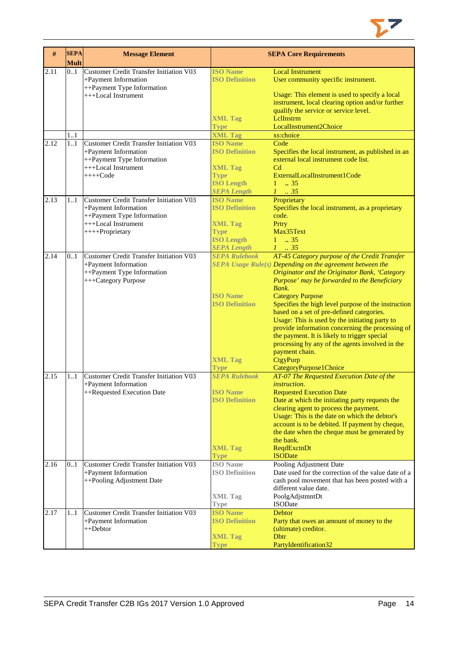

| #    | <b>SEPA</b><br><b>Mult</b> | <b>Message Element</b>                         |                                         | <b>SEPA Core Requirements</b>                             |
|------|----------------------------|------------------------------------------------|-----------------------------------------|-----------------------------------------------------------|
| 2.11 | 0.1                        | <b>Customer Credit Transfer Initiation V03</b> | <b>ISO Name</b>                         | <b>Local Instrument</b>                                   |
|      |                            | +Payment Information                           | <b>ISO Definition</b>                   | User community specific instrument.                       |
|      |                            | ++Payment Type Information                     |                                         |                                                           |
|      |                            | +++Local Instrument                            |                                         | Usage: This element is used to specify a local            |
|      |                            |                                                |                                         | instrument, local clearing option and/or further          |
|      |                            |                                                |                                         | qualify the service or service level.                     |
|      |                            |                                                | <b>XML Tag</b>                          | LelInstrm                                                 |
|      |                            |                                                | <b>Type</b>                             | LocalInstrument2Choice                                    |
|      | 11                         |                                                | <b>XML Tag</b>                          | xs:choice                                                 |
| 2.12 | 11                         | <b>Customer Credit Transfer Initiation V03</b> | <b>ISO Name</b>                         | Code                                                      |
|      |                            | +Payment Information                           | <b>ISO Definition</b>                   | Specifies the local instrument, as published in an        |
|      |                            | ++Payment Type Information                     |                                         | external local instrument code list.                      |
|      |                            | +++Local Instrument                            | <b>XML Tag</b>                          | C <sub>d</sub>                                            |
|      |                            | $++++Code$                                     | <b>Type</b>                             | ExternalLocalInstrument1Code                              |
|      |                            |                                                | <b>ISO Length</b>                       | .35<br>$\mathbf{1}$                                       |
|      |                            |                                                | <b>SEPA Length</b>                      | $1 \cdot .35$                                             |
| 2.13 | 11                         | <b>Customer Credit Transfer Initiation V03</b> | <b>ISO Name</b>                         | Proprietary                                               |
|      |                            | +Payment Information                           | <b>ISO Definition</b>                   | Specifies the local instrument, as a proprietary          |
|      |                            | ++Payment Type Information                     |                                         | code.                                                     |
|      |                            | +++Local Instrument                            | <b>XML Tag</b>                          | Prtry                                                     |
|      |                            | ++++Proprietary                                | <b>Type</b>                             | Max35Text<br>$1 \t . 35$                                  |
|      |                            |                                                | <b>ISO Length</b><br><b>SEPA Length</b> | $1 \t 35$                                                 |
| 2.14 | 0.1                        | <b>Customer Credit Transfer Initiation V03</b> | <b>SEPA Rulebook</b>                    | AT-45 Category purpose of the Credit Transfer             |
|      |                            | +Payment Information                           |                                         | SEPA Usage Rule(s) Depending on the agreement between the |
|      |                            | ++Payment Type Information                     |                                         | Originator and the Originator Bank, 'Category             |
|      |                            | +++Category Purpose                            |                                         | Purpose' may be forwarded to the Beneficiary              |
|      |                            |                                                |                                         | Bank.                                                     |
|      |                            |                                                | <b>ISO Name</b>                         | <b>Category Purpose</b>                                   |
|      |                            |                                                | <b>ISO Definition</b>                   | Specifies the high level purpose of the instruction       |
|      |                            |                                                |                                         | based on a set of pre-defined categories.                 |
|      |                            |                                                |                                         | Usage: This is used by the initiating party to            |
|      |                            |                                                |                                         | provide information concerning the processing of          |
|      |                            |                                                |                                         | the payment. It is likely to trigger special              |
|      |                            |                                                |                                         | processing by any of the agents involved in the           |
|      |                            |                                                |                                         | payment chain.                                            |
|      |                            |                                                | <b>XML Tag</b>                          | CtgyPurp                                                  |
|      |                            |                                                | <b>Type</b>                             | CategoryPurpose1Choice                                    |
| 2.15 | 11                         | <b>Customer Credit Transfer Initiation V03</b> | <b>SEPA Rulebook</b>                    | AT-07 The Requested Execution Date of the                 |
|      |                            | +Payment Information                           |                                         | <i>instruction.</i>                                       |
|      |                            | ++Requested Execution Date                     | <b>ISO Name</b>                         | <b>Requested Execution Date</b>                           |
|      |                            |                                                | <b>ISO Definition</b>                   | Date at which the initiating party requests the           |
|      |                            |                                                |                                         | clearing agent to process the payment.                    |
|      |                            |                                                |                                         | Usage: This is the date on which the debtor's             |
|      |                            |                                                |                                         | account is to be debited. If payment by cheque,           |
|      |                            |                                                |                                         | the date when the cheque must be generated by             |
|      |                            |                                                | <b>XML Tag</b>                          | the bank.<br>ReqdExctnDt                                  |
|      |                            |                                                | <b>Type</b>                             | <b>ISODate</b>                                            |
| 2.16 | 0.1                        | <b>Customer Credit Transfer Initiation V03</b> | <b>ISO</b> Name                         | Pooling Adjustment Date                                   |
|      |                            | +Payment Information                           | <b>ISO Definition</b>                   | Date used for the correction of the value date of a       |
|      |                            | ++Pooling Adjustment Date                      |                                         | cash pool movement that has been posted with a            |
|      |                            |                                                |                                         | different value date.                                     |
|      |                            |                                                | <b>XML Tag</b>                          | PoolgAdjstmntDt                                           |
|      |                            |                                                | <b>Type</b>                             | ISODate                                                   |
| 2.17 | 11                         | <b>Customer Credit Transfer Initiation V03</b> | <b>ISO Name</b>                         | <b>Debtor</b>                                             |
|      |                            | +Payment Information                           | <b>ISO Definition</b>                   | Party that owes an amount of money to the                 |
|      |                            | ++Debtor                                       |                                         | (ultimate) creditor.                                      |
|      |                            |                                                | <b>XML Tag</b>                          | <b>D</b> btr                                              |
|      |                            |                                                | <b>Type</b>                             | PartyIdentification32                                     |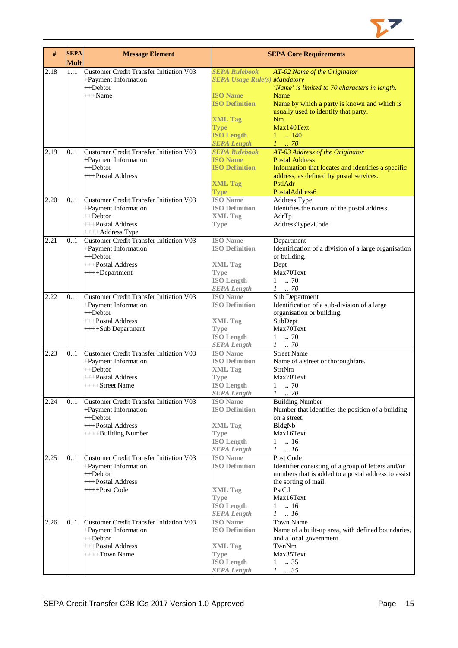

| $\#$ | <b>SEPA</b><br><b>Mult</b> | <b>Message Element</b>                                                 |                                            | <b>SEPA Core Requirements</b>                                                                             |
|------|----------------------------|------------------------------------------------------------------------|--------------------------------------------|-----------------------------------------------------------------------------------------------------------|
| 2.18 | 11                         | Customer Credit Transfer Initiation V03                                | <b>SEPA Rulebook</b>                       | AT-02 Name of the Originator                                                                              |
|      |                            | +Payment Information                                                   | <b>SEPA Usage Rule(s) Mandatory</b>        |                                                                                                           |
|      |                            | ++Debtor                                                               | <b>ISO</b> Name                            | 'Name' is limited to 70 characters in length.                                                             |
|      |                            | +++Name                                                                | <b>ISO Definition</b>                      | Name<br>Name by which a party is known and which is                                                       |
|      |                            |                                                                        |                                            | usually used to identify that party.                                                                      |
|      |                            |                                                                        | <b>XML Tag</b>                             | Nm                                                                                                        |
|      |                            |                                                                        | <b>Type</b>                                | Max140Text                                                                                                |
|      |                            |                                                                        | <b>ISO Length</b>                          | $1 \t  140$                                                                                               |
| 2.19 | 0.1                        | Customer Credit Transfer Initiation V03                                | <b>SEPA Length</b><br><b>SEPA Rulebook</b> | $1 \cdot .70$<br>AT-03 Address of the Originator                                                          |
|      |                            | +Payment Information                                                   | <b>ISO Name</b>                            | <b>Postal Address</b>                                                                                     |
|      |                            | $++Dektor$                                                             | <b>ISO Definition</b>                      | Information that locates and identifies a specific                                                        |
|      |                            | +++Postal Address                                                      |                                            | address, as defined by postal services.                                                                   |
|      |                            |                                                                        | <b>XML Tag</b>                             | PstlAdr                                                                                                   |
|      |                            |                                                                        | <b>Type</b>                                | PostalAddress6                                                                                            |
| 2.20 | 0.1                        | Customer Credit Transfer Initiation V03<br>+Payment Information        | <b>ISO</b> Name<br><b>ISO Definition</b>   | Address Type<br>Identifies the nature of the postal address.                                              |
|      |                            | $++Dektor$                                                             | <b>XML Tag</b>                             | AdrTp                                                                                                     |
|      |                            | +++Postal Address                                                      | <b>Type</b>                                | AddressType2Code                                                                                          |
|      |                            | ++++Address Type                                                       |                                            |                                                                                                           |
| 2.21 | 0.1                        | <b>Customer Credit Transfer Initiation V03</b>                         | <b>ISO</b> Name                            | Department                                                                                                |
|      |                            | +Payment Information                                                   | <b>ISO Definition</b>                      | Identification of a division of a large organisation                                                      |
|      |                            | ++Debtor<br>+++Postal Address                                          | <b>XML Tag</b>                             | or building.<br>Dept                                                                                      |
|      |                            | ++++Department                                                         | <b>Type</b>                                | Max70Text                                                                                                 |
|      |                            |                                                                        | <b>ISO Length</b>                          | 70<br>$\mathbf{1}$                                                                                        |
|      |                            |                                                                        | <b>SEPA Length</b>                         | $1$ 70                                                                                                    |
| 2.22 | 0.1                        | <b>Customer Credit Transfer Initiation V03</b>                         | <b>ISO</b> Name                            | Sub Department                                                                                            |
|      |                            | +Payment Information<br>$++Dektor$                                     | <b>ISO Definition</b>                      | Identification of a sub-division of a large                                                               |
|      |                            | +++Postal Address                                                      | <b>XML Tag</b>                             | organisation or building.<br>SubDept                                                                      |
|      |                            | ++++Sub Department                                                     | <b>Type</b>                                | Max70Text                                                                                                 |
|      |                            |                                                                        | <b>ISO Length</b>                          | .70<br>1                                                                                                  |
|      |                            |                                                                        | <b>SEPA Length</b>                         | $1$ $\,$ . $70$                                                                                           |
| 2.23 | 0.1                        | <b>Customer Credit Transfer Initiation V03</b>                         | <b>ISO</b> Name                            | <b>Street Name</b>                                                                                        |
|      |                            | +Payment Information<br>$++Dektor$                                     | <b>ISO Definition</b><br><b>XML Tag</b>    | Name of a street or thoroughfare.<br>StrtNm                                                               |
|      |                            | +++Postal Address                                                      | <b>Type</b>                                | Max70Text                                                                                                 |
|      |                            | ++++Street Name                                                        | <b>ISO Length</b>                          | $1 \t 70$                                                                                                 |
|      |                            |                                                                        | <b>SEPA Length</b>                         | 1<br>$\therefore 70$                                                                                      |
| 2.24 | 0.1                        | <b>Customer Credit Transfer Initiation V03</b>                         | <b>ISO</b> Name                            | <b>Building Number</b>                                                                                    |
|      |                            | +Payment Information<br>++Debtor                                       | <b>ISO Definition</b>                      | Number that identifies the position of a building                                                         |
|      |                            | +++Postal Address                                                      | <b>XML</b> Tag                             | on a street.<br>BldgNb                                                                                    |
|      |                            | ++++Building Number                                                    | Type                                       | Max16Text                                                                                                 |
|      |                            |                                                                        | <b>ISO Length</b>                          | .16<br>$\mathbf{1}$                                                                                       |
|      |                            |                                                                        | <b>SEPA Length</b>                         | .16<br>$\mathcal{I}$                                                                                      |
| 2.25 | 0.1                        | <b>Customer Credit Transfer Initiation V03</b>                         | <b>ISO</b> Name                            | Post Code                                                                                                 |
|      |                            | +Payment Information<br>$++Dektor$                                     | <b>ISO Definition</b>                      | Identifier consisting of a group of letters and/or<br>numbers that is added to a postal address to assist |
|      |                            | +++Postal Address                                                      |                                            | the sorting of mail.                                                                                      |
|      |                            | ++++Post Code                                                          | <b>XML</b> Tag                             | PstCd                                                                                                     |
|      |                            |                                                                        | <b>Type</b>                                | Max16Text                                                                                                 |
|      |                            |                                                                        | <b>ISO Length</b>                          | .16<br>$\mathbf{1}$                                                                                       |
|      |                            |                                                                        | <b>SEPA Length</b>                         | $1 \t . 16$                                                                                               |
| 2.26 | 0.1                        | <b>Customer Credit Transfer Initiation V03</b><br>+Payment Information | <b>ISO</b> Name<br><b>ISO Definition</b>   | <b>Town Name</b><br>Name of a built-up area, with defined boundaries,                                     |
|      |                            | ++Debtor                                                               |                                            | and a local government.                                                                                   |
|      |                            | +++Postal Address                                                      | <b>XML</b> Tag                             | TwnNm                                                                                                     |
|      |                            | ++++Town Name                                                          | <b>Type</b>                                | Max35Text                                                                                                 |
|      |                            |                                                                        | <b>ISO Length</b>                          | .35<br>$\mathbf{1}$                                                                                       |
|      |                            |                                                                        | <b>SEPA Length</b>                         | $1 \quad .35$                                                                                             |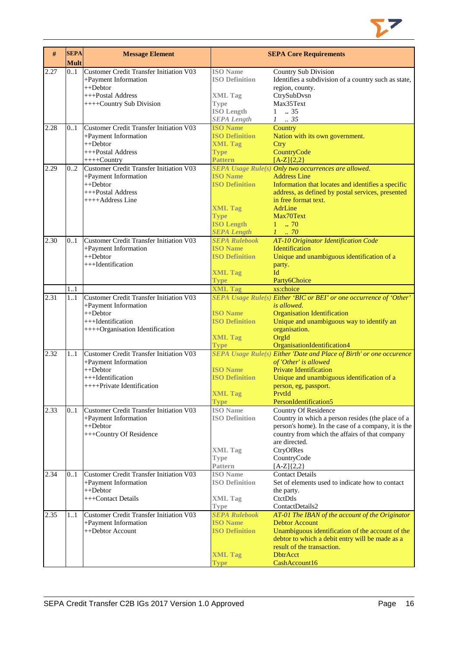

| #    | <b>SEPA</b><br><b>Mult</b> | <b>Message Element</b>                         |                               | <b>SEPA Core Requirements</b>                                             |
|------|----------------------------|------------------------------------------------|-------------------------------|---------------------------------------------------------------------------|
| 2.27 | 0.1                        | <b>Customer Credit Transfer Initiation V03</b> | <b>ISO</b> Name               | <b>Country Sub Division</b>                                               |
|      |                            | +Payment Information                           | <b>ISO Definition</b>         | Identifies a subdivision of a country such as state,                      |
|      |                            | ++Debtor                                       |                               | region, county.                                                           |
|      |                            | +++Postal Address                              | <b>XML Tag</b>                | CtrySubDvsn                                                               |
|      |                            | ++++Country Sub Division                       | <b>Type</b>                   | Max35Text                                                                 |
|      |                            |                                                | <b>ISO Length</b>             | .35<br>1                                                                  |
|      |                            |                                                | <b>SEPA Length</b>            | $1-.35$                                                                   |
| 2.28 | 0.1                        | Customer Credit Transfer Initiation V03        | <b>ISO</b> Name               | Country                                                                   |
|      |                            | +Payment Information                           | <b>ISO Definition</b>         | Nation with its own government.                                           |
|      |                            | $++Dektor$                                     | <b>XML Tag</b>                | Ctry                                                                      |
|      |                            | +++Postal Address                              | <b>Type</b>                   | CountryCode                                                               |
|      |                            | $+++$ Country                                  | <b>Pattern</b>                | $[A-Z]\{2,2\}$                                                            |
| 2.29 | 02                         | <b>Customer Credit Transfer Initiation V03</b> |                               | $\overline{SEPA}$ Usage Rule(s) Only two occurrences are allowed.         |
|      |                            | +Payment Information                           | <b>ISO Name</b>               | <b>Address Line</b>                                                       |
|      |                            | ++Debtor                                       | <b>ISO Definition</b>         | Information that locates and identifies a specific                        |
|      |                            | +++Postal Address<br>++++Address Line          |                               | address, as defined by postal services, presented<br>in free format text. |
|      |                            |                                                | <b>XML Tag</b>                | AdrLine                                                                   |
|      |                            |                                                | <b>Type</b>                   | Max70Text                                                                 |
|      |                            |                                                | <b>ISO Length</b>             | $1 \t . 70$                                                               |
|      |                            |                                                | <b>SEPA Length</b>            | $1 \t 70$                                                                 |
| 2.30 | 0.1                        | <b>Customer Credit Transfer Initiation V03</b> | <b>SEPA Rulebook</b>          | AT-10 Originator Identification Code                                      |
|      |                            | +Payment Information                           | <b>ISO Name</b>               | Identification                                                            |
|      |                            | ++Debtor                                       | <b>ISO Definition</b>         | Unique and unambiguous identification of a                                |
|      |                            | +++Identification                              |                               | party.                                                                    |
|      |                            |                                                | <b>XML Tag</b>                | Id                                                                        |
|      |                            |                                                | Type                          | Party6Choice                                                              |
|      | 1.1                        |                                                | <b>XML Tag</b>                | xs:choice                                                                 |
| 2.31 | 1.1                        | <b>Customer Credit Transfer Initiation V03</b> |                               | SEPA Usage Rule(s) Either 'BIC or BEI' or one occurrence of 'Other'       |
|      |                            | +Payment Information                           |                               | is allowed.                                                               |
|      |                            | $++Dektor$                                     | <b>ISO Name</b>               | <b>Organisation Identification</b>                                        |
|      |                            | +++Identification                              | <b>ISO Definition</b>         | Unique and unambiguous way to identify an                                 |
|      |                            | ++++Organisation Identification                |                               | organisation.                                                             |
|      |                            |                                                | <b>XML Tag</b>                | OrgId                                                                     |
|      |                            |                                                | <b>Type</b>                   | OrganisationIdentification4                                               |
| 2.32 | 11                         | <b>Customer Credit Transfer Initiation V03</b> |                               | SEPA Usage Rule(s) Either 'Date and Place of Birth' or one occurence      |
|      |                            | +Payment Information                           |                               | of 'Other' is allowed                                                     |
|      |                            | ++Debtor                                       | <b>ISO Name</b>               | <b>Private Identification</b>                                             |
|      |                            | +++Identification                              | <b>ISO Definition</b>         | Unique and unambiguous identification of a                                |
|      |                            | ++++Private Identification                     |                               | person, eg, passport.                                                     |
|      |                            |                                                | <b>XML Tag</b>                | PrvtId                                                                    |
|      |                            |                                                | <b>Type</b>                   | PersonIdentification5                                                     |
| 2.33 | 0.1                        | <b>Customer Credit Transfer Initiation V03</b> | <b>ISO</b> Name               | <b>Country Of Residence</b>                                               |
|      |                            | +Payment Information                           | <b>ISO Definition</b>         | Country in which a person resides (the place of a                         |
|      |                            | ++Debtor                                       |                               | person's home). In the case of a company, it is the                       |
|      |                            | +++Country Of Residence                        |                               | country from which the affairs of that company                            |
|      |                            |                                                |                               | are directed.                                                             |
|      |                            |                                                | <b>XML Tag</b>                | CtryOfRes                                                                 |
|      |                            |                                                | <b>Type</b>                   | CountryCode                                                               |
|      |                            | Customer Credit Transfer Initiation V03        | Pattern<br><b>ISO</b> Name    | $[A-Z]\{2,2\}$<br><b>Contact Details</b>                                  |
| 2.34 | 0.1                        |                                                |                               |                                                                           |
|      |                            | +Payment Information<br>$++Dektor$             | <b>ISO Definition</b>         | Set of elements used to indicate how to contact                           |
|      |                            | +++Contact Details                             |                               | the party.<br>CtctDtls                                                    |
|      |                            |                                                | <b>XML Tag</b><br><b>Type</b> | ContactDetails2                                                           |
| 2.35 | 11                         | <b>Customer Credit Transfer Initiation V03</b> | <b>SEPA Rulebook</b>          |                                                                           |
|      |                            | +Payment Information                           | <b>ISO Name</b>               | AT-01 The IBAN of the account of the Originator<br><b>Debtor Account</b>  |
|      |                            | ++Debtor Account                               | <b>ISO Definition</b>         | Unambiguous identification of the account of the                          |
|      |                            |                                                |                               | debtor to which a debit entry will be made as a                           |
|      |                            |                                                |                               | result of the transaction.                                                |
|      |                            |                                                | <b>XML Tag</b>                | <b>DbtrAcct</b>                                                           |
|      |                            |                                                | <b>Type</b>                   | CashAccount16                                                             |
|      |                            |                                                |                               |                                                                           |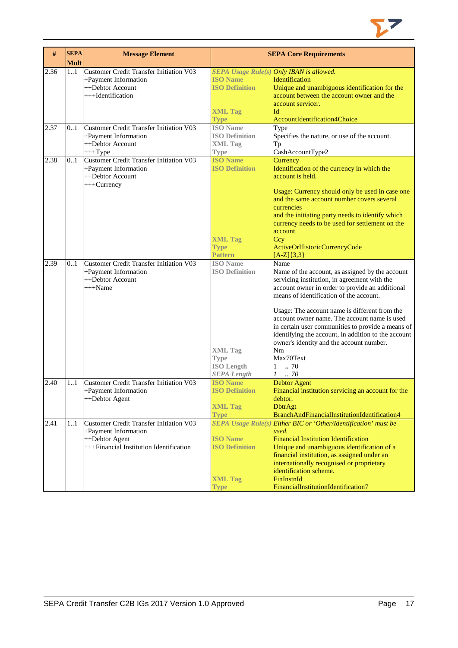

| #    | <b>SEPA</b><br><b>Mult</b> | <b>Message Element</b>                                                                                                              |                                                                                                                      | <b>SEPA Core Requirements</b>                                                                                                                                                                                                                                                                                                                                                                                                                                                                                             |
|------|----------------------------|-------------------------------------------------------------------------------------------------------------------------------------|----------------------------------------------------------------------------------------------------------------------|---------------------------------------------------------------------------------------------------------------------------------------------------------------------------------------------------------------------------------------------------------------------------------------------------------------------------------------------------------------------------------------------------------------------------------------------------------------------------------------------------------------------------|
| 2.36 | 1.1                        | Customer Credit Transfer Initiation V03<br>+Payment Information<br>++Debtor Account<br>+++Identification                            | <b>ISO Name</b><br><b>ISO Definition</b><br><b>XML Tag</b><br><b>Type</b>                                            | SEPA Usage Rule(s) Only IBAN is allowed.<br>Identification<br>Unique and unambiguous identification for the<br>account between the account owner and the<br>account servicer.<br>Id<br>AccountIdentification4Choice                                                                                                                                                                                                                                                                                                       |
| 2.37 | 0.1                        | Customer Credit Transfer Initiation V03<br>+Payment Information<br>++Debtor Account<br>$+++Type$                                    | <b>ISO Name</b><br><b>ISO Definition</b><br><b>XML Tag</b><br><b>Type</b>                                            | Type<br>Specifies the nature, or use of the account.<br>Tp<br>CashAccountType2                                                                                                                                                                                                                                                                                                                                                                                                                                            |
| 2.38 | 0.1                        | Customer Credit Transfer Initiation V03<br>+Payment Information<br>++Debtor Account<br>+++Currency                                  | <b>ISO Name</b><br><b>ISO Definition</b><br><b>XML Tag</b><br><b>Type</b><br><b>Pattern</b>                          | Currency<br>Identification of the currency in which the<br>account is held.<br>Usage: Currency should only be used in case one<br>and the same account number covers several<br>currencies<br>and the initiating party needs to identify which<br>currency needs to be used for settlement on the<br>account.<br>Ccy<br>ActiveOrHistoricCurrencyCode<br>$[A-Z]\{3,3\}$                                                                                                                                                    |
| 2.39 | 0.1                        | <b>Customer Credit Transfer Initiation V03</b><br>+Payment Information<br>++Debtor Account<br>$+++Name$                             | <b>ISO</b> Name<br><b>ISO Definition</b><br><b>XML Tag</b><br><b>Type</b><br><b>ISO Length</b><br><b>SEPA Length</b> | Name<br>Name of the account, as assigned by the account<br>servicing institution, in agreement with the<br>account owner in order to provide an additional<br>means of identification of the account.<br>Usage: The account name is different from the<br>account owner name. The account name is used<br>in certain user communities to provide a means of<br>identifying the account, in addition to the account<br>owner's identity and the account number.<br>Nm<br>Max70Text<br>.70<br>$\mathbf{1}$<br>$1 \quad .70$ |
| 2.40 | 11                         | Customer Credit Transfer Initiation V03<br>+Payment Information<br>++Debtor Agent                                                   | <b>ISO</b> Name<br><b>ISO Definition</b><br><b>XML Tag</b><br><b>Type</b>                                            | <b>Debtor Agent</b><br>Financial institution servicing an account for the<br>debtor.<br><b>DbtrAgt</b><br>BranchAndFinancialInstitutionIdentification4                                                                                                                                                                                                                                                                                                                                                                    |
| 2.41 | 1.1                        | <b>Customer Credit Transfer Initiation V03</b><br>+Payment Information<br>++Debtor Agent<br>+++Financial Institution Identification | <b>ISO Name</b><br><b>ISO Definition</b><br><b>XML Tag</b><br>Type                                                   | SEPA Usage Rule(s) Either BIC or 'Other/Identification' must be<br>used.<br><b>Financial Institution Identification</b><br>Unique and unambiguous identification of a<br>financial institution, as assigned under an<br>internationally recognised or proprietary<br>identification scheme.<br>FinInstnId<br>FinancialInstitutionIdentification7                                                                                                                                                                          |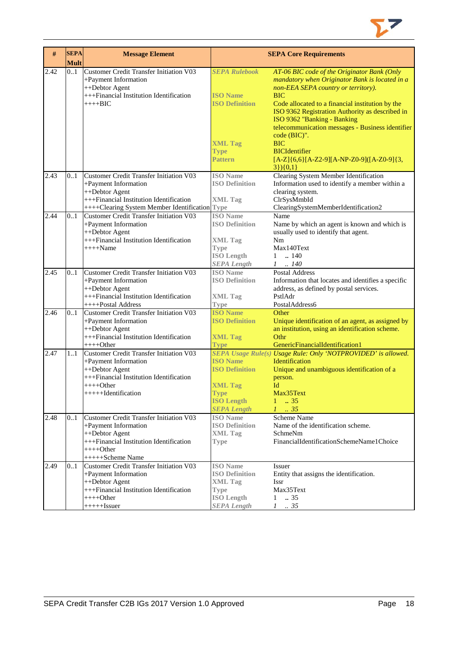

| $\#$ | <b>SEPA</b><br><b>Mult</b> | <b>Message Element</b>                                                                                                                                                  |                                                                                                               | <b>SEPA Core Requirements</b>                                                                                                                                                                                                                                                                                                                                                                                                                      |
|------|----------------------------|-------------------------------------------------------------------------------------------------------------------------------------------------------------------------|---------------------------------------------------------------------------------------------------------------|----------------------------------------------------------------------------------------------------------------------------------------------------------------------------------------------------------------------------------------------------------------------------------------------------------------------------------------------------------------------------------------------------------------------------------------------------|
| 2.42 | 0.1                        | <b>Customer Credit Transfer Initiation V03</b><br>+Payment Information<br>++Debtor Agent<br>+++Financial Institution Identification<br>$+++BIC$                         | <b>SEPA Rulebook</b><br><b>ISO</b> Name<br><b>ISO Definition</b><br><b>XML Tag</b><br><b>Type</b><br>Pattern  | AT-06 BIC code of the Originator Bank (Only<br>mandatory when Originator Bank is located in a<br>non-EEA SEPA country or territory).<br><b>BIC</b><br>Code allocated to a financial institution by the<br>ISO 9362 Registration Authority as described in<br>ISO 9362 "Banking - Banking<br>telecommunication messages - Business identifier<br>code (BIC)".<br><b>BIC</b><br><b>BICIdentifier</b><br>$[A-Z]$ {6,6}[A-Z2-9][A-NP-Z0-9]([A-Z0-9]{3, |
| 2.43 | 0.1                        | Customer Credit Transfer Initiation V03<br>+Payment Information                                                                                                         | <b>ISO</b> Name<br><b>ISO Definition</b>                                                                      | $3\}$ {0,1}<br>Clearing System Member Identification<br>Information used to identify a member within a                                                                                                                                                                                                                                                                                                                                             |
|      |                            | ++Debtor Agent<br>+++Financial Institution Identification<br>++++Clearing System Member Identification Type                                                             | <b>XML Tag</b>                                                                                                | clearing system.<br>ClrSysMmbId<br>ClearingSystemMemberIdentification2                                                                                                                                                                                                                                                                                                                                                                             |
| 2.44 | 0.1                        | <b>Customer Credit Transfer Initiation V03</b><br>+Payment Information<br>++Debtor Agent<br>+++Financial Institution Identification<br>$+++$ Name                       | <b>ISO</b> Name<br><b>ISO Definition</b><br><b>XML Tag</b><br><b>Type</b><br><b>ISO Length</b>                | Name<br>Name by which an agent is known and which is<br>usually used to identify that agent.<br>Nm<br>Max140Text<br>.140<br>$\mathbf{1}$                                                                                                                                                                                                                                                                                                           |
| 2.45 | 0.1                        | Customer Credit Transfer Initiation V03<br>+Payment Information<br>++Debtor Agent<br>+++Financial Institution Identification                                            | <b>SEPA Length</b><br><b>ISO</b> Name<br><b>ISO Definition</b><br><b>XML Tag</b>                              | $1 \quad 140$<br><b>Postal Address</b><br>Information that locates and identifies a specific<br>address, as defined by postal services.<br>PstlAdr                                                                                                                                                                                                                                                                                                 |
| 2.46 | 0.1                        | ++++Postal Address<br>Customer Credit Transfer Initiation V03<br>+Payment Information<br>++Debtor Agent<br>+++Financial Institution Identification<br>$+++Other$        | Type<br><b>ISO Name</b><br><b>ISO Definition</b><br><b>XML Tag</b><br><b>Type</b>                             | PostalAddress6<br>Other<br>Unique identification of an agent, as assigned by<br>an institution, using an identification scheme.<br>Othr<br>GenericFinancialIdentification1                                                                                                                                                                                                                                                                         |
| 2.47 | 1.1                        | <b>Customer Credit Transfer Initiation V03</b><br>+Payment Information<br>++Debtor Agent<br>+++Financial Institution Identification<br>++++Other<br>+++++Hdentification | <b>ISO Name</b><br><b>ISO Definition</b><br><b>XML Tag</b><br>Type<br><b>ISO Length</b><br><b>SEPA Length</b> | SEPA Usage Rule(s) Usage Rule: Only 'NOTPROVIDED' is allowed.<br>Identification<br>Unique and unambiguous identification of a<br>person.<br>Id<br>Max35Text<br>$\mathbf{1}$<br>.35<br>$\therefore$ 35<br>$\mathcal{I}$                                                                                                                                                                                                                             |
| 2.48 | 0.1                        | Customer Credit Transfer Initiation V03<br>+Payment Information<br>++Debtor Agent<br>+++Financial Institution Identification<br>$+++O$ ther<br>+++++Scheme Name         | <b>ISO</b> Name<br><b>ISO Definition</b><br><b>XML Tag</b><br><b>Type</b>                                     | Scheme Name<br>Name of the identification scheme.<br>SchmeNm<br>FinancialIdentificationSchemeName1Choice                                                                                                                                                                                                                                                                                                                                           |
| 2.49 | 01                         | <b>Customer Credit Transfer Initiation V03</b><br>+Payment Information<br>++Debtor Agent<br>+++Financial Institution Identification<br>$+++Other$<br>$+++++Issuer$      | <b>ISO</b> Name<br><b>ISO Definition</b><br>XML Tag<br>Type<br><b>ISO Length</b><br><b>SEPA Length</b>        | <b>Issuer</b><br>Entity that assigns the identification.<br>Issr<br>Max35Text<br>$1 \t . 35$<br>$1 \t . 35$                                                                                                                                                                                                                                                                                                                                        |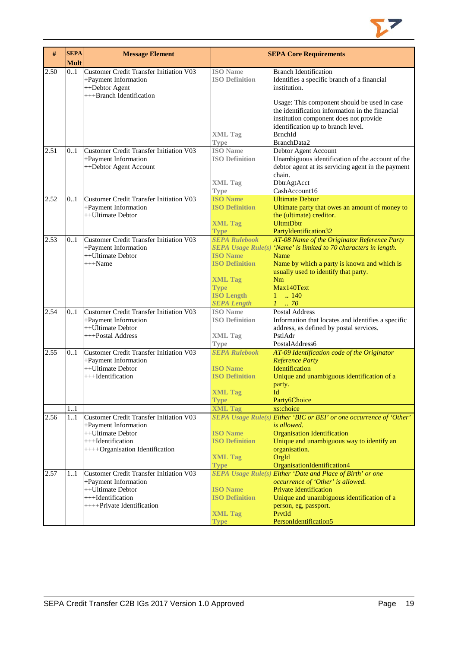

| #    | <b>SEPA</b><br><b>Mult</b> | <b>Message Element</b>                                                                                        |                                                            | <b>SEPA Core Requirements</b>                                                                                                                                                                  |
|------|----------------------------|---------------------------------------------------------------------------------------------------------------|------------------------------------------------------------|------------------------------------------------------------------------------------------------------------------------------------------------------------------------------------------------|
| 2.50 | 01                         | Customer Credit Transfer Initiation V03<br>+Payment Information<br>++Debtor Agent<br>+++Branch Identification | <b>ISO</b> Name<br><b>ISO Definition</b>                   | <b>Branch Identification</b><br>Identifies a specific branch of a financial<br>institution.<br>Usage: This component should be used in case<br>the identification information in the financial |
|      |                            |                                                                                                               | <b>XML Tag</b><br><b>Type</b>                              | institution component does not provide<br>identification up to branch level.<br><b>BrnchId</b><br>BranchData2                                                                                  |
| 2.51 | 01                         | <b>Customer Credit Transfer Initiation V03</b><br>+Payment Information<br>++Debtor Agent Account              | <b>ISO</b> Name<br><b>ISO Definition</b><br><b>XML Tag</b> | Debtor Agent Account<br>Unambiguous identification of the account of the<br>debtor agent at its servicing agent in the payment<br>chain.<br>DbtrAgtAcct                                        |
|      |                            |                                                                                                               | <b>Type</b>                                                | CashAccount16                                                                                                                                                                                  |
| 2.52 | 01                         | <b>Customer Credit Transfer Initiation V03</b>                                                                | <b>ISO Name</b>                                            | <b>Ultimate Debtor</b>                                                                                                                                                                         |
|      |                            | +Payment Information<br>++Ultimate Debtor                                                                     | <b>ISO Definition</b><br><b>XML Tag</b>                    | Ultimate party that owes an amount of money to<br>the (ultimate) creditor.<br><b>UltmtDbtr</b>                                                                                                 |
|      |                            |                                                                                                               | <b>Type</b>                                                | PartyIdentification32                                                                                                                                                                          |
| 2.53 | 0.1                        | Customer Credit Transfer Initiation V03<br>+Payment Information                                               | <b>SEPA Rulebook</b>                                       | AT-08 Name of the Originator Reference Party<br>SEPA Usage Rule(s) 'Name' is limited to 70 characters in length.                                                                               |
|      |                            | ++Ultimate Debtor<br>$+++Name$                                                                                | <b>ISO</b> Name<br><b>ISO Definition</b>                   | Name<br>Name by which a party is known and which is<br>usually used to identify that party.                                                                                                    |
|      |                            |                                                                                                               | <b>XML Tag</b><br><b>Type</b>                              | Nm<br>Max140Text                                                                                                                                                                               |
|      |                            |                                                                                                               | <b>ISO Length</b><br><b>SEPA Length</b>                    | $1 \quad . \quad 140$<br>$1 \dots 70$                                                                                                                                                          |
| 2.54 | 0.1                        | Customer Credit Transfer Initiation V03                                                                       | <b>ISO</b> Name                                            | <b>Postal Address</b>                                                                                                                                                                          |
|      |                            | +Payment Information                                                                                          | <b>ISO Definition</b>                                      | Information that locates and identifies a specific                                                                                                                                             |
|      |                            | ++Ultimate Debtor<br>+++Postal Address                                                                        | <b>XML Tag</b>                                             | address, as defined by postal services.<br>PstlAdr                                                                                                                                             |
|      |                            |                                                                                                               | <b>Type</b>                                                | PostalAddress6                                                                                                                                                                                 |
| 2.55 | 0.1                        | <b>Customer Credit Transfer Initiation V03</b><br>+Payment Information                                        | <b>SEPA Rulebook</b>                                       | AT-09 Identification code of the Originator<br><b>Reference Party</b>                                                                                                                          |
|      |                            | ++Ultimate Debtor<br>+++Identification                                                                        | <b>ISO Name</b><br><b>ISO Definition</b>                   | Identification<br>Unique and unambiguous identification of a                                                                                                                                   |
|      |                            |                                                                                                               |                                                            | party.                                                                                                                                                                                         |
|      |                            |                                                                                                               | <b>XML Tag</b>                                             | Id                                                                                                                                                                                             |
|      |                            |                                                                                                               | <b>Type</b>                                                | Party6Choice                                                                                                                                                                                   |
|      | 1.1                        |                                                                                                               | <b>XML Tag</b>                                             | xs:choice                                                                                                                                                                                      |
| 2.56 | 11                         | Customer Credit Transfer Initiation V03<br>+Payment Information                                               |                                                            | SEPA Usage Rule(s) Either 'BIC or BEI' or one occurrence of 'Other'<br><i>is allowed.</i>                                                                                                      |
|      |                            | ++Ultimate Debtor<br>+++Identification                                                                        | <b>ISO Name</b>                                            | <b>Organisation Identification</b>                                                                                                                                                             |
|      |                            | ++++Organisation Identification                                                                               | <b>ISO Definition</b>                                      | Unique and unambiguous way to identify an<br>organisation.                                                                                                                                     |
|      |                            |                                                                                                               | <b>XML Tag</b>                                             | OrgId                                                                                                                                                                                          |
|      |                            |                                                                                                               | <b>Type</b>                                                | OrganisationIdentification4                                                                                                                                                                    |
| 2.57 | 11                         | <b>Customer Credit Transfer Initiation V03</b><br>+Payment Information                                        |                                                            | SEPA Usage Rule(s) Either 'Date and Place of Birth' or one<br>occurrence of 'Other' is allowed.                                                                                                |
|      |                            | ++Ultimate Debtor                                                                                             | <b>ISO Name</b>                                            | <b>Private Identification</b>                                                                                                                                                                  |
|      |                            | +++Identification<br>++++Private Identification                                                               | <b>ISO Definition</b>                                      | Unique and unambiguous identification of a<br>person, eg, passport.                                                                                                                            |
|      |                            |                                                                                                               | <b>XML Tag</b>                                             | PrvtId                                                                                                                                                                                         |
|      |                            |                                                                                                               | <b>Type</b>                                                | PersonIdentification5                                                                                                                                                                          |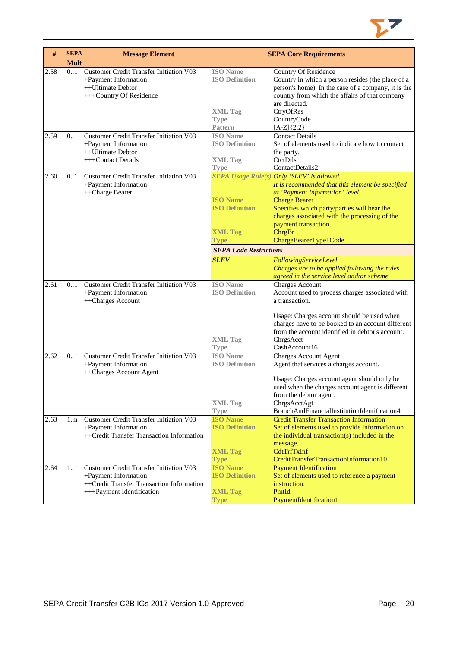

| #    | <b>SEPA</b><br><b>Mult</b> | <b>Message Element</b>                         |                                          | <b>SEPA Core Requirements</b>                       |
|------|----------------------------|------------------------------------------------|------------------------------------------|-----------------------------------------------------|
| 2.58 | 0.1                        | Customer Credit Transfer Initiation V03        | <b>ISO</b> Name                          | Country Of Residence                                |
|      |                            | +Payment Information                           | <b>ISO Definition</b>                    | Country in which a person resides (the place of a   |
|      |                            | ++Ultimate Debtor                              |                                          | person's home). In the case of a company, it is the |
|      |                            | +++Country Of Residence                        |                                          | country from which the affairs of that company      |
|      |                            |                                                |                                          | are directed.                                       |
|      |                            |                                                | <b>XML</b> Tag                           | CtryOfRes                                           |
|      |                            |                                                | <b>Type</b>                              | CountryCode                                         |
|      |                            |                                                | <b>Pattern</b>                           | $[A-Z]\{2,2\}$                                      |
| 2.59 | 0.1                        | <b>Customer Credit Transfer Initiation V03</b> | <b>ISO</b> Name                          | <b>Contact Details</b>                              |
|      |                            | +Payment Information                           | <b>ISO Definition</b>                    | Set of elements used to indicate how to contact     |
|      |                            | ++Ultimate Debtor                              |                                          |                                                     |
|      |                            | +++Contact Details                             |                                          | the party.<br>CtctDtls                              |
|      |                            |                                                | <b>XML Tag</b>                           |                                                     |
|      |                            | <b>Customer Credit Transfer Initiation V03</b> | <b>Type</b>                              | ContactDetails2                                     |
| 2.60 | 0.1                        |                                                |                                          | SEPA Usage Rule(s) Only 'SLEV' is allowed.          |
|      |                            | +Payment Information                           |                                          | It is recommended that this element be specified    |
|      |                            | ++Charge Bearer                                |                                          | at 'Payment Information' level.                     |
|      |                            |                                                | <b>ISO Name</b><br><b>ISO Definition</b> | <b>Charge Bearer</b>                                |
|      |                            |                                                |                                          | Specifies which party/parties will bear the         |
|      |                            |                                                |                                          | charges associated with the processing of the       |
|      |                            |                                                |                                          | payment transaction.                                |
|      |                            |                                                | <b>XML Tag</b>                           | ChrgBr                                              |
|      |                            |                                                | <b>Type</b>                              | ChargeBearerType1Code                               |
|      |                            |                                                | <b>SEPA Code Restrictions</b>            |                                                     |
|      |                            |                                                | <b>SLEV</b>                              | FollowingServiceLevel                               |
|      |                            |                                                |                                          | Charges are to be applied following the rules       |
|      |                            |                                                |                                          | agreed in the service level and/or scheme.          |
| 2.61 | 0.1                        | <b>Customer Credit Transfer Initiation V03</b> | <b>ISO</b> Name                          | <b>Charges Account</b>                              |
|      |                            | +Payment Information                           | <b>ISO Definition</b>                    | Account used to process charges associated with     |
|      |                            | ++Charges Account                              |                                          | a transaction.                                      |
|      |                            |                                                |                                          | Usage: Charges account should be used when          |
|      |                            |                                                |                                          | charges have to be booked to an account different   |
|      |                            |                                                |                                          | from the account identified in debtor's account.    |
|      |                            |                                                | <b>XML Tag</b>                           | ChrgsAcct                                           |
|      |                            |                                                | <b>Type</b>                              | CashAccount16                                       |
| 2.62 | 01                         | Customer Credit Transfer Initiation V03        | <b>ISO</b> Name                          | <b>Charges Account Agent</b>                        |
|      |                            | +Payment Information                           | <b>ISO Definition</b>                    | Agent that services a charges account.              |
|      |                            | ++Charges Account Agent                        |                                          | Usage: Charges account agent should only be         |
|      |                            |                                                |                                          | used when the charges account agent is different    |
|      |                            |                                                |                                          | from the debtor agent.                              |
|      |                            |                                                | <b>XML Tag</b>                           | ChrgsAcctAgt                                        |
|      |                            |                                                | <b>Type</b>                              | BranchAndFinancialInstitutionIdentification4        |
| 2.63 | 1n                         | <b>Customer Credit Transfer Initiation V03</b> | <b>ISO Name</b>                          | <b>Credit Transfer Transaction Information</b>      |
|      |                            | +Payment Information                           | <b>ISO Definition</b>                    | Set of elements used to provide information on      |
|      |                            | ++Credit Transfer Transaction Information      |                                          | the individual transaction(s) included in the       |
|      |                            |                                                |                                          | message.                                            |
|      |                            |                                                | <b>XML Tag</b>                           | CdtTrfTxInf                                         |
|      |                            |                                                | <b>Type</b>                              | CreditTransferTransactionInformation10              |
| 2.64 | 11                         | <b>Customer Credit Transfer Initiation V03</b> | <b>ISO Name</b>                          | <b>Payment Identification</b>                       |
|      |                            | +Payment Information                           | <b>ISO Definition</b>                    | Set of elements used to reference a payment         |
|      |                            | ++Credit Transfer Transaction Information      |                                          | instruction.                                        |
|      |                            | +++Payment Identification                      | <b>XML Tag</b>                           | PmtId                                               |
|      |                            |                                                | <b>Type</b>                              | PaymentIdentification1                              |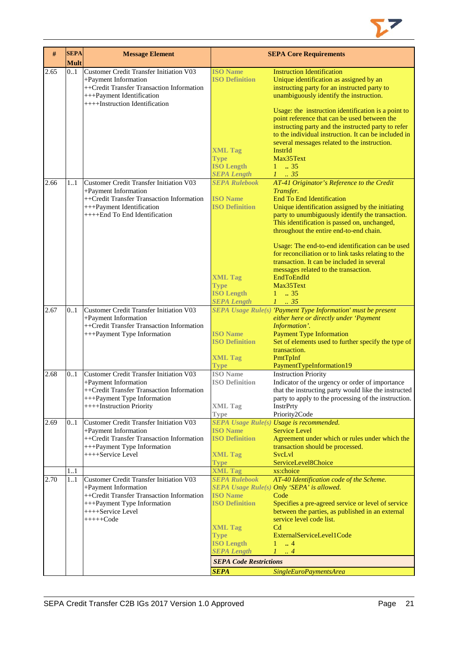

| #    | <b>SEPA</b><br><b>Mult</b> | <b>Message Element</b>                         |                                              | <b>SEPA Core Requirements</b>                                                                     |
|------|----------------------------|------------------------------------------------|----------------------------------------------|---------------------------------------------------------------------------------------------------|
| 2.65 | 0.1                        | Customer Credit Transfer Initiation V03        | <b>ISO Name</b>                              | <b>Instruction Identification</b>                                                                 |
|      |                            | +Payment Information                           | <b>ISO Definition</b>                        | Unique identification as assigned by an                                                           |
|      |                            | ++Credit Transfer Transaction Information      |                                              | instructing party for an instructed party to                                                      |
|      |                            | +++Payment Identification                      |                                              | unambiguously identify the instruction.                                                           |
|      |                            | ++++Instruction Identification                 |                                              |                                                                                                   |
|      |                            |                                                |                                              | Usage: the instruction identification is a point to                                               |
|      |                            |                                                |                                              | point reference that can be used between the                                                      |
|      |                            |                                                |                                              | instructing party and the instructed party to refer                                               |
|      |                            |                                                |                                              | to the individual instruction. It can be included in                                              |
|      |                            |                                                |                                              | several messages related to the instruction.                                                      |
|      |                            |                                                | <b>XML Tag</b>                               | InstrId                                                                                           |
|      |                            |                                                | <b>Type</b>                                  | Max35Text                                                                                         |
|      |                            |                                                | <b>ISO Length</b>                            | $1 \t . 35$                                                                                       |
|      |                            |                                                |                                              |                                                                                                   |
|      |                            |                                                | <b>SEPA Length</b>                           | $1 \t . 35$                                                                                       |
| 2.66 | 11                         | Customer Credit Transfer Initiation V03        | <b>SEPA Rulebook</b>                         | AT-41 Originator's Reference to the Credit                                                        |
|      |                            | +Payment Information                           |                                              | Transfer.                                                                                         |
|      |                            | ++Credit Transfer Transaction Information      | <b>ISO</b> Name                              | <b>End To End Identification</b>                                                                  |
|      |                            | +++Payment Identification                      | <b>ISO Definition</b>                        | Unique identification assigned by the initiating                                                  |
|      |                            | ++++End To End Identification                  |                                              | party to unumbiguously identify the transaction.                                                  |
|      |                            |                                                |                                              | This identification is passed on, unchanged,                                                      |
|      |                            |                                                |                                              | throughout the entire end-to-end chain.                                                           |
|      |                            |                                                |                                              | Usage: The end-to-end identification can be used                                                  |
|      |                            |                                                |                                              | for reconciliation or to link tasks relating to the<br>transaction. It can be included in several |
|      |                            |                                                |                                              | messages related to the transaction.                                                              |
|      |                            |                                                |                                              | EndToEndId                                                                                        |
|      |                            |                                                | <b>XML Tag</b>                               | Max35Text                                                                                         |
|      |                            |                                                | <b>Type</b>                                  |                                                                                                   |
|      |                            |                                                | <b>ISO Length</b>                            | $1 \t . 35$                                                                                       |
| 2.67 | 0.1                        | Customer Credit Transfer Initiation V03        | <b>SEPA Length</b>                           | $1 \t35$<br>SEPA Usage Rule(s) 'Payment Type Information' must be present                         |
|      |                            | +Payment Information                           |                                              | either here or directly under 'Payment                                                            |
|      |                            | ++Credit Transfer Transaction Information      |                                              | Information'.                                                                                     |
|      |                            | +++Payment Type Information                    | <b>ISO Name</b>                              | <b>Payment Type Information</b>                                                                   |
|      |                            |                                                | <b>ISO Definition</b>                        | Set of elements used to further specify the type of                                               |
|      |                            |                                                |                                              | transaction.                                                                                      |
|      |                            |                                                | <b>XML Tag</b>                               | PmtTpInf                                                                                          |
|      |                            |                                                | <b>Type</b>                                  | PaymentTypeInformation19                                                                          |
| 2.68 | 01                         | Customer Credit Transfer Initiation V03        | <b>ISO</b> Name                              | <b>Instruction Priority</b>                                                                       |
|      |                            | +Payment Information                           | <b>ISO Definition</b>                        | Indicator of the urgency or order of importance                                                   |
|      |                            | ++Credit Transfer Transaction Information      |                                              | that the instructing party would like the instructed                                              |
|      |                            | +++Payment Type Information                    |                                              | party to apply to the processing of the instruction.                                              |
|      |                            | ++++Instruction Priority                       | <b>XML Tag</b>                               | <b>InstrPrty</b>                                                                                  |
|      |                            |                                                | <b>Type</b>                                  | Priority2Code                                                                                     |
| 2.69 | 0.1                        | <b>Customer Credit Transfer Initiation V03</b> |                                              | SEPA Usage Rule(s) Usage is recommended.                                                          |
|      |                            | +Payment Information                           | <b>ISO</b> Name                              | <b>Service Level</b>                                                                              |
|      |                            | ++Credit Transfer Transaction Information      | <b>ISO Definition</b>                        | Agreement under which or rules under which the                                                    |
|      |                            | +++Payment Type Information                    |                                              | transaction should be processed.                                                                  |
|      |                            | ++++Service Level                              | <b>XML Tag</b>                               | SvcLvl                                                                                            |
|      |                            |                                                | <b>Type</b>                                  | ServiceLevel8Choice                                                                               |
|      | 11                         |                                                | <b>XML Tag</b>                               | xs:choice                                                                                         |
| 2.70 | 1.1                        | Customer Credit Transfer Initiation V03        | <b>SEPA Rulebook</b>                         | AT-40 Identification code of the Scheme.                                                          |
|      |                            | +Payment Information                           |                                              | SEPA Usage Rule(s) Only 'SEPA' is allowed.                                                        |
|      |                            | ++Credit Transfer Transaction Information      | <b>ISO Name</b>                              | Code                                                                                              |
|      |                            | +++Payment Type Information                    | <b>ISO Definition</b>                        | Specifies a pre-agreed service or level of service                                                |
|      |                            | ++++Service Level                              |                                              | between the parties, as published in an external                                                  |
|      |                            | $++++-Code$                                    |                                              | service level code list.                                                                          |
|      |                            |                                                | <b>XML Tag</b>                               | C <sub>d</sub>                                                                                    |
|      |                            |                                                | <b>Type</b>                                  | ExternalServiceLevel1Code                                                                         |
|      |                            |                                                | <b>ISO Length</b>                            | $1 \t . 4$                                                                                        |
|      |                            |                                                | <b>SEPA Length</b>                           | $1 \ldots 4$                                                                                      |
|      |                            |                                                | <b>SEPA Code Restrictions</b><br><b>SEPA</b> | SingleEuroPaymentsArea                                                                            |
|      |                            |                                                |                                              |                                                                                                   |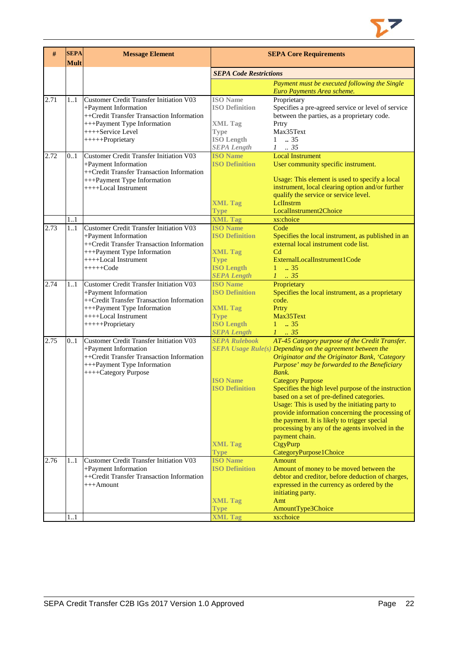

| #    | <b>SEPA</b><br><b>Mult</b> | <b>Message Element</b>                                                                                                                                                                  | <b>SEPA Core Requirements</b>                                                                                        |                                                                                                                                                                                                                                                                                                                                                                                                                                                                                                                                                                                                                       |  |
|------|----------------------------|-----------------------------------------------------------------------------------------------------------------------------------------------------------------------------------------|----------------------------------------------------------------------------------------------------------------------|-----------------------------------------------------------------------------------------------------------------------------------------------------------------------------------------------------------------------------------------------------------------------------------------------------------------------------------------------------------------------------------------------------------------------------------------------------------------------------------------------------------------------------------------------------------------------------------------------------------------------|--|
|      |                            |                                                                                                                                                                                         | <b>SEPA Code Restrictions</b>                                                                                        |                                                                                                                                                                                                                                                                                                                                                                                                                                                                                                                                                                                                                       |  |
|      |                            |                                                                                                                                                                                         |                                                                                                                      | Payment must be executed following the Single<br>Euro Payments Area scheme.                                                                                                                                                                                                                                                                                                                                                                                                                                                                                                                                           |  |
| 2.71 | 11                         | Customer Credit Transfer Initiation V03<br>+Payment Information<br>++Credit Transfer Transaction Information<br>+++Payment Type Information<br>++++Service Level<br>+++++Proprietary    | <b>ISO</b> Name<br><b>ISO Definition</b><br><b>XML</b> Tag<br><b>Type</b><br><b>ISO Length</b><br><b>SEPA Length</b> | Proprietary<br>Specifies a pre-agreed service or level of service<br>between the parties, as a proprietary code.<br>Prtry<br>Max35Text<br>$1 \t . 35$<br>$1 \t . 35$                                                                                                                                                                                                                                                                                                                                                                                                                                                  |  |
| 2.72 | 0.1                        | Customer Credit Transfer Initiation V03<br>+Payment Information<br>++Credit Transfer Transaction Information<br>+++Payment Type Information<br>++++Local Instrument                     | <b>ISO Name</b><br><b>ISO Definition</b><br><b>XML Tag</b><br>Type                                                   | <b>Local Instrument</b><br>User community specific instrument.<br>Usage: This element is used to specify a local<br>instrument, local clearing option and/or further<br>qualify the service or service level.<br>LelInstrm<br>LocalInstrument2Choice                                                                                                                                                                                                                                                                                                                                                                  |  |
|      | 11                         |                                                                                                                                                                                         | <b>XML Tag</b>                                                                                                       | xs:choice                                                                                                                                                                                                                                                                                                                                                                                                                                                                                                                                                                                                             |  |
| 2.73 | 1.1                        | Customer Credit Transfer Initiation V03<br>+Payment Information<br>++Credit Transfer Transaction Information<br>+++Payment Type Information<br>++++Local Instrument<br>$+++++Code$      | <b>ISO Name</b><br><b>ISO Definition</b><br><b>XML Tag</b><br><b>Type</b><br><b>ISO Length</b><br><b>SEPA Length</b> | Code<br>Specifies the local instrument, as published in an<br>external local instrument code list.<br>C <sub>d</sub><br>ExternalLocalInstrument1Code<br>$1 \t . 35$<br>$1 \t35$                                                                                                                                                                                                                                                                                                                                                                                                                                       |  |
| 2.74 | 11                         | Customer Credit Transfer Initiation V03<br>+Payment Information<br>++Credit Transfer Transaction Information<br>+++Payment Type Information<br>++++Local Instrument<br>+++++Proprietary | <b>ISO Name</b><br><b>ISO Definition</b><br><b>XML Tag</b><br><b>Type</b><br><b>ISO Length</b><br><b>SEPA Length</b> | Proprietary<br>Specifies the local instrument, as a proprietary<br>code.<br>Prtry<br>Max35Text<br>$1 \t . 35$<br>$1 \t 35$                                                                                                                                                                                                                                                                                                                                                                                                                                                                                            |  |
| 2.75 | 0.1                        | Customer Credit Transfer Initiation V03<br>+Payment Information<br>++Credit Transfer Transaction Information<br>+++Payment Type Information<br>++++Category Purpose                     | <b>SEPA Rulebook</b><br><b>ISO Name</b><br><b>ISO Definition</b><br><b>XML Tag</b><br><b>Type</b>                    | AT-45 Category purpose of the Credit Transfer.<br>SEPA Usage Rule(s) Depending on the agreement between the<br>Originator and the Originator Bank, 'Category<br>Purpose' may be forwarded to the Beneficiary<br>Bank.<br><b>Category Purpose</b><br>Specifies the high level purpose of the instruction<br>based on a set of pre-defined categories.<br>Usage: This is used by the initiating party to<br>provide information concerning the processing of<br>the payment. It is likely to trigger special<br>processing by any of the agents involved in the<br>payment chain.<br>CtgyPurp<br>CategoryPurpose1Choice |  |
| 2.76 | 11                         | <b>Customer Credit Transfer Initiation V03</b><br>+Payment Information<br>++Credit Transfer Transaction Information<br>$+++A$ mount                                                     | <b>ISO Name</b><br><b>ISO Definition</b><br><b>XML Tag</b>                                                           | <b>Amount</b><br>Amount of money to be moved between the<br>debtor and creditor, before deduction of charges,<br>expressed in the currency as ordered by the<br>initiating party.<br>Amt                                                                                                                                                                                                                                                                                                                                                                                                                              |  |
|      |                            |                                                                                                                                                                                         | <b>Type</b>                                                                                                          | AmountType3Choice                                                                                                                                                                                                                                                                                                                                                                                                                                                                                                                                                                                                     |  |
|      | 11                         |                                                                                                                                                                                         | <b>XML Tag</b>                                                                                                       | xs:choice                                                                                                                                                                                                                                                                                                                                                                                                                                                                                                                                                                                                             |  |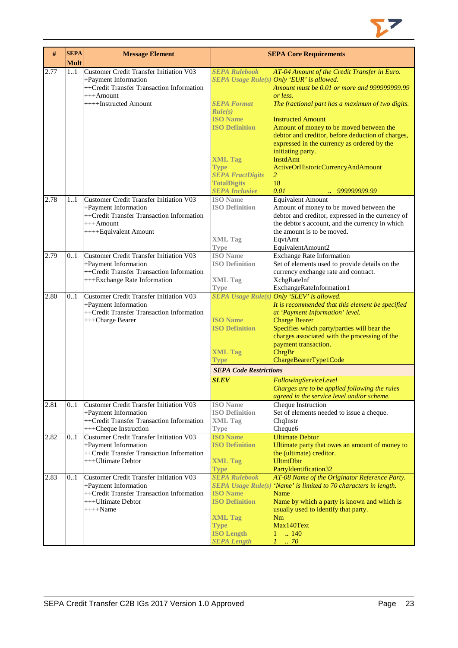

| #    | <b>SEPA</b><br><b>Mult</b> | <b>Message Element</b>                                          |                                          | <b>SEPA Core Requirements</b>                                    |
|------|----------------------------|-----------------------------------------------------------------|------------------------------------------|------------------------------------------------------------------|
| 2.77 | 11                         | <b>Customer Credit Transfer Initiation V03</b>                  | <b>SEPA Rulebook</b>                     | AT-04 Amount of the Credit Transfer in Euro.                     |
|      |                            | +Payment Information                                            |                                          | SEPA Usage Rule(s) Only 'EUR' is allowed.                        |
|      |                            | ++Credit Transfer Transaction Information                       |                                          | Amount must be 0.01 or more and 999999999.99                     |
|      |                            | $+++A$ mount                                                    |                                          | or less.                                                         |
|      |                            | ++++Instructed Amount                                           | <b>SEPA Format</b>                       | The fractional part has a maximum of two digits.                 |
|      |                            |                                                                 | Rule(s)                                  |                                                                  |
|      |                            |                                                                 | <b>ISO Name</b>                          | <b>Instructed Amount</b>                                         |
|      |                            |                                                                 | <b>ISO Definition</b>                    | Amount of money to be moved between the                          |
|      |                            |                                                                 |                                          | debtor and creditor, before deduction of charges,                |
|      |                            |                                                                 |                                          | expressed in the currency as ordered by the                      |
|      |                            |                                                                 |                                          | initiating party.                                                |
|      |                            |                                                                 | <b>XML Tag</b>                           | <b>InstdAmt</b>                                                  |
|      |                            |                                                                 | <b>Type</b><br><b>SEPA FractDigits</b>   | ActiveOrHistoricCurrencyAndAmount<br>2                           |
|      |                            |                                                                 | <b>TotalDigits</b>                       | 18                                                               |
|      |                            |                                                                 | <b>SEPA Inclusive</b>                    | 0.01<br>999999999.99<br>$\mathbf{r}$                             |
| 2.78 | 11                         | Customer Credit Transfer Initiation V03                         | <b>ISO</b> Name                          | <b>Equivalent Amount</b>                                         |
|      |                            | +Payment Information                                            | <b>ISO Definition</b>                    | Amount of money to be moved between the                          |
|      |                            | ++Credit Transfer Transaction Information                       |                                          | debtor and creditor, expressed in the currency of                |
|      |                            | $+++A$ mount                                                    |                                          | the debtor's account, and the currency in which                  |
|      |                            | ++++Equivalent Amount                                           |                                          | the amount is to be moved.                                       |
|      |                            |                                                                 | <b>XML Tag</b>                           | EqvtAmt                                                          |
|      |                            |                                                                 | <b>Type</b>                              | EquivalentAmount2                                                |
| 2.79 | 0.1                        | Customer Credit Transfer Initiation V03                         | <b>ISO</b> Name                          | <b>Exchange Rate Information</b>                                 |
|      |                            | +Payment Information                                            | <b>ISO Definition</b>                    | Set of elements used to provide details on the                   |
|      |                            | ++Credit Transfer Transaction Information                       |                                          | currency exchange rate and contract.                             |
|      |                            | +++Exchange Rate Information                                    | <b>XML Tag</b><br><b>Type</b>            | XchgRateInf<br>ExchangeRateInformation1                          |
| 2.80 | 0.1                        | Customer Credit Transfer Initiation V03                         |                                          | SEPA Usage Rule(s) Only 'SLEV' is allowed.                       |
|      |                            | +Payment Information                                            |                                          | It is recommended that this element be specified                 |
|      |                            | ++Credit Transfer Transaction Information                       |                                          | at 'Payment Information' level.                                  |
|      |                            | +++Charge Bearer                                                | <b>ISO</b> Name                          | <b>Charge Bearer</b>                                             |
|      |                            |                                                                 | <b>ISO Definition</b>                    | Specifies which party/parties will bear the                      |
|      |                            |                                                                 |                                          | charges associated with the processing of the                    |
|      |                            |                                                                 |                                          | payment transaction.                                             |
|      |                            |                                                                 | <b>XML Tag</b>                           | ChrgBr                                                           |
|      |                            |                                                                 | Type                                     | ChargeBearerType1Code                                            |
|      |                            |                                                                 | <b>SEPA Code Restrictions</b>            |                                                                  |
|      |                            |                                                                 | <b>SLEV</b>                              | FollowingServiceLevel                                            |
|      |                            |                                                                 |                                          | Charges are to be applied following the rules                    |
| 2.81 | 0.1                        | Customer Credit Transfer Initiation V03                         | <b>ISO</b> Name                          | agreed in the service level and/or scheme.<br>Cheque Instruction |
|      |                            | +Payment Information                                            | <b>ISO Definition</b>                    | Set of elements needed to issue a cheque.                        |
|      |                            | ++Credit Transfer Transaction Information                       | <b>XML</b> Tag                           | ChqInstr                                                         |
|      |                            | +++Cheque Instruction                                           | Type                                     | Cheque6                                                          |
| 2.82 | 0.1                        | Customer Credit Transfer Initiation V03                         | <b>ISO Name</b>                          | <b>Ultimate Debtor</b>                                           |
|      |                            | +Payment Information                                            | <b>ISO Definition</b>                    | Ultimate party that owes an amount of money to                   |
|      |                            | ++Credit Transfer Transaction Information                       |                                          | the (ultimate) creditor.                                         |
|      |                            | +++Ultimate Debtor                                              | <b>XML Tag</b>                           | <b>UltmtDbtr</b>                                                 |
|      |                            |                                                                 | <b>Type</b>                              | PartyIdentification32                                            |
| 2.83 | 0.1                        | <b>Customer Credit Transfer Initiation V03</b>                  | <b>SEPA Rulebook</b>                     | AT-08 Name of the Originator Reference Party.                    |
|      |                            | +Payment Information                                            |                                          | SEPA Usage Rule(s) 'Name' is limited to 70 characters in length. |
|      |                            | ++Credit Transfer Transaction Information<br>+++Ultimate Debtor | <b>ISO</b> Name<br><b>ISO Definition</b> | Name<br>Name by which a party is known and which is              |
|      |                            | $++++$ Name                                                     |                                          | usually used to identify that party.                             |
|      |                            |                                                                 | <b>XML Tag</b>                           | Nm                                                               |
|      |                            |                                                                 | <b>Type</b>                              | Max140Text                                                       |
|      |                            |                                                                 | <b>ISO Length</b>                        | .140<br>1                                                        |
|      |                            |                                                                 | <b>SEPA Length</b>                       | $1 \cdot .70$                                                    |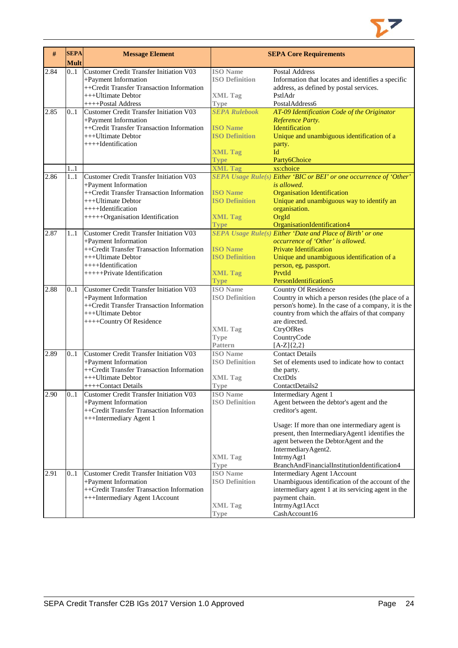

| #    | <b>SEPA</b><br>Mult | <b>Message Element</b>                                                                                                                                                                          |                                                                                                     | <b>SEPA Core Requirements</b>                                                                                                                                                                                                                                                                                           |
|------|---------------------|-------------------------------------------------------------------------------------------------------------------------------------------------------------------------------------------------|-----------------------------------------------------------------------------------------------------|-------------------------------------------------------------------------------------------------------------------------------------------------------------------------------------------------------------------------------------------------------------------------------------------------------------------------|
| 2.84 | 0.1                 | <b>Customer Credit Transfer Initiation V03</b><br>+Payment Information<br>++Credit Transfer Transaction Information<br>+++Ultimate Debtor                                                       | <b>ISO</b> Name<br><b>ISO Definition</b><br><b>XML Tag</b>                                          | <b>Postal Address</b><br>Information that locates and identifies a specific<br>address, as defined by postal services.<br>PstlAdr                                                                                                                                                                                       |
|      |                     | ++++Postal Address                                                                                                                                                                              | Type                                                                                                | PostalAddress6                                                                                                                                                                                                                                                                                                          |
| 2.85 | 0.1                 | <b>Customer Credit Transfer Initiation V03</b><br>+Payment Information<br>++Credit Transfer Transaction Information<br>+++Ultimate Debtor<br>++++Identification                                 | <b>SEPA Rulebook</b><br><b>ISO Name</b><br><b>ISO Definition</b><br><b>XML Tag</b>                  | AT-09 Identification Code of the Originator<br>Reference Party.<br>Identification<br>Unique and unambiguous identification of a<br>party.<br>Id                                                                                                                                                                         |
|      |                     |                                                                                                                                                                                                 | <b>Type</b>                                                                                         | Party6Choice                                                                                                                                                                                                                                                                                                            |
| 2.86 | 1.1<br>1.1          | <b>Customer Credit Transfer Initiation V03</b><br>+Payment Information                                                                                                                          | <b>XML Tag</b>                                                                                      | xs:choice<br>SEPA Usage Rule(s) Either 'BIC or BEI' or one occurrence of 'Other'<br>is allowed.                                                                                                                                                                                                                         |
|      |                     | ++Credit Transfer Transaction Information<br>+++Ultimate Debtor<br>++++Identification<br>+++++Organisation Identification                                                                       | <b>ISO Name</b><br><b>ISO Definition</b><br><b>XML Tag</b><br><b>Type</b>                           | <b>Organisation Identification</b><br>Unique and unambiguous way to identify an<br>organisation.<br>OrgId<br>OrganisationIdentification4                                                                                                                                                                                |
| 2.87 | 11                  | <b>Customer Credit Transfer Initiation V03</b><br>+Payment Information<br>++Credit Transfer Transaction Information<br>+++Ultimate Debtor<br>++++Identification<br>++++++Private Identification | <b>ISO</b> Name<br><b>ISO Definition</b><br><b>XML Tag</b>                                          | SEPA Usage Rule(s) Either 'Date and Place of Birth' or one<br>occurrence of 'Other' is allowed.<br><b>Private Identification</b><br>Unique and unambiguous identification of a<br>person, eg, passport.<br>PrvtId                                                                                                       |
| 2.88 | 0.1                 | Customer Credit Transfer Initiation V03<br>+Payment Information<br>++Credit Transfer Transaction Information<br>+++Ultimate Debtor<br>++++Country Of Residence                                  | <b>Type</b><br><b>ISO</b> Name<br><b>ISO Definition</b><br><b>XML Tag</b><br><b>Type</b><br>Pattern | PersonIdentification5<br><b>Country Of Residence</b><br>Country in which a person resides (the place of a<br>person's home). In the case of a company, it is the<br>country from which the affairs of that company<br>are directed.<br>CtryOfRes<br>CountryCode<br>$[A-Z]{2,2}$                                         |
| 2.89 | 0.1                 | <b>Customer Credit Transfer Initiation V03</b><br>+Payment Information<br>++Credit Transfer Transaction Information<br>+++Ultimate Debtor<br>++++Contact Details                                | <b>ISO</b> Name<br><b>ISO Definition</b><br><b>XML Tag</b><br><b>Type</b>                           | <b>Contact Details</b><br>Set of elements used to indicate how to contact<br>the party.<br>CtctDtls<br>ContactDetails2                                                                                                                                                                                                  |
| 2.90 | 0.1                 | Customer Credit Transfer Initiation V03<br>+Payment Information<br>++Credit Transfer Transaction Information<br>+++Intermediary Agent 1                                                         | <b>ISO Name</b><br><b>ISO Definition</b><br><b>XML Tag</b><br><b>Type</b>                           | Intermediary Agent 1<br>Agent between the debtor's agent and the<br>creditor's agent.<br>Usage: If more than one intermediary agent is<br>present, then IntermediaryAgent1 identifies the<br>agent between the DebtorAgent and the<br>IntermediaryAgent2.<br>IntrmyAgt1<br>BranchAndFinancialInstitutionIdentification4 |
| 2.91 | 01                  | Customer Credit Transfer Initiation V03<br>+Payment Information<br>++Credit Transfer Transaction Information<br>+++Intermediary Agent 1Account                                                  | <b>ISO</b> Name<br><b>ISO Definition</b><br><b>XML Tag</b><br><b>Type</b>                           | Intermediary Agent 1Account<br>Unambiguous identification of the account of the<br>intermediary agent 1 at its servicing agent in the<br>payment chain.<br>IntrmyAgt1Acct<br>CashAccount16                                                                                                                              |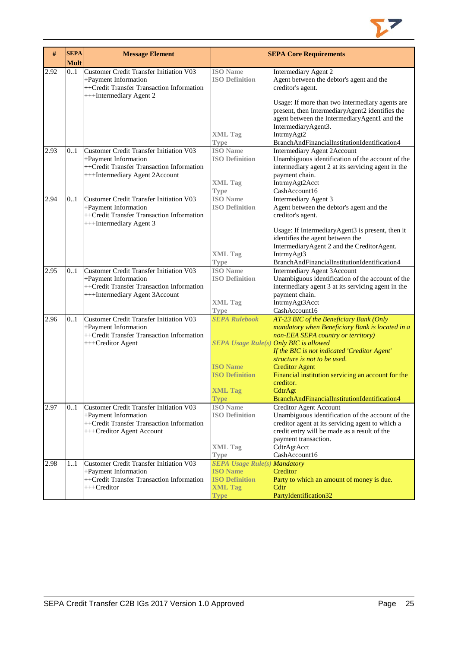

| #    | <b>SEPA</b> | <b>Message Element</b>                                                                                                                                |                                          | <b>SEPA Core Requirements</b>                                                                                                                                                  |
|------|-------------|-------------------------------------------------------------------------------------------------------------------------------------------------------|------------------------------------------|--------------------------------------------------------------------------------------------------------------------------------------------------------------------------------|
| 2.92 | Mult<br>0.1 | Customer Credit Transfer Initiation V03<br>+Payment Information<br>++Credit Transfer Transaction Information                                          | <b>ISO</b> Name<br><b>ISO Definition</b> | Intermediary Agent 2<br>Agent between the debtor's agent and the<br>creditor's agent.                                                                                          |
|      |             | +++Intermediary Agent 2                                                                                                                               |                                          | Usage: If more than two intermediary agents are<br>present, then IntermediaryAgent2 identifies the<br>agent between the IntermediaryAgent1 and the                             |
|      |             |                                                                                                                                                       | <b>XML Tag</b><br><b>Type</b>            | IntermediaryAgent3.<br>IntrmyAgt2<br>BranchAndFinancialInstitutionIdentification4                                                                                              |
| 2.93 | 0.1         | <b>Customer Credit Transfer Initiation V03</b><br>+Payment Information<br>++Credit Transfer Transaction Information<br>+++Intermediary Agent 2Account | <b>ISO</b> Name<br><b>ISO Definition</b> | <b>Intermediary Agent 2Account</b><br>Unambiguous identification of the account of the<br>intermediary agent 2 at its servicing agent in the<br>payment chain.                 |
|      |             |                                                                                                                                                       | <b>XML Tag</b><br><b>Type</b>            | IntrmyAgt2Acct<br>CashAccount16                                                                                                                                                |
| 2.94 | 0.1         | <b>Customer Credit Transfer Initiation V03</b><br>+Payment Information<br>++Credit Transfer Transaction Information<br>+++Intermediary Agent 3        | <b>ISO</b> Name<br><b>ISO Definition</b> | Intermediary Agent 3<br>Agent between the debtor's agent and the<br>creditor's agent.                                                                                          |
|      |             |                                                                                                                                                       | <b>XML Tag</b>                           | Usage: If IntermediaryAgent3 is present, then it<br>identifies the agent between the<br>IntermediaryAgent 2 and the CreditorAgent.<br>IntrmyAgt3                               |
| 2.95 | 0.1         | <b>Customer Credit Transfer Initiation V03</b>                                                                                                        | <b>Type</b><br><b>ISO</b> Name           | BranchAndFinancialInstitutionIdentification4                                                                                                                                   |
|      |             | +Payment Information<br>++Credit Transfer Transaction Information<br>+++Intermediary Agent 3Account                                                   | <b>ISO Definition</b>                    | <b>Intermediary Agent 3Account</b><br>Unambiguous identification of the account of the<br>intermediary agent 3 at its servicing agent in the<br>payment chain.                 |
|      |             |                                                                                                                                                       | <b>XML Tag</b><br><b>Type</b>            | IntrmyAgt3Acct<br>CashAccount16                                                                                                                                                |
| 2.96 | 0.1         | <b>Customer Credit Transfer Initiation V03</b><br>+Payment Information                                                                                | <b>SEPA Rulebook</b>                     | AT-23 BIC of the Beneficiary Bank (Only<br>mandatory when Beneficiary Bank is located in a                                                                                     |
|      |             | ++Credit Transfer Transaction Information<br>+++Creditor Agent                                                                                        | SEPA Usage Rule(s) Only BIC is allowed   | non-EEA SEPA country or territory)<br>If the BIC is not indicated 'Creditor Agent'                                                                                             |
|      |             |                                                                                                                                                       | <b>ISO Name</b><br><b>ISO Definition</b> | structure is not to be used.<br><b>Creditor Agent</b><br>Financial institution servicing an account for the                                                                    |
|      |             |                                                                                                                                                       | <b>XML Tag</b><br><b>Type</b>            | creditor.<br>CdtrAgt<br>BranchAndFinancialInstitutionIdentification4                                                                                                           |
| 2.97 | 0.1         | Customer Credit Transfer Initiation V03<br>+Payment Information<br>++Credit Transfer Transaction Information<br>+++Creditor Agent Account             | <b>ISO</b> Name<br><b>ISO Definition</b> | Creditor Agent Account<br>Unambiguous identification of the account of the<br>creditor agent at its servicing agent to which a<br>credit entry will be made as a result of the |
|      |             |                                                                                                                                                       | <b>XML Tag</b><br><b>Type</b>            | payment transaction.<br>CdtrAgtAcct<br>CashAccount16                                                                                                                           |
| 2.98 | 1.1         | <b>Customer Credit Transfer Initiation V03</b>                                                                                                        | <b>SEPA Usage Rule(s) Mandatory</b>      |                                                                                                                                                                                |
|      |             | +Payment Information                                                                                                                                  | <b>ISO</b> Name                          | Creditor                                                                                                                                                                       |
|      |             | ++Credit Transfer Transaction Information<br>+++Creditor                                                                                              | <b>ISO Definition</b><br><b>XML Tag</b>  | Party to which an amount of money is due.<br>Cdtr                                                                                                                              |
|      |             |                                                                                                                                                       | <b>Type</b>                              | PartyIdentification32                                                                                                                                                          |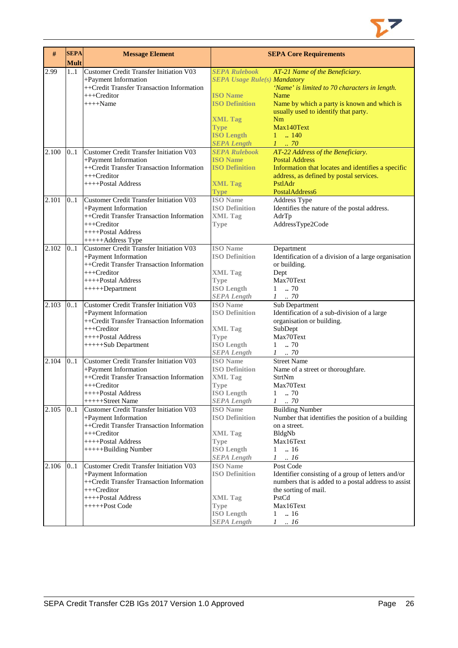

| #     | <b>SEPA</b><br><b>Mult</b> | <b>Message Element</b>                                            |                                          | <b>SEPA Core Requirements</b>                                     |
|-------|----------------------------|-------------------------------------------------------------------|------------------------------------------|-------------------------------------------------------------------|
| 2.99  | 1.1                        | <b>Customer Credit Transfer Initiation V03</b>                    | <b>SEPA Rulebook</b>                     | AT-21 Name of the Beneficiary.                                    |
|       |                            | +Payment Information                                              | <b>SEPA Usage Rule(s) Mandatory</b>      |                                                                   |
|       |                            | ++Credit Transfer Transaction Information                         |                                          | 'Name' is limited to 70 characters in length.                     |
|       |                            | +++Creditor                                                       | <b>ISO Name</b>                          | Name                                                              |
|       |                            | $+++$ Name                                                        | <b>ISO Definition</b>                    | Name by which a party is known and which is                       |
|       |                            |                                                                   |                                          | usually used to identify that party.                              |
|       |                            |                                                                   | <b>XML Tag</b>                           | Nm                                                                |
|       |                            |                                                                   | <b>Type</b>                              | Max140Text                                                        |
|       |                            |                                                                   | <b>ISO Length</b>                        | $1 \t  140$                                                       |
|       |                            |                                                                   | <b>SEPA Length</b>                       | $1 \cdot .70$                                                     |
| 2.100 | 0.1                        | Customer Credit Transfer Initiation V03                           | <b>SEPA Rulebook</b>                     | AT-22 Address of the Beneficiary.                                 |
|       |                            | +Payment Information                                              | <b>ISO Name</b>                          | <b>Postal Address</b>                                             |
|       |                            | ++Credit Transfer Transaction Information                         | <b>ISO Definition</b>                    | Information that locates and identifies a specific                |
|       |                            | +++Creditor                                                       |                                          | address, as defined by postal services.                           |
|       |                            | ++++Postal Address                                                | <b>XML Tag</b>                           | PstlAdr                                                           |
| 2.101 |                            |                                                                   | <b>Type</b>                              | PostalAddress6                                                    |
|       | 0.1                        | <b>Customer Credit Transfer Initiation V03</b>                    | <b>ISO</b> Name<br><b>ISO Definition</b> | Address Type                                                      |
|       |                            | +Payment Information<br>++Credit Transfer Transaction Information | <b>XML Tag</b>                           | Identifies the nature of the postal address.<br>AdrTp             |
|       |                            | $++$ Creditor                                                     | <b>Type</b>                              | AddressType2Code                                                  |
|       |                            | ++++Postal Address                                                |                                          |                                                                   |
|       |                            | +++++Address Type                                                 |                                          |                                                                   |
| 2.102 | 0.1                        | <b>Customer Credit Transfer Initiation V03</b>                    | <b>ISO Name</b>                          | Department                                                        |
|       |                            | +Payment Information                                              | <b>ISO Definition</b>                    | Identification of a division of a large organisation              |
|       |                            | ++Credit Transfer Transaction Information                         |                                          | or building.                                                      |
|       |                            | $++$ Creditor                                                     | <b>XML Tag</b>                           | Dept                                                              |
|       |                            | ++++Postal Address                                                | <b>Type</b>                              | Max70Text                                                         |
|       |                            | $+++++Department$                                                 | <b>ISO</b> Length                        | $1 \t . 70$                                                       |
|       |                            |                                                                   | <b>SEPA</b> Length                       | $1 \t . 70$                                                       |
| 2.103 | 0.1                        | <b>Customer Credit Transfer Initiation V03</b>                    | <b>ISO</b> Name                          | Sub Department                                                    |
|       |                            | +Payment Information                                              | <b>ISO Definition</b>                    | Identification of a sub-division of a large                       |
|       |                            | ++Credit Transfer Transaction Information                         |                                          | organisation or building.                                         |
|       |                            | +++Creditor                                                       | <b>XML Tag</b>                           | SubDept                                                           |
|       |                            | ++++Postal Address                                                | Type                                     | Max70Text                                                         |
|       |                            | +++++Sub Department                                               | <b>ISO Length</b>                        | $1 \t . 70$                                                       |
|       |                            |                                                                   | <b>SEPA Length</b>                       | $1 \t . 70$                                                       |
| 2.104 | 0.1                        | <b>Customer Credit Transfer Initiation V03</b>                    | <b>ISO</b> Name                          | <b>Street Name</b>                                                |
|       |                            | +Payment Information                                              | <b>ISO Definition</b>                    | Name of a street or thoroughfare.                                 |
|       |                            | ++Credit Transfer Transaction Information                         | <b>XML Tag</b>                           | StrtNm                                                            |
|       |                            | +++Creditor                                                       | <b>Type</b>                              | Max70Text                                                         |
|       |                            | ++++Postal Address<br>+++++Street Name                            | <b>ISO</b> Length                        | 1<br>.70<br>$\mathcal{I}$                                         |
|       |                            |                                                                   | <b>SEPA Length</b><br><b>ISO</b> Name    | .70                                                               |
| 2.105 | 01                         | Customer Credit Transfer Initiation V03                           | <b>ISO Definition</b>                    | <b>Building Number</b>                                            |
|       |                            | +Payment Information<br>++Credit Transfer Transaction Information |                                          | Number that identifies the position of a building<br>on a street. |
|       |                            | +++Creditor                                                       | <b>XML Tag</b>                           | BldgNb                                                            |
|       |                            | $++++$ Postal Address                                             | <b>Type</b>                              | Max16Text                                                         |
|       |                            | +++++Building Number                                              | <b>ISO</b> Length                        | $1 \t . 16$                                                       |
|       |                            |                                                                   | <b>SEPA Length</b>                       | $1 \quad .16$                                                     |
| 2.106 | 0.1                        | <b>Customer Credit Transfer Initiation V03</b>                    | <b>ISO</b> Name                          | Post Code                                                         |
|       |                            | +Payment Information                                              | <b>ISO Definition</b>                    | Identifier consisting of a group of letters and/or                |
|       |                            | ++Credit Transfer Transaction Information                         |                                          | numbers that is added to a postal address to assist               |
|       |                            | $++$ Creditor                                                     |                                          | the sorting of mail.                                              |
|       |                            | ++++Postal Address                                                | <b>XML Tag</b>                           | PstCd                                                             |
|       |                            | +++++Post Code                                                    | <b>Type</b>                              | Max16Text                                                         |
|       |                            |                                                                   | <b>ISO</b> Length                        | .16<br>$\mathbf{1}$                                               |
|       |                            |                                                                   | <b>SEPA Length</b>                       | $\cdot$ 16<br>$\mathcal{I}$                                       |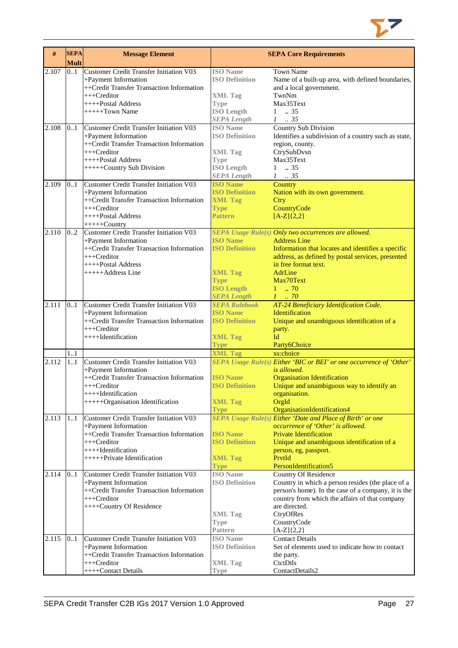

| <b>Customer Credit Transfer Initiation V03</b><br><b>ISO</b> Name<br>0.1<br><b>Town Name</b><br>2.107<br><b>ISO Definition</b><br>+Payment Information<br>Name of a built-up area, with defined boundaries,<br>++Credit Transfer Transaction Information<br>and a local government.<br>+++Creditor<br>TwnNm<br><b>XML Tag</b><br>++++Postal Address<br>Max35Text<br><b>Type</b><br>$+++++Town Name$<br><b>ISO Length</b><br>$\therefore$ 35<br>$\mathbf{1}$<br><b>SEPA Length</b><br>$1 \t . 35$<br><b>Country Sub Division</b><br>2.108<br><b>Customer Credit Transfer Initiation V03</b><br><b>ISO</b> Name<br>0.1<br><b>ISO Definition</b><br>+Payment Information<br>Identifies a subdivision of a country such as state,<br>++Credit Transfer Transaction Information<br>region, county.<br>$+++Creditor$<br>CtrySubDvsn<br><b>XML</b> Tag<br>++++Postal Address<br>Max35Text<br><b>Type</b><br><b>ISO Length</b><br>$1 \t . 35$<br>+++++Country Sub Division<br><b>SEPA Length</b><br>$1-.35$<br>Customer Credit Transfer Initiation V03<br>2.109<br><b>ISO Name</b><br>Country<br>0.1<br><b>ISO Definition</b><br>+Payment Information<br>Nation with its own government.<br>++Credit Transfer Transaction Information<br><b>XML Tag</b><br>Ctry<br>CountryCode<br>$++$ Creditor<br><b>Type</b><br>++++Postal Address<br><b>Pattern</b><br>$[A-Z]{2,2}$<br>$+++++Country$<br>2.110<br><b>Customer Credit Transfer Initiation V03</b><br>02<br>SEPA Usage Rule(s) Only two occurrences are allowed.<br><b>ISO Name</b><br>+Payment Information<br><b>Address Line</b><br>++Credit Transfer Transaction Information<br><b>ISO Definition</b><br>Information that locates and identifies a specific<br>+++Creditor<br>address, as defined by postal services, presented<br>++++Postal Address<br>in free format text.<br>+++++Address Line<br><b>XML Tag</b><br>AdrLine<br>Max70Text<br><b>Type</b><br><b>ISO Length</b><br>$1 - 70$<br><b>SEPA Length</b><br>$1 \cdot .70$<br>2.111<br><b>Customer Credit Transfer Initiation V03</b><br>AT-24 Beneficiary Identification Code.<br>0.1<br><b>SEPA Rulebook</b><br><b>ISO Name</b><br>+Payment Information<br><b>Identification</b><br>++Credit Transfer Transaction Information<br><b>ISO Definition</b><br>Unique and unambiguous identification of a<br>+++Creditor<br>party.<br>Id<br>++++Identification<br><b>XML Tag</b><br><b>Type</b><br>Party6Choice<br><b>XML Tag</b><br>1.1<br>xs:choice<br><b>Customer Credit Transfer Initiation V03</b><br>SEPA Usage Rule(s) Either 'BIC or BEI' or one occurrence of 'Other'<br>2.112<br>1.1<br>+Payment Information<br>is allowed.<br>++Credit Transfer Transaction Information<br><b>ISO Name</b><br><b>Organisation Identification</b><br><b>ISO Definition</b><br>Unique and unambiguous way to identify an<br>+++Creditor<br>++++Identification<br>organisation.<br>+++++Organisation Identification<br><b>XML Tag</b><br>OrgId<br>OrganisationIdentification4<br><b>Type</b><br>SEPA Usage Rule(s) Either 'Date and Place of Birth' or one<br>2.113<br><b>Customer Credit Transfer Initiation V03</b><br>1.1<br>+Payment Information<br>occurrence of 'Other' is allowed.<br>++Credit Transfer Transaction Information<br>Private Identification<br><b>ISO</b> Name<br>+++Creditor<br><b>ISO Definition</b><br>Unique and unambiguous identification of a<br>++++Identification<br>person, eg, passport.<br>++++++Private Identification<br><b>XML Tag</b><br>PrvtId<br>PersonIdentification5<br><b>Type</b><br>2.114<br><b>ISO</b> Name<br>0.1<br><b>Customer Credit Transfer Initiation V03</b><br><b>Country Of Residence</b><br><b>ISO Definition</b><br>+Payment Information<br>Country in which a person resides (the place of a<br>++Credit Transfer Transaction Information<br>person's home). In the case of a company, it is the<br>$++$ Creditor<br>country from which the affairs of that company<br>++++Country Of Residence<br>are directed.<br>CtryOfRes<br><b>XML</b> Tag<br>CountryCode<br><b>Type</b><br><b>Pattern</b><br>$[A-Z]\{2,2\}$<br>2.115<br><b>Customer Credit Transfer Initiation V03</b><br><b>ISO</b> Name<br><b>Contact Details</b><br>0.1<br>+Payment Information<br><b>ISO Definition</b><br>Set of elements used to indicate how to contact<br>++Credit Transfer Transaction Information<br>the party.<br>+++Creditor<br>CtctDtls<br><b>XML</b> Tag<br>ContactDetails2 | # | <b>SEPA</b><br><b>Mult</b> | <b>Message Element</b> |      | <b>SEPA Core Requirements</b> |
|---------------------------------------------------------------------------------------------------------------------------------------------------------------------------------------------------------------------------------------------------------------------------------------------------------------------------------------------------------------------------------------------------------------------------------------------------------------------------------------------------------------------------------------------------------------------------------------------------------------------------------------------------------------------------------------------------------------------------------------------------------------------------------------------------------------------------------------------------------------------------------------------------------------------------------------------------------------------------------------------------------------------------------------------------------------------------------------------------------------------------------------------------------------------------------------------------------------------------------------------------------------------------------------------------------------------------------------------------------------------------------------------------------------------------------------------------------------------------------------------------------------------------------------------------------------------------------------------------------------------------------------------------------------------------------------------------------------------------------------------------------------------------------------------------------------------------------------------------------------------------------------------------------------------------------------------------------------------------------------------------------------------------------------------------------------------------------------------------------------------------------------------------------------------------------------------------------------------------------------------------------------------------------------------------------------------------------------------------------------------------------------------------------------------------------------------------------------------------------------------------------------------------------------------------------------------------------------------------------------------------------------------------------------------------------------------------------------------------------------------------------------------------------------------------------------------------------------------------------------------------------------------------------------------------------------------------------------------------------------------------------------------------------------------------------------------------------------------------------------------------------------------------------------------------------------------------------------------------------------------------------------------------------------------------------------------------------------------------------------------------------------------------------------------------------------------------------------------------------------------------------------------------------------------------------------------------------------------------------------------------------------------------------------------------------------------------------------------------------------------------------------------------------------------------------------------------------------------------------------------------------------------------------------------------------------------------------------------------------------------------------------------------------------------------------------------------------------------------------------------------------------------------------------------------------------------------------------------------------------------------------------------------------------------------------------------------------------------------------------------------------------------------------------------|---|----------------------------|------------------------|------|-------------------------------|
|                                                                                                                                                                                                                                                                                                                                                                                                                                                                                                                                                                                                                                                                                                                                                                                                                                                                                                                                                                                                                                                                                                                                                                                                                                                                                                                                                                                                                                                                                                                                                                                                                                                                                                                                                                                                                                                                                                                                                                                                                                                                                                                                                                                                                                                                                                                                                                                                                                                                                                                                                                                                                                                                                                                                                                                                                                                                                                                                                                                                                                                                                                                                                                                                                                                                                                                                                                                                                                                                                                                                                                                                                                                                                                                                                                                                                                                                                                                                                                                                                                                                                                                                                                                                                                                                                                                                                                                                                     |   |                            |                        |      |                               |
|                                                                                                                                                                                                                                                                                                                                                                                                                                                                                                                                                                                                                                                                                                                                                                                                                                                                                                                                                                                                                                                                                                                                                                                                                                                                                                                                                                                                                                                                                                                                                                                                                                                                                                                                                                                                                                                                                                                                                                                                                                                                                                                                                                                                                                                                                                                                                                                                                                                                                                                                                                                                                                                                                                                                                                                                                                                                                                                                                                                                                                                                                                                                                                                                                                                                                                                                                                                                                                                                                                                                                                                                                                                                                                                                                                                                                                                                                                                                                                                                                                                                                                                                                                                                                                                                                                                                                                                                                     |   |                            |                        |      |                               |
|                                                                                                                                                                                                                                                                                                                                                                                                                                                                                                                                                                                                                                                                                                                                                                                                                                                                                                                                                                                                                                                                                                                                                                                                                                                                                                                                                                                                                                                                                                                                                                                                                                                                                                                                                                                                                                                                                                                                                                                                                                                                                                                                                                                                                                                                                                                                                                                                                                                                                                                                                                                                                                                                                                                                                                                                                                                                                                                                                                                                                                                                                                                                                                                                                                                                                                                                                                                                                                                                                                                                                                                                                                                                                                                                                                                                                                                                                                                                                                                                                                                                                                                                                                                                                                                                                                                                                                                                                     |   |                            |                        |      |                               |
|                                                                                                                                                                                                                                                                                                                                                                                                                                                                                                                                                                                                                                                                                                                                                                                                                                                                                                                                                                                                                                                                                                                                                                                                                                                                                                                                                                                                                                                                                                                                                                                                                                                                                                                                                                                                                                                                                                                                                                                                                                                                                                                                                                                                                                                                                                                                                                                                                                                                                                                                                                                                                                                                                                                                                                                                                                                                                                                                                                                                                                                                                                                                                                                                                                                                                                                                                                                                                                                                                                                                                                                                                                                                                                                                                                                                                                                                                                                                                                                                                                                                                                                                                                                                                                                                                                                                                                                                                     |   |                            |                        |      |                               |
|                                                                                                                                                                                                                                                                                                                                                                                                                                                                                                                                                                                                                                                                                                                                                                                                                                                                                                                                                                                                                                                                                                                                                                                                                                                                                                                                                                                                                                                                                                                                                                                                                                                                                                                                                                                                                                                                                                                                                                                                                                                                                                                                                                                                                                                                                                                                                                                                                                                                                                                                                                                                                                                                                                                                                                                                                                                                                                                                                                                                                                                                                                                                                                                                                                                                                                                                                                                                                                                                                                                                                                                                                                                                                                                                                                                                                                                                                                                                                                                                                                                                                                                                                                                                                                                                                                                                                                                                                     |   |                            |                        |      |                               |
|                                                                                                                                                                                                                                                                                                                                                                                                                                                                                                                                                                                                                                                                                                                                                                                                                                                                                                                                                                                                                                                                                                                                                                                                                                                                                                                                                                                                                                                                                                                                                                                                                                                                                                                                                                                                                                                                                                                                                                                                                                                                                                                                                                                                                                                                                                                                                                                                                                                                                                                                                                                                                                                                                                                                                                                                                                                                                                                                                                                                                                                                                                                                                                                                                                                                                                                                                                                                                                                                                                                                                                                                                                                                                                                                                                                                                                                                                                                                                                                                                                                                                                                                                                                                                                                                                                                                                                                                                     |   |                            |                        |      |                               |
|                                                                                                                                                                                                                                                                                                                                                                                                                                                                                                                                                                                                                                                                                                                                                                                                                                                                                                                                                                                                                                                                                                                                                                                                                                                                                                                                                                                                                                                                                                                                                                                                                                                                                                                                                                                                                                                                                                                                                                                                                                                                                                                                                                                                                                                                                                                                                                                                                                                                                                                                                                                                                                                                                                                                                                                                                                                                                                                                                                                                                                                                                                                                                                                                                                                                                                                                                                                                                                                                                                                                                                                                                                                                                                                                                                                                                                                                                                                                                                                                                                                                                                                                                                                                                                                                                                                                                                                                                     |   |                            |                        |      |                               |
|                                                                                                                                                                                                                                                                                                                                                                                                                                                                                                                                                                                                                                                                                                                                                                                                                                                                                                                                                                                                                                                                                                                                                                                                                                                                                                                                                                                                                                                                                                                                                                                                                                                                                                                                                                                                                                                                                                                                                                                                                                                                                                                                                                                                                                                                                                                                                                                                                                                                                                                                                                                                                                                                                                                                                                                                                                                                                                                                                                                                                                                                                                                                                                                                                                                                                                                                                                                                                                                                                                                                                                                                                                                                                                                                                                                                                                                                                                                                                                                                                                                                                                                                                                                                                                                                                                                                                                                                                     |   |                            |                        |      |                               |
|                                                                                                                                                                                                                                                                                                                                                                                                                                                                                                                                                                                                                                                                                                                                                                                                                                                                                                                                                                                                                                                                                                                                                                                                                                                                                                                                                                                                                                                                                                                                                                                                                                                                                                                                                                                                                                                                                                                                                                                                                                                                                                                                                                                                                                                                                                                                                                                                                                                                                                                                                                                                                                                                                                                                                                                                                                                                                                                                                                                                                                                                                                                                                                                                                                                                                                                                                                                                                                                                                                                                                                                                                                                                                                                                                                                                                                                                                                                                                                                                                                                                                                                                                                                                                                                                                                                                                                                                                     |   |                            |                        |      |                               |
|                                                                                                                                                                                                                                                                                                                                                                                                                                                                                                                                                                                                                                                                                                                                                                                                                                                                                                                                                                                                                                                                                                                                                                                                                                                                                                                                                                                                                                                                                                                                                                                                                                                                                                                                                                                                                                                                                                                                                                                                                                                                                                                                                                                                                                                                                                                                                                                                                                                                                                                                                                                                                                                                                                                                                                                                                                                                                                                                                                                                                                                                                                                                                                                                                                                                                                                                                                                                                                                                                                                                                                                                                                                                                                                                                                                                                                                                                                                                                                                                                                                                                                                                                                                                                                                                                                                                                                                                                     |   |                            |                        |      |                               |
|                                                                                                                                                                                                                                                                                                                                                                                                                                                                                                                                                                                                                                                                                                                                                                                                                                                                                                                                                                                                                                                                                                                                                                                                                                                                                                                                                                                                                                                                                                                                                                                                                                                                                                                                                                                                                                                                                                                                                                                                                                                                                                                                                                                                                                                                                                                                                                                                                                                                                                                                                                                                                                                                                                                                                                                                                                                                                                                                                                                                                                                                                                                                                                                                                                                                                                                                                                                                                                                                                                                                                                                                                                                                                                                                                                                                                                                                                                                                                                                                                                                                                                                                                                                                                                                                                                                                                                                                                     |   |                            |                        |      |                               |
|                                                                                                                                                                                                                                                                                                                                                                                                                                                                                                                                                                                                                                                                                                                                                                                                                                                                                                                                                                                                                                                                                                                                                                                                                                                                                                                                                                                                                                                                                                                                                                                                                                                                                                                                                                                                                                                                                                                                                                                                                                                                                                                                                                                                                                                                                                                                                                                                                                                                                                                                                                                                                                                                                                                                                                                                                                                                                                                                                                                                                                                                                                                                                                                                                                                                                                                                                                                                                                                                                                                                                                                                                                                                                                                                                                                                                                                                                                                                                                                                                                                                                                                                                                                                                                                                                                                                                                                                                     |   |                            |                        |      |                               |
|                                                                                                                                                                                                                                                                                                                                                                                                                                                                                                                                                                                                                                                                                                                                                                                                                                                                                                                                                                                                                                                                                                                                                                                                                                                                                                                                                                                                                                                                                                                                                                                                                                                                                                                                                                                                                                                                                                                                                                                                                                                                                                                                                                                                                                                                                                                                                                                                                                                                                                                                                                                                                                                                                                                                                                                                                                                                                                                                                                                                                                                                                                                                                                                                                                                                                                                                                                                                                                                                                                                                                                                                                                                                                                                                                                                                                                                                                                                                                                                                                                                                                                                                                                                                                                                                                                                                                                                                                     |   |                            |                        |      |                               |
|                                                                                                                                                                                                                                                                                                                                                                                                                                                                                                                                                                                                                                                                                                                                                                                                                                                                                                                                                                                                                                                                                                                                                                                                                                                                                                                                                                                                                                                                                                                                                                                                                                                                                                                                                                                                                                                                                                                                                                                                                                                                                                                                                                                                                                                                                                                                                                                                                                                                                                                                                                                                                                                                                                                                                                                                                                                                                                                                                                                                                                                                                                                                                                                                                                                                                                                                                                                                                                                                                                                                                                                                                                                                                                                                                                                                                                                                                                                                                                                                                                                                                                                                                                                                                                                                                                                                                                                                                     |   |                            |                        |      |                               |
|                                                                                                                                                                                                                                                                                                                                                                                                                                                                                                                                                                                                                                                                                                                                                                                                                                                                                                                                                                                                                                                                                                                                                                                                                                                                                                                                                                                                                                                                                                                                                                                                                                                                                                                                                                                                                                                                                                                                                                                                                                                                                                                                                                                                                                                                                                                                                                                                                                                                                                                                                                                                                                                                                                                                                                                                                                                                                                                                                                                                                                                                                                                                                                                                                                                                                                                                                                                                                                                                                                                                                                                                                                                                                                                                                                                                                                                                                                                                                                                                                                                                                                                                                                                                                                                                                                                                                                                                                     |   |                            |                        |      |                               |
|                                                                                                                                                                                                                                                                                                                                                                                                                                                                                                                                                                                                                                                                                                                                                                                                                                                                                                                                                                                                                                                                                                                                                                                                                                                                                                                                                                                                                                                                                                                                                                                                                                                                                                                                                                                                                                                                                                                                                                                                                                                                                                                                                                                                                                                                                                                                                                                                                                                                                                                                                                                                                                                                                                                                                                                                                                                                                                                                                                                                                                                                                                                                                                                                                                                                                                                                                                                                                                                                                                                                                                                                                                                                                                                                                                                                                                                                                                                                                                                                                                                                                                                                                                                                                                                                                                                                                                                                                     |   |                            |                        |      |                               |
|                                                                                                                                                                                                                                                                                                                                                                                                                                                                                                                                                                                                                                                                                                                                                                                                                                                                                                                                                                                                                                                                                                                                                                                                                                                                                                                                                                                                                                                                                                                                                                                                                                                                                                                                                                                                                                                                                                                                                                                                                                                                                                                                                                                                                                                                                                                                                                                                                                                                                                                                                                                                                                                                                                                                                                                                                                                                                                                                                                                                                                                                                                                                                                                                                                                                                                                                                                                                                                                                                                                                                                                                                                                                                                                                                                                                                                                                                                                                                                                                                                                                                                                                                                                                                                                                                                                                                                                                                     |   |                            |                        |      |                               |
|                                                                                                                                                                                                                                                                                                                                                                                                                                                                                                                                                                                                                                                                                                                                                                                                                                                                                                                                                                                                                                                                                                                                                                                                                                                                                                                                                                                                                                                                                                                                                                                                                                                                                                                                                                                                                                                                                                                                                                                                                                                                                                                                                                                                                                                                                                                                                                                                                                                                                                                                                                                                                                                                                                                                                                                                                                                                                                                                                                                                                                                                                                                                                                                                                                                                                                                                                                                                                                                                                                                                                                                                                                                                                                                                                                                                                                                                                                                                                                                                                                                                                                                                                                                                                                                                                                                                                                                                                     |   |                            |                        |      |                               |
|                                                                                                                                                                                                                                                                                                                                                                                                                                                                                                                                                                                                                                                                                                                                                                                                                                                                                                                                                                                                                                                                                                                                                                                                                                                                                                                                                                                                                                                                                                                                                                                                                                                                                                                                                                                                                                                                                                                                                                                                                                                                                                                                                                                                                                                                                                                                                                                                                                                                                                                                                                                                                                                                                                                                                                                                                                                                                                                                                                                                                                                                                                                                                                                                                                                                                                                                                                                                                                                                                                                                                                                                                                                                                                                                                                                                                                                                                                                                                                                                                                                                                                                                                                                                                                                                                                                                                                                                                     |   |                            |                        |      |                               |
|                                                                                                                                                                                                                                                                                                                                                                                                                                                                                                                                                                                                                                                                                                                                                                                                                                                                                                                                                                                                                                                                                                                                                                                                                                                                                                                                                                                                                                                                                                                                                                                                                                                                                                                                                                                                                                                                                                                                                                                                                                                                                                                                                                                                                                                                                                                                                                                                                                                                                                                                                                                                                                                                                                                                                                                                                                                                                                                                                                                                                                                                                                                                                                                                                                                                                                                                                                                                                                                                                                                                                                                                                                                                                                                                                                                                                                                                                                                                                                                                                                                                                                                                                                                                                                                                                                                                                                                                                     |   |                            |                        |      |                               |
|                                                                                                                                                                                                                                                                                                                                                                                                                                                                                                                                                                                                                                                                                                                                                                                                                                                                                                                                                                                                                                                                                                                                                                                                                                                                                                                                                                                                                                                                                                                                                                                                                                                                                                                                                                                                                                                                                                                                                                                                                                                                                                                                                                                                                                                                                                                                                                                                                                                                                                                                                                                                                                                                                                                                                                                                                                                                                                                                                                                                                                                                                                                                                                                                                                                                                                                                                                                                                                                                                                                                                                                                                                                                                                                                                                                                                                                                                                                                                                                                                                                                                                                                                                                                                                                                                                                                                                                                                     |   |                            |                        |      |                               |
|                                                                                                                                                                                                                                                                                                                                                                                                                                                                                                                                                                                                                                                                                                                                                                                                                                                                                                                                                                                                                                                                                                                                                                                                                                                                                                                                                                                                                                                                                                                                                                                                                                                                                                                                                                                                                                                                                                                                                                                                                                                                                                                                                                                                                                                                                                                                                                                                                                                                                                                                                                                                                                                                                                                                                                                                                                                                                                                                                                                                                                                                                                                                                                                                                                                                                                                                                                                                                                                                                                                                                                                                                                                                                                                                                                                                                                                                                                                                                                                                                                                                                                                                                                                                                                                                                                                                                                                                                     |   |                            |                        |      |                               |
|                                                                                                                                                                                                                                                                                                                                                                                                                                                                                                                                                                                                                                                                                                                                                                                                                                                                                                                                                                                                                                                                                                                                                                                                                                                                                                                                                                                                                                                                                                                                                                                                                                                                                                                                                                                                                                                                                                                                                                                                                                                                                                                                                                                                                                                                                                                                                                                                                                                                                                                                                                                                                                                                                                                                                                                                                                                                                                                                                                                                                                                                                                                                                                                                                                                                                                                                                                                                                                                                                                                                                                                                                                                                                                                                                                                                                                                                                                                                                                                                                                                                                                                                                                                                                                                                                                                                                                                                                     |   |                            |                        |      |                               |
|                                                                                                                                                                                                                                                                                                                                                                                                                                                                                                                                                                                                                                                                                                                                                                                                                                                                                                                                                                                                                                                                                                                                                                                                                                                                                                                                                                                                                                                                                                                                                                                                                                                                                                                                                                                                                                                                                                                                                                                                                                                                                                                                                                                                                                                                                                                                                                                                                                                                                                                                                                                                                                                                                                                                                                                                                                                                                                                                                                                                                                                                                                                                                                                                                                                                                                                                                                                                                                                                                                                                                                                                                                                                                                                                                                                                                                                                                                                                                                                                                                                                                                                                                                                                                                                                                                                                                                                                                     |   |                            |                        |      |                               |
|                                                                                                                                                                                                                                                                                                                                                                                                                                                                                                                                                                                                                                                                                                                                                                                                                                                                                                                                                                                                                                                                                                                                                                                                                                                                                                                                                                                                                                                                                                                                                                                                                                                                                                                                                                                                                                                                                                                                                                                                                                                                                                                                                                                                                                                                                                                                                                                                                                                                                                                                                                                                                                                                                                                                                                                                                                                                                                                                                                                                                                                                                                                                                                                                                                                                                                                                                                                                                                                                                                                                                                                                                                                                                                                                                                                                                                                                                                                                                                                                                                                                                                                                                                                                                                                                                                                                                                                                                     |   |                            |                        |      |                               |
|                                                                                                                                                                                                                                                                                                                                                                                                                                                                                                                                                                                                                                                                                                                                                                                                                                                                                                                                                                                                                                                                                                                                                                                                                                                                                                                                                                                                                                                                                                                                                                                                                                                                                                                                                                                                                                                                                                                                                                                                                                                                                                                                                                                                                                                                                                                                                                                                                                                                                                                                                                                                                                                                                                                                                                                                                                                                                                                                                                                                                                                                                                                                                                                                                                                                                                                                                                                                                                                                                                                                                                                                                                                                                                                                                                                                                                                                                                                                                                                                                                                                                                                                                                                                                                                                                                                                                                                                                     |   |                            |                        |      |                               |
|                                                                                                                                                                                                                                                                                                                                                                                                                                                                                                                                                                                                                                                                                                                                                                                                                                                                                                                                                                                                                                                                                                                                                                                                                                                                                                                                                                                                                                                                                                                                                                                                                                                                                                                                                                                                                                                                                                                                                                                                                                                                                                                                                                                                                                                                                                                                                                                                                                                                                                                                                                                                                                                                                                                                                                                                                                                                                                                                                                                                                                                                                                                                                                                                                                                                                                                                                                                                                                                                                                                                                                                                                                                                                                                                                                                                                                                                                                                                                                                                                                                                                                                                                                                                                                                                                                                                                                                                                     |   |                            |                        |      |                               |
|                                                                                                                                                                                                                                                                                                                                                                                                                                                                                                                                                                                                                                                                                                                                                                                                                                                                                                                                                                                                                                                                                                                                                                                                                                                                                                                                                                                                                                                                                                                                                                                                                                                                                                                                                                                                                                                                                                                                                                                                                                                                                                                                                                                                                                                                                                                                                                                                                                                                                                                                                                                                                                                                                                                                                                                                                                                                                                                                                                                                                                                                                                                                                                                                                                                                                                                                                                                                                                                                                                                                                                                                                                                                                                                                                                                                                                                                                                                                                                                                                                                                                                                                                                                                                                                                                                                                                                                                                     |   |                            |                        |      |                               |
|                                                                                                                                                                                                                                                                                                                                                                                                                                                                                                                                                                                                                                                                                                                                                                                                                                                                                                                                                                                                                                                                                                                                                                                                                                                                                                                                                                                                                                                                                                                                                                                                                                                                                                                                                                                                                                                                                                                                                                                                                                                                                                                                                                                                                                                                                                                                                                                                                                                                                                                                                                                                                                                                                                                                                                                                                                                                                                                                                                                                                                                                                                                                                                                                                                                                                                                                                                                                                                                                                                                                                                                                                                                                                                                                                                                                                                                                                                                                                                                                                                                                                                                                                                                                                                                                                                                                                                                                                     |   |                            |                        |      |                               |
|                                                                                                                                                                                                                                                                                                                                                                                                                                                                                                                                                                                                                                                                                                                                                                                                                                                                                                                                                                                                                                                                                                                                                                                                                                                                                                                                                                                                                                                                                                                                                                                                                                                                                                                                                                                                                                                                                                                                                                                                                                                                                                                                                                                                                                                                                                                                                                                                                                                                                                                                                                                                                                                                                                                                                                                                                                                                                                                                                                                                                                                                                                                                                                                                                                                                                                                                                                                                                                                                                                                                                                                                                                                                                                                                                                                                                                                                                                                                                                                                                                                                                                                                                                                                                                                                                                                                                                                                                     |   |                            |                        |      |                               |
|                                                                                                                                                                                                                                                                                                                                                                                                                                                                                                                                                                                                                                                                                                                                                                                                                                                                                                                                                                                                                                                                                                                                                                                                                                                                                                                                                                                                                                                                                                                                                                                                                                                                                                                                                                                                                                                                                                                                                                                                                                                                                                                                                                                                                                                                                                                                                                                                                                                                                                                                                                                                                                                                                                                                                                                                                                                                                                                                                                                                                                                                                                                                                                                                                                                                                                                                                                                                                                                                                                                                                                                                                                                                                                                                                                                                                                                                                                                                                                                                                                                                                                                                                                                                                                                                                                                                                                                                                     |   |                            |                        |      |                               |
|                                                                                                                                                                                                                                                                                                                                                                                                                                                                                                                                                                                                                                                                                                                                                                                                                                                                                                                                                                                                                                                                                                                                                                                                                                                                                                                                                                                                                                                                                                                                                                                                                                                                                                                                                                                                                                                                                                                                                                                                                                                                                                                                                                                                                                                                                                                                                                                                                                                                                                                                                                                                                                                                                                                                                                                                                                                                                                                                                                                                                                                                                                                                                                                                                                                                                                                                                                                                                                                                                                                                                                                                                                                                                                                                                                                                                                                                                                                                                                                                                                                                                                                                                                                                                                                                                                                                                                                                                     |   |                            |                        |      |                               |
|                                                                                                                                                                                                                                                                                                                                                                                                                                                                                                                                                                                                                                                                                                                                                                                                                                                                                                                                                                                                                                                                                                                                                                                                                                                                                                                                                                                                                                                                                                                                                                                                                                                                                                                                                                                                                                                                                                                                                                                                                                                                                                                                                                                                                                                                                                                                                                                                                                                                                                                                                                                                                                                                                                                                                                                                                                                                                                                                                                                                                                                                                                                                                                                                                                                                                                                                                                                                                                                                                                                                                                                                                                                                                                                                                                                                                                                                                                                                                                                                                                                                                                                                                                                                                                                                                                                                                                                                                     |   |                            |                        |      |                               |
|                                                                                                                                                                                                                                                                                                                                                                                                                                                                                                                                                                                                                                                                                                                                                                                                                                                                                                                                                                                                                                                                                                                                                                                                                                                                                                                                                                                                                                                                                                                                                                                                                                                                                                                                                                                                                                                                                                                                                                                                                                                                                                                                                                                                                                                                                                                                                                                                                                                                                                                                                                                                                                                                                                                                                                                                                                                                                                                                                                                                                                                                                                                                                                                                                                                                                                                                                                                                                                                                                                                                                                                                                                                                                                                                                                                                                                                                                                                                                                                                                                                                                                                                                                                                                                                                                                                                                                                                                     |   |                            |                        |      |                               |
|                                                                                                                                                                                                                                                                                                                                                                                                                                                                                                                                                                                                                                                                                                                                                                                                                                                                                                                                                                                                                                                                                                                                                                                                                                                                                                                                                                                                                                                                                                                                                                                                                                                                                                                                                                                                                                                                                                                                                                                                                                                                                                                                                                                                                                                                                                                                                                                                                                                                                                                                                                                                                                                                                                                                                                                                                                                                                                                                                                                                                                                                                                                                                                                                                                                                                                                                                                                                                                                                                                                                                                                                                                                                                                                                                                                                                                                                                                                                                                                                                                                                                                                                                                                                                                                                                                                                                                                                                     |   |                            |                        |      |                               |
|                                                                                                                                                                                                                                                                                                                                                                                                                                                                                                                                                                                                                                                                                                                                                                                                                                                                                                                                                                                                                                                                                                                                                                                                                                                                                                                                                                                                                                                                                                                                                                                                                                                                                                                                                                                                                                                                                                                                                                                                                                                                                                                                                                                                                                                                                                                                                                                                                                                                                                                                                                                                                                                                                                                                                                                                                                                                                                                                                                                                                                                                                                                                                                                                                                                                                                                                                                                                                                                                                                                                                                                                                                                                                                                                                                                                                                                                                                                                                                                                                                                                                                                                                                                                                                                                                                                                                                                                                     |   |                            |                        |      |                               |
|                                                                                                                                                                                                                                                                                                                                                                                                                                                                                                                                                                                                                                                                                                                                                                                                                                                                                                                                                                                                                                                                                                                                                                                                                                                                                                                                                                                                                                                                                                                                                                                                                                                                                                                                                                                                                                                                                                                                                                                                                                                                                                                                                                                                                                                                                                                                                                                                                                                                                                                                                                                                                                                                                                                                                                                                                                                                                                                                                                                                                                                                                                                                                                                                                                                                                                                                                                                                                                                                                                                                                                                                                                                                                                                                                                                                                                                                                                                                                                                                                                                                                                                                                                                                                                                                                                                                                                                                                     |   |                            |                        |      |                               |
|                                                                                                                                                                                                                                                                                                                                                                                                                                                                                                                                                                                                                                                                                                                                                                                                                                                                                                                                                                                                                                                                                                                                                                                                                                                                                                                                                                                                                                                                                                                                                                                                                                                                                                                                                                                                                                                                                                                                                                                                                                                                                                                                                                                                                                                                                                                                                                                                                                                                                                                                                                                                                                                                                                                                                                                                                                                                                                                                                                                                                                                                                                                                                                                                                                                                                                                                                                                                                                                                                                                                                                                                                                                                                                                                                                                                                                                                                                                                                                                                                                                                                                                                                                                                                                                                                                                                                                                                                     |   |                            |                        |      |                               |
|                                                                                                                                                                                                                                                                                                                                                                                                                                                                                                                                                                                                                                                                                                                                                                                                                                                                                                                                                                                                                                                                                                                                                                                                                                                                                                                                                                                                                                                                                                                                                                                                                                                                                                                                                                                                                                                                                                                                                                                                                                                                                                                                                                                                                                                                                                                                                                                                                                                                                                                                                                                                                                                                                                                                                                                                                                                                                                                                                                                                                                                                                                                                                                                                                                                                                                                                                                                                                                                                                                                                                                                                                                                                                                                                                                                                                                                                                                                                                                                                                                                                                                                                                                                                                                                                                                                                                                                                                     |   |                            |                        |      |                               |
|                                                                                                                                                                                                                                                                                                                                                                                                                                                                                                                                                                                                                                                                                                                                                                                                                                                                                                                                                                                                                                                                                                                                                                                                                                                                                                                                                                                                                                                                                                                                                                                                                                                                                                                                                                                                                                                                                                                                                                                                                                                                                                                                                                                                                                                                                                                                                                                                                                                                                                                                                                                                                                                                                                                                                                                                                                                                                                                                                                                                                                                                                                                                                                                                                                                                                                                                                                                                                                                                                                                                                                                                                                                                                                                                                                                                                                                                                                                                                                                                                                                                                                                                                                                                                                                                                                                                                                                                                     |   |                            |                        |      |                               |
|                                                                                                                                                                                                                                                                                                                                                                                                                                                                                                                                                                                                                                                                                                                                                                                                                                                                                                                                                                                                                                                                                                                                                                                                                                                                                                                                                                                                                                                                                                                                                                                                                                                                                                                                                                                                                                                                                                                                                                                                                                                                                                                                                                                                                                                                                                                                                                                                                                                                                                                                                                                                                                                                                                                                                                                                                                                                                                                                                                                                                                                                                                                                                                                                                                                                                                                                                                                                                                                                                                                                                                                                                                                                                                                                                                                                                                                                                                                                                                                                                                                                                                                                                                                                                                                                                                                                                                                                                     |   |                            |                        |      |                               |
|                                                                                                                                                                                                                                                                                                                                                                                                                                                                                                                                                                                                                                                                                                                                                                                                                                                                                                                                                                                                                                                                                                                                                                                                                                                                                                                                                                                                                                                                                                                                                                                                                                                                                                                                                                                                                                                                                                                                                                                                                                                                                                                                                                                                                                                                                                                                                                                                                                                                                                                                                                                                                                                                                                                                                                                                                                                                                                                                                                                                                                                                                                                                                                                                                                                                                                                                                                                                                                                                                                                                                                                                                                                                                                                                                                                                                                                                                                                                                                                                                                                                                                                                                                                                                                                                                                                                                                                                                     |   |                            |                        |      |                               |
|                                                                                                                                                                                                                                                                                                                                                                                                                                                                                                                                                                                                                                                                                                                                                                                                                                                                                                                                                                                                                                                                                                                                                                                                                                                                                                                                                                                                                                                                                                                                                                                                                                                                                                                                                                                                                                                                                                                                                                                                                                                                                                                                                                                                                                                                                                                                                                                                                                                                                                                                                                                                                                                                                                                                                                                                                                                                                                                                                                                                                                                                                                                                                                                                                                                                                                                                                                                                                                                                                                                                                                                                                                                                                                                                                                                                                                                                                                                                                                                                                                                                                                                                                                                                                                                                                                                                                                                                                     |   |                            |                        |      |                               |
|                                                                                                                                                                                                                                                                                                                                                                                                                                                                                                                                                                                                                                                                                                                                                                                                                                                                                                                                                                                                                                                                                                                                                                                                                                                                                                                                                                                                                                                                                                                                                                                                                                                                                                                                                                                                                                                                                                                                                                                                                                                                                                                                                                                                                                                                                                                                                                                                                                                                                                                                                                                                                                                                                                                                                                                                                                                                                                                                                                                                                                                                                                                                                                                                                                                                                                                                                                                                                                                                                                                                                                                                                                                                                                                                                                                                                                                                                                                                                                                                                                                                                                                                                                                                                                                                                                                                                                                                                     |   |                            |                        |      |                               |
|                                                                                                                                                                                                                                                                                                                                                                                                                                                                                                                                                                                                                                                                                                                                                                                                                                                                                                                                                                                                                                                                                                                                                                                                                                                                                                                                                                                                                                                                                                                                                                                                                                                                                                                                                                                                                                                                                                                                                                                                                                                                                                                                                                                                                                                                                                                                                                                                                                                                                                                                                                                                                                                                                                                                                                                                                                                                                                                                                                                                                                                                                                                                                                                                                                                                                                                                                                                                                                                                                                                                                                                                                                                                                                                                                                                                                                                                                                                                                                                                                                                                                                                                                                                                                                                                                                                                                                                                                     |   |                            |                        |      |                               |
|                                                                                                                                                                                                                                                                                                                                                                                                                                                                                                                                                                                                                                                                                                                                                                                                                                                                                                                                                                                                                                                                                                                                                                                                                                                                                                                                                                                                                                                                                                                                                                                                                                                                                                                                                                                                                                                                                                                                                                                                                                                                                                                                                                                                                                                                                                                                                                                                                                                                                                                                                                                                                                                                                                                                                                                                                                                                                                                                                                                                                                                                                                                                                                                                                                                                                                                                                                                                                                                                                                                                                                                                                                                                                                                                                                                                                                                                                                                                                                                                                                                                                                                                                                                                                                                                                                                                                                                                                     |   |                            |                        |      |                               |
|                                                                                                                                                                                                                                                                                                                                                                                                                                                                                                                                                                                                                                                                                                                                                                                                                                                                                                                                                                                                                                                                                                                                                                                                                                                                                                                                                                                                                                                                                                                                                                                                                                                                                                                                                                                                                                                                                                                                                                                                                                                                                                                                                                                                                                                                                                                                                                                                                                                                                                                                                                                                                                                                                                                                                                                                                                                                                                                                                                                                                                                                                                                                                                                                                                                                                                                                                                                                                                                                                                                                                                                                                                                                                                                                                                                                                                                                                                                                                                                                                                                                                                                                                                                                                                                                                                                                                                                                                     |   |                            |                        |      |                               |
|                                                                                                                                                                                                                                                                                                                                                                                                                                                                                                                                                                                                                                                                                                                                                                                                                                                                                                                                                                                                                                                                                                                                                                                                                                                                                                                                                                                                                                                                                                                                                                                                                                                                                                                                                                                                                                                                                                                                                                                                                                                                                                                                                                                                                                                                                                                                                                                                                                                                                                                                                                                                                                                                                                                                                                                                                                                                                                                                                                                                                                                                                                                                                                                                                                                                                                                                                                                                                                                                                                                                                                                                                                                                                                                                                                                                                                                                                                                                                                                                                                                                                                                                                                                                                                                                                                                                                                                                                     |   |                            |                        |      |                               |
|                                                                                                                                                                                                                                                                                                                                                                                                                                                                                                                                                                                                                                                                                                                                                                                                                                                                                                                                                                                                                                                                                                                                                                                                                                                                                                                                                                                                                                                                                                                                                                                                                                                                                                                                                                                                                                                                                                                                                                                                                                                                                                                                                                                                                                                                                                                                                                                                                                                                                                                                                                                                                                                                                                                                                                                                                                                                                                                                                                                                                                                                                                                                                                                                                                                                                                                                                                                                                                                                                                                                                                                                                                                                                                                                                                                                                                                                                                                                                                                                                                                                                                                                                                                                                                                                                                                                                                                                                     |   |                            |                        |      |                               |
|                                                                                                                                                                                                                                                                                                                                                                                                                                                                                                                                                                                                                                                                                                                                                                                                                                                                                                                                                                                                                                                                                                                                                                                                                                                                                                                                                                                                                                                                                                                                                                                                                                                                                                                                                                                                                                                                                                                                                                                                                                                                                                                                                                                                                                                                                                                                                                                                                                                                                                                                                                                                                                                                                                                                                                                                                                                                                                                                                                                                                                                                                                                                                                                                                                                                                                                                                                                                                                                                                                                                                                                                                                                                                                                                                                                                                                                                                                                                                                                                                                                                                                                                                                                                                                                                                                                                                                                                                     |   |                            |                        |      |                               |
|                                                                                                                                                                                                                                                                                                                                                                                                                                                                                                                                                                                                                                                                                                                                                                                                                                                                                                                                                                                                                                                                                                                                                                                                                                                                                                                                                                                                                                                                                                                                                                                                                                                                                                                                                                                                                                                                                                                                                                                                                                                                                                                                                                                                                                                                                                                                                                                                                                                                                                                                                                                                                                                                                                                                                                                                                                                                                                                                                                                                                                                                                                                                                                                                                                                                                                                                                                                                                                                                                                                                                                                                                                                                                                                                                                                                                                                                                                                                                                                                                                                                                                                                                                                                                                                                                                                                                                                                                     |   |                            |                        |      |                               |
|                                                                                                                                                                                                                                                                                                                                                                                                                                                                                                                                                                                                                                                                                                                                                                                                                                                                                                                                                                                                                                                                                                                                                                                                                                                                                                                                                                                                                                                                                                                                                                                                                                                                                                                                                                                                                                                                                                                                                                                                                                                                                                                                                                                                                                                                                                                                                                                                                                                                                                                                                                                                                                                                                                                                                                                                                                                                                                                                                                                                                                                                                                                                                                                                                                                                                                                                                                                                                                                                                                                                                                                                                                                                                                                                                                                                                                                                                                                                                                                                                                                                                                                                                                                                                                                                                                                                                                                                                     |   |                            |                        |      |                               |
|                                                                                                                                                                                                                                                                                                                                                                                                                                                                                                                                                                                                                                                                                                                                                                                                                                                                                                                                                                                                                                                                                                                                                                                                                                                                                                                                                                                                                                                                                                                                                                                                                                                                                                                                                                                                                                                                                                                                                                                                                                                                                                                                                                                                                                                                                                                                                                                                                                                                                                                                                                                                                                                                                                                                                                                                                                                                                                                                                                                                                                                                                                                                                                                                                                                                                                                                                                                                                                                                                                                                                                                                                                                                                                                                                                                                                                                                                                                                                                                                                                                                                                                                                                                                                                                                                                                                                                                                                     |   |                            |                        |      |                               |
|                                                                                                                                                                                                                                                                                                                                                                                                                                                                                                                                                                                                                                                                                                                                                                                                                                                                                                                                                                                                                                                                                                                                                                                                                                                                                                                                                                                                                                                                                                                                                                                                                                                                                                                                                                                                                                                                                                                                                                                                                                                                                                                                                                                                                                                                                                                                                                                                                                                                                                                                                                                                                                                                                                                                                                                                                                                                                                                                                                                                                                                                                                                                                                                                                                                                                                                                                                                                                                                                                                                                                                                                                                                                                                                                                                                                                                                                                                                                                                                                                                                                                                                                                                                                                                                                                                                                                                                                                     |   |                            |                        |      |                               |
|                                                                                                                                                                                                                                                                                                                                                                                                                                                                                                                                                                                                                                                                                                                                                                                                                                                                                                                                                                                                                                                                                                                                                                                                                                                                                                                                                                                                                                                                                                                                                                                                                                                                                                                                                                                                                                                                                                                                                                                                                                                                                                                                                                                                                                                                                                                                                                                                                                                                                                                                                                                                                                                                                                                                                                                                                                                                                                                                                                                                                                                                                                                                                                                                                                                                                                                                                                                                                                                                                                                                                                                                                                                                                                                                                                                                                                                                                                                                                                                                                                                                                                                                                                                                                                                                                                                                                                                                                     |   |                            |                        |      |                               |
|                                                                                                                                                                                                                                                                                                                                                                                                                                                                                                                                                                                                                                                                                                                                                                                                                                                                                                                                                                                                                                                                                                                                                                                                                                                                                                                                                                                                                                                                                                                                                                                                                                                                                                                                                                                                                                                                                                                                                                                                                                                                                                                                                                                                                                                                                                                                                                                                                                                                                                                                                                                                                                                                                                                                                                                                                                                                                                                                                                                                                                                                                                                                                                                                                                                                                                                                                                                                                                                                                                                                                                                                                                                                                                                                                                                                                                                                                                                                                                                                                                                                                                                                                                                                                                                                                                                                                                                                                     |   |                            |                        |      |                               |
|                                                                                                                                                                                                                                                                                                                                                                                                                                                                                                                                                                                                                                                                                                                                                                                                                                                                                                                                                                                                                                                                                                                                                                                                                                                                                                                                                                                                                                                                                                                                                                                                                                                                                                                                                                                                                                                                                                                                                                                                                                                                                                                                                                                                                                                                                                                                                                                                                                                                                                                                                                                                                                                                                                                                                                                                                                                                                                                                                                                                                                                                                                                                                                                                                                                                                                                                                                                                                                                                                                                                                                                                                                                                                                                                                                                                                                                                                                                                                                                                                                                                                                                                                                                                                                                                                                                                                                                                                     |   |                            |                        |      |                               |
|                                                                                                                                                                                                                                                                                                                                                                                                                                                                                                                                                                                                                                                                                                                                                                                                                                                                                                                                                                                                                                                                                                                                                                                                                                                                                                                                                                                                                                                                                                                                                                                                                                                                                                                                                                                                                                                                                                                                                                                                                                                                                                                                                                                                                                                                                                                                                                                                                                                                                                                                                                                                                                                                                                                                                                                                                                                                                                                                                                                                                                                                                                                                                                                                                                                                                                                                                                                                                                                                                                                                                                                                                                                                                                                                                                                                                                                                                                                                                                                                                                                                                                                                                                                                                                                                                                                                                                                                                     |   |                            |                        |      |                               |
|                                                                                                                                                                                                                                                                                                                                                                                                                                                                                                                                                                                                                                                                                                                                                                                                                                                                                                                                                                                                                                                                                                                                                                                                                                                                                                                                                                                                                                                                                                                                                                                                                                                                                                                                                                                                                                                                                                                                                                                                                                                                                                                                                                                                                                                                                                                                                                                                                                                                                                                                                                                                                                                                                                                                                                                                                                                                                                                                                                                                                                                                                                                                                                                                                                                                                                                                                                                                                                                                                                                                                                                                                                                                                                                                                                                                                                                                                                                                                                                                                                                                                                                                                                                                                                                                                                                                                                                                                     |   |                            |                        |      |                               |
|                                                                                                                                                                                                                                                                                                                                                                                                                                                                                                                                                                                                                                                                                                                                                                                                                                                                                                                                                                                                                                                                                                                                                                                                                                                                                                                                                                                                                                                                                                                                                                                                                                                                                                                                                                                                                                                                                                                                                                                                                                                                                                                                                                                                                                                                                                                                                                                                                                                                                                                                                                                                                                                                                                                                                                                                                                                                                                                                                                                                                                                                                                                                                                                                                                                                                                                                                                                                                                                                                                                                                                                                                                                                                                                                                                                                                                                                                                                                                                                                                                                                                                                                                                                                                                                                                                                                                                                                                     |   |                            |                        |      |                               |
|                                                                                                                                                                                                                                                                                                                                                                                                                                                                                                                                                                                                                                                                                                                                                                                                                                                                                                                                                                                                                                                                                                                                                                                                                                                                                                                                                                                                                                                                                                                                                                                                                                                                                                                                                                                                                                                                                                                                                                                                                                                                                                                                                                                                                                                                                                                                                                                                                                                                                                                                                                                                                                                                                                                                                                                                                                                                                                                                                                                                                                                                                                                                                                                                                                                                                                                                                                                                                                                                                                                                                                                                                                                                                                                                                                                                                                                                                                                                                                                                                                                                                                                                                                                                                                                                                                                                                                                                                     |   |                            |                        |      |                               |
|                                                                                                                                                                                                                                                                                                                                                                                                                                                                                                                                                                                                                                                                                                                                                                                                                                                                                                                                                                                                                                                                                                                                                                                                                                                                                                                                                                                                                                                                                                                                                                                                                                                                                                                                                                                                                                                                                                                                                                                                                                                                                                                                                                                                                                                                                                                                                                                                                                                                                                                                                                                                                                                                                                                                                                                                                                                                                                                                                                                                                                                                                                                                                                                                                                                                                                                                                                                                                                                                                                                                                                                                                                                                                                                                                                                                                                                                                                                                                                                                                                                                                                                                                                                                                                                                                                                                                                                                                     |   |                            |                        |      |                               |
|                                                                                                                                                                                                                                                                                                                                                                                                                                                                                                                                                                                                                                                                                                                                                                                                                                                                                                                                                                                                                                                                                                                                                                                                                                                                                                                                                                                                                                                                                                                                                                                                                                                                                                                                                                                                                                                                                                                                                                                                                                                                                                                                                                                                                                                                                                                                                                                                                                                                                                                                                                                                                                                                                                                                                                                                                                                                                                                                                                                                                                                                                                                                                                                                                                                                                                                                                                                                                                                                                                                                                                                                                                                                                                                                                                                                                                                                                                                                                                                                                                                                                                                                                                                                                                                                                                                                                                                                                     |   |                            | ++++Contact Details    | Type |                               |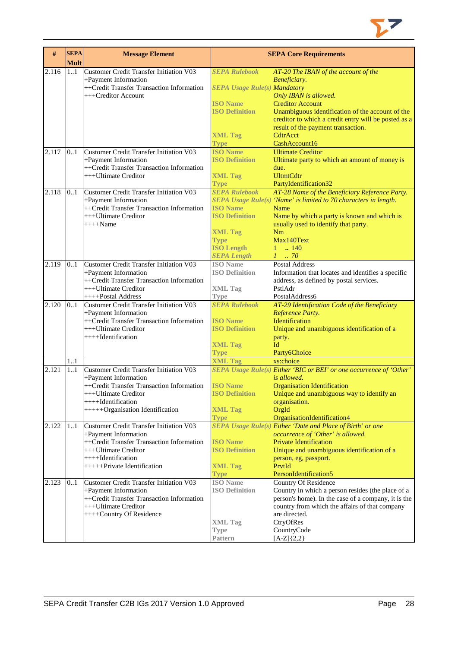

| #     | <b>SEPA</b><br><b>Mult</b> | <b>Message Element</b>                         |                                     | <b>SEPA Core Requirements</b>                                       |
|-------|----------------------------|------------------------------------------------|-------------------------------------|---------------------------------------------------------------------|
| 2.116 | 1.1                        | Customer Credit Transfer Initiation V03        | <b>SEPA Rulebook</b>                | AT-20 The IBAN of the account of the                                |
|       |                            | +Payment Information                           |                                     | Beneficiary.                                                        |
|       |                            | ++Credit Transfer Transaction Information      | <b>SEPA Usage Rule(s) Mandatory</b> |                                                                     |
|       |                            | +++Creditor Account                            |                                     | Only IBAN is allowed.                                               |
|       |                            |                                                | <b>ISO</b> Name                     | <b>Creditor Account</b>                                             |
|       |                            |                                                | <b>ISO Definition</b>               | Unambiguous identification of the account of the                    |
|       |                            |                                                |                                     | creditor to which a credit entry will be posted as a                |
|       |                            |                                                |                                     | result of the payment transaction.                                  |
|       |                            |                                                | <b>XML Tag</b>                      | CdtrAcct                                                            |
|       |                            |                                                | <b>Type</b>                         | CashAccount16                                                       |
|       | 0.1                        | Customer Credit Transfer Initiation V03        | <b>ISO Name</b>                     | <b>Ultimate Creditor</b>                                            |
| 2.117 |                            |                                                |                                     |                                                                     |
|       |                            | +Payment Information                           | <b>ISO Definition</b>               | Ultimate party to which an amount of money is                       |
|       |                            | ++Credit Transfer Transaction Information      |                                     | due.                                                                |
|       |                            | +++Ultimate Creditor                           | <b>XML Tag</b>                      | <b>UltmtCdtr</b>                                                    |
|       |                            |                                                | <b>Type</b>                         | PartyIdentification32                                               |
| 2.118 | 0.1                        | <b>Customer Credit Transfer Initiation V03</b> | <b>SEPA Rulebook</b>                | AT-28 Name of the Beneficiary Reference Party.                      |
|       |                            | +Payment Information                           |                                     | SEPA Usage Rule(s) 'Name' is limited to 70 characters in length.    |
|       |                            | ++Credit Transfer Transaction Information      | <b>ISO Name</b>                     | Name                                                                |
|       |                            | +++Ultimate Creditor                           | <b>ISO Definition</b>               | Name by which a party is known and which is                         |
|       |                            | $+++$ Name                                     |                                     | usually used to identify that party.                                |
|       |                            |                                                | <b>XML Tag</b>                      | Nm                                                                  |
|       |                            |                                                | <b>Type</b>                         | Max140Text                                                          |
|       |                            |                                                | <b>ISO Length</b>                   | $1 \t  140$                                                         |
|       |                            |                                                | <b>SEPA Length</b>                  | $1 \t 70$                                                           |
| 2.119 | 0.1                        | Customer Credit Transfer Initiation V03        | <b>ISO</b> Name                     | <b>Postal Address</b>                                               |
|       |                            |                                                | <b>ISO Definition</b>               |                                                                     |
|       |                            | +Payment Information                           |                                     | Information that locates and identifies a specific                  |
|       |                            | ++Credit Transfer Transaction Information      |                                     | address, as defined by postal services.                             |
|       |                            | +++Ultimate Creditor                           | <b>XML Tag</b>                      | PstlAdr                                                             |
|       |                            | ++++Postal Address                             | <b>Type</b>                         | PostalAddress6                                                      |
| 2.120 | 0.1                        | Customer Credit Transfer Initiation V03        | <b>SEPA Rulebook</b>                | AT-29 Identification Code of the Beneficiary                        |
|       |                            | +Payment Information                           |                                     | Reference Party.                                                    |
|       |                            | ++Credit Transfer Transaction Information      | <b>ISO Name</b>                     | Identification                                                      |
|       |                            | +++Ultimate Creditor                           | <b>ISO Definition</b>               | Unique and unambiguous identification of a                          |
|       |                            | ++++Identification                             |                                     | party.                                                              |
|       |                            |                                                | <b>XML Tag</b>                      | Id                                                                  |
|       |                            |                                                | <b>Type</b>                         | Party6Choice                                                        |
|       | 1.1                        |                                                | <b>XML Tag</b>                      | xs:choice                                                           |
| 2.121 | 1.1                        | <b>Customer Credit Transfer Initiation V03</b> |                                     | SEPA Usage Rule(s) Either 'BIC or BEI' or one occurrence of 'Other' |
|       |                            | +Payment Information                           |                                     | is allowed.                                                         |
|       |                            | ++Credit Transfer Transaction Information      | <b>ISO</b> Name                     | <b>Organisation Identification</b>                                  |
|       |                            | +++Ultimate Creditor                           | <b>ISO Definition</b>               | Unique and unambiguous way to identify an                           |
|       |                            | ++++Identification                             |                                     | organisation.                                                       |
|       |                            | +++++Organisation Identification               | <b>XML Tag</b>                      | OrgId                                                               |
|       |                            |                                                | <b>Type</b>                         | OrganisationIdentification4                                         |
| 2.122 | 1.1                        | Customer Credit Transfer Initiation V03        |                                     | SEPA Usage Rule(s) Either 'Date and Place of Birth' or one          |
|       |                            |                                                |                                     |                                                                     |
|       |                            | +Payment Information                           | <b>ISO Name</b>                     | occurrence of 'Other' is allowed.                                   |
|       |                            | ++Credit Transfer Transaction Information      |                                     | <b>Private Identification</b>                                       |
|       |                            | +++Ultimate Creditor                           | <b>ISO Definition</b>               | Unique and unambiguous identification of a                          |
|       |                            | $++++$ Identification                          |                                     | person, eg, passport.                                               |
|       |                            | ++++++Private Identification                   | <b>XML Tag</b>                      | PrvtId                                                              |
|       |                            |                                                | <b>Type</b>                         | PersonIdentification5                                               |
| 2.123 | 0.1                        | Customer Credit Transfer Initiation V03        | <b>ISO</b> Name                     | <b>Country Of Residence</b>                                         |
|       |                            | +Payment Information                           | <b>ISO Definition</b>               | Country in which a person resides (the place of a                   |
|       |                            | ++Credit Transfer Transaction Information      |                                     | person's home). In the case of a company, it is the                 |
|       |                            | +++Ultimate Creditor                           |                                     | country from which the affairs of that company                      |
|       |                            | ++++Country Of Residence                       |                                     | are directed.                                                       |
|       |                            |                                                | <b>XML Tag</b>                      | CtryOfRes                                                           |
|       |                            |                                                | <b>Type</b>                         | CountryCode                                                         |
|       |                            |                                                | Pattern                             | $[A-Z]\{2,2\}$                                                      |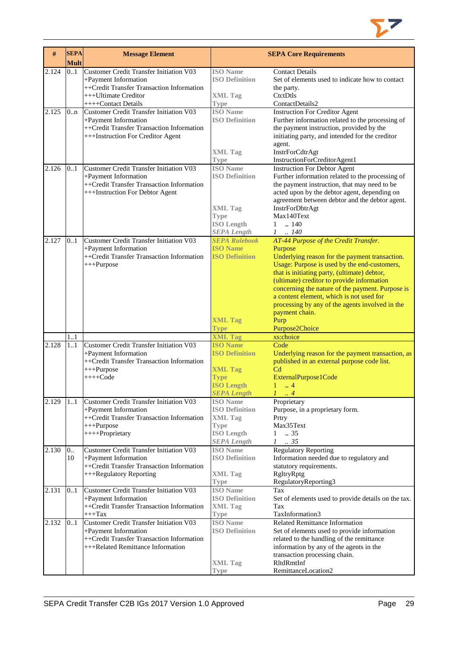

| #     | <b>SEPA</b><br><b>Mult</b> | <b>Message Element</b>                                                                                                                                             |                                                                                                                      | <b>SEPA Core Requirements</b>                                                                                                                                                                                                                                                                                                                                                                                                                   |
|-------|----------------------------|--------------------------------------------------------------------------------------------------------------------------------------------------------------------|----------------------------------------------------------------------------------------------------------------------|-------------------------------------------------------------------------------------------------------------------------------------------------------------------------------------------------------------------------------------------------------------------------------------------------------------------------------------------------------------------------------------------------------------------------------------------------|
| 2.124 | 0.1                        | <b>Customer Credit Transfer Initiation V03</b><br>+Payment Information<br>++Credit Transfer Transaction Information<br>+++Ultimate Creditor<br>++++Contact Details | <b>ISO</b> Name<br><b>ISO Definition</b><br><b>XML Tag</b><br><b>Type</b>                                            | <b>Contact Details</b><br>Set of elements used to indicate how to contact<br>the party.<br>CtctDtls<br>ContactDetails2                                                                                                                                                                                                                                                                                                                          |
| 2.125 | 0.n                        | <b>Customer Credit Transfer Initiation V03</b><br>+Payment Information<br>++Credit Transfer Transaction Information<br>+++Instruction For Creditor Agent           | <b>ISO</b> Name<br><b>ISO Definition</b><br><b>XML Tag</b><br>Type                                                   | <b>Instruction For Creditor Agent</b><br>Further information related to the processing of<br>the payment instruction, provided by the<br>initiating party, and intended for the creditor<br>agent.<br>InstrForCdtrAgt<br>InstructionForCreditorAgent1                                                                                                                                                                                           |
| 2.126 | 0.1                        | <b>Customer Credit Transfer Initiation V03</b><br>+Payment Information<br>++Credit Transfer Transaction Information<br>+++Instruction For Debtor Agent             | <b>ISO Name</b><br><b>ISO Definition</b><br><b>XML Tag</b><br>Type<br><b>ISO Length</b><br><b>SEPA Length</b>        | <b>Instruction For Debtor Agent</b><br>Further information related to the processing of<br>the payment instruction, that may need to be<br>acted upon by the debtor agent, depending on<br>agreement between debtor and the debtor agent.<br>InstrForDbtrAgt<br>Max140Text<br>.140<br>$\mathbf{1}$<br>$1-.140$                                                                                                                                  |
| 2.127 | 0.1                        | <b>Customer Credit Transfer Initiation V03</b><br>+Payment Information<br>++Credit Transfer Transaction Information<br>+++Purpose                                  | <b>SEPA Rulebook</b><br><b>ISO Name</b><br><b>ISO Definition</b><br><b>XML Tag</b><br><b>Type</b>                    | AT-44 Purpose of the Credit Transfer.<br>Purpose<br>Underlying reason for the payment transaction.<br>Usage: Purpose is used by the end-customers,<br>that is initiating party, (ultimate) debtor,<br>(ultimate) creditor to provide information<br>concerning the nature of the payment. Purpose is<br>a content element, which is not used for<br>processing by any of the agents involved in the<br>payment chain.<br>Purp<br>Purpose2Choice |
|       | 11                         |                                                                                                                                                                    | <b>XML Tag</b>                                                                                                       | xs:choice                                                                                                                                                                                                                                                                                                                                                                                                                                       |
| 2.128 | 11                         | <b>Customer Credit Transfer Initiation V03</b><br>+Payment Information<br>++Credit Transfer Transaction Information<br>$+++Purpose$<br>++++Code                    | <b>ISO Name</b><br><b>ISO Definition</b><br><b>XML Tag</b><br><b>Type</b><br><b>ISO Length</b><br><b>SEPA Length</b> | Code<br>Underlying reason for the payment transaction, as<br>published in an external purpose code list.<br>C <sub>d</sub><br>ExternalPurpose1Code<br>$1 \dots 4$<br>4                                                                                                                                                                                                                                                                          |
| 2.129 | 1.1                        | Customer Credit Transfer Initiation V03<br>+Payment Information<br>++Credit Transfer Transaction Information<br>$+++Purpose$<br>++++Proprietary                    | <b>ISO</b> Name<br><b>ISO Definition</b><br><b>XML Tag</b><br><b>Type</b><br><b>ISO Length</b><br><b>SEPA Length</b> | Proprietary<br>Purpose, in a proprietary form.<br>Prtry<br>Max35Text<br>.35<br>$\mathbf{1}$<br>$\mathcal{I}$<br>.35                                                                                                                                                                                                                                                                                                                             |
| 2.130 | 0.<br>10                   | <b>Customer Credit Transfer Initiation V03</b><br>+Payment Information<br>++Credit Transfer Transaction Information<br>+++Regulatory Reporting                     | <b>ISO</b> Name<br><b>ISO Definition</b><br><b>XML Tag</b><br><b>Type</b>                                            | <b>Regulatory Reporting</b><br>Information needed due to regulatory and<br>statutory requirements.<br>RgltryRptg<br>RegulatoryReporting3                                                                                                                                                                                                                                                                                                        |
| 2.131 | 0.1                        | <b>Customer Credit Transfer Initiation V03</b><br>+Payment Information<br>++Credit Transfer Transaction Information<br>$+++$ Tax                                   | <b>ISO</b> Name<br><b>ISO Definition</b><br><b>XML Tag</b><br>Type                                                   | Tax<br>Set of elements used to provide details on the tax.<br>Tax<br>TaxInformation3                                                                                                                                                                                                                                                                                                                                                            |
| 2.132 | 0.1                        | <b>Customer Credit Transfer Initiation V03</b><br>+Payment Information<br>++Credit Transfer Transaction Information<br>+++Related Remittance Information           | <b>ISO</b> Name<br><b>ISO Definition</b><br><b>XML Tag</b><br>Type                                                   | <b>Related Remittance Information</b><br>Set of elements used to provide information<br>related to the handling of the remittance<br>information by any of the agents in the<br>transaction processing chain.<br>RltdRmtInf<br>RemittanceLocation2                                                                                                                                                                                              |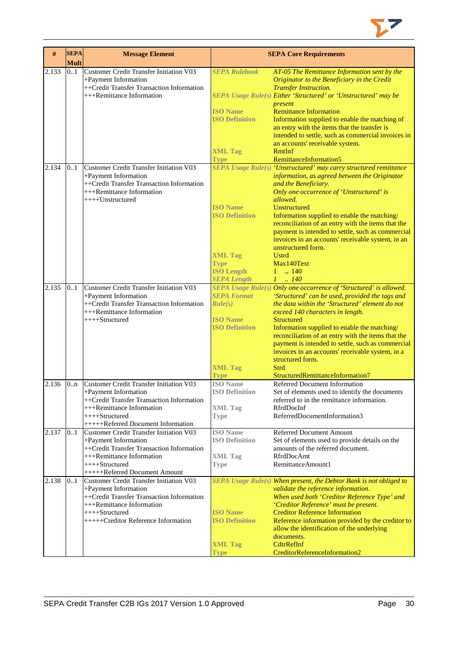

| #     | <b>SEPA</b><br><b>Mult</b> | <b>Message Element</b>                                                 |                                          | <b>SEPA Core Requirements</b>                                                                                      |
|-------|----------------------------|------------------------------------------------------------------------|------------------------------------------|--------------------------------------------------------------------------------------------------------------------|
| 2.133 | 0.1                        | Customer Credit Transfer Initiation V03                                | <b>SEPA Rulebook</b>                     | AT-05 The Remittance Information sent by the                                                                       |
|       |                            | +Payment Information<br>++Credit Transfer Transaction Information      |                                          | Originator to the Beneficiary in the Credit<br><b>Transfer Instruction.</b>                                        |
|       |                            | +++Remittance Information                                              |                                          | SEPA Usage Rule(s) Either 'Structured' or 'Unstructured' may be<br>present                                         |
|       |                            |                                                                        | <b>ISO Name</b><br><b>ISO Definition</b> | <b>Remittance Information</b><br>Information supplied to enable the matching of                                    |
|       |                            |                                                                        |                                          | an entry with the items that the transfer is<br>intended to settle, such as commercial invoices in                 |
|       |                            |                                                                        | <b>XML Tag</b>                           | an accounts' receivable system.<br><b>RmtInf</b>                                                                   |
|       |                            |                                                                        | <b>Type</b>                              | RemittanceInformation5                                                                                             |
| 2.134 | 0.1                        | <b>Customer Credit Transfer Initiation V03</b><br>+Payment Information |                                          | SEPA Usage Rule(s) 'Unstructured' may carry structured remittance<br>information, as agreed between the Originator |
|       |                            | ++Credit Transfer Transaction Information<br>+++Remittance Information |                                          | and the Beneficiary.<br>Only one occurrence of 'Unstructured' is                                                   |
|       |                            | ++++Unstructured                                                       | <b>ISO</b> Name                          | allowed.<br><b>Unstructured</b>                                                                                    |
|       |                            |                                                                        | <b>ISO Definition</b>                    | Information supplied to enable the matching/<br>reconciliation of an entry with the items that the                 |
|       |                            |                                                                        |                                          | payment is intended to settle, such as commercial                                                                  |
|       |                            |                                                                        |                                          | invoices in an accounts' receivable system, in an                                                                  |
|       |                            |                                                                        | <b>XML Tag</b>                           | unstructured form.<br><b>Ustrd</b>                                                                                 |
|       |                            |                                                                        | <b>Type</b>                              | Max140Text                                                                                                         |
|       |                            |                                                                        | <b>ISO Length</b><br><b>SEPA Length</b>  | $1 \t{.} 140$<br>$1 \t . 140$                                                                                      |
| 2.135 | 0.1                        | <b>Customer Credit Transfer Initiation V03</b>                         |                                          | SEPA Usage Rule(s) Only one occurrence of 'Structured' is allowed.                                                 |
|       |                            | +Payment Information                                                   | <b>SEPA Format</b>                       | 'Structured' can be used, provided the tags and                                                                    |
|       |                            | ++Credit Transfer Transaction Information<br>+++Remittance Information | Rule(s)                                  | the data within the 'Structured' element do not<br>exceed 140 characters in length.                                |
|       |                            | ++++Structured                                                         | <b>ISO Name</b>                          | <b>Structured</b>                                                                                                  |
|       |                            |                                                                        | <b>ISO Definition</b>                    | Information supplied to enable the matching/<br>reconciliation of an entry with the items that the                 |
|       |                            |                                                                        |                                          | payment is intended to settle, such as commercial                                                                  |
|       |                            |                                                                        |                                          | invoices in an accounts' receivable system, in a<br>structured form.                                               |
|       |                            |                                                                        | <b>XML Tag</b>                           | Strd                                                                                                               |
| 2.136 | 0 <sub>nn</sub>            | <b>Customer Credit Transfer Initiation V03</b>                         | Type<br><b>ISO</b> Name                  | StructuredRemittanceInformation7<br>Referred Document Information                                                  |
|       |                            | +Payment Information                                                   | <b>ISO Definition</b>                    | Set of elements used to identify the documents                                                                     |
|       |                            | ++Credit Transfer Transaction Information<br>+++Remittance Information | <b>XML Tag</b>                           | referred to in the remittance information.<br>RfrdDocInf                                                           |
|       |                            | ++++Structured                                                         | <b>Type</b>                              | ReferredDocumentInformation3                                                                                       |
|       |                            | +++++Referred Document Information                                     |                                          |                                                                                                                    |
| 2.137 | 0.1                        | Customer Credit Transfer Initiation V03<br>+Payment Information        | <b>ISO</b> Name<br><b>ISO Definition</b> | <b>Referred Document Amount</b><br>Set of elements used to provide details on the                                  |
|       |                            | ++Credit Transfer Transaction Information                              |                                          | amounts of the referred document.                                                                                  |
|       |                            | +++Remittance Information<br>++++Structured                            | <b>XML</b> Tag<br><b>Type</b>            | RfrdDocAmt<br>RemittanceAmount1                                                                                    |
|       |                            | +++++Referred Document Amount                                          |                                          |                                                                                                                    |
| 2.138 | 01                         | Customer Credit Transfer Initiation V03                                |                                          | SEPA Usage Rule(s) When present, the Debtor Bank is not obliged to                                                 |
|       |                            | +Payment Information<br>++Credit Transfer Transaction Information      |                                          | validate the reference information.<br>When used both 'Creditor Reference Type' and                                |
|       |                            | +++Remittance Information<br>++++Structured                            | <b>ISO</b> Name                          | 'Creditor Reference' must be present.<br><b>Creditor Reference Information</b>                                     |
|       |                            | +++++Creditor Reference Information                                    | <b>ISO Definition</b>                    | Reference information provided by the creditor to                                                                  |
|       |                            |                                                                        |                                          | allow the identification of the underlying<br>documents.                                                           |
|       |                            |                                                                        | <b>XML Tag</b>                           | CdtrRefInf                                                                                                         |
|       |                            |                                                                        | <b>Type</b>                              | CreditorReferenceInformation2                                                                                      |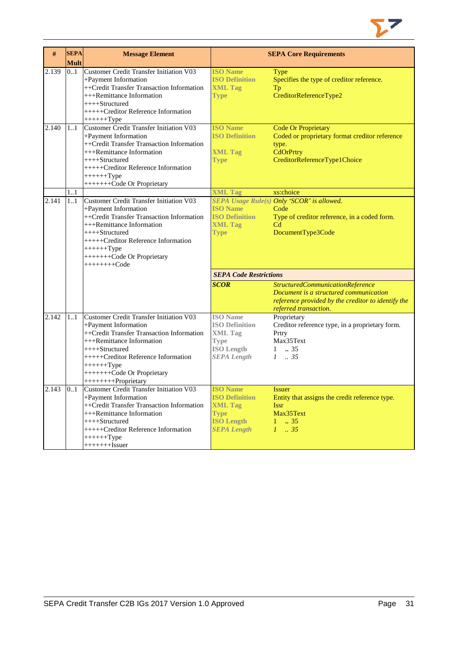

| #     | <b>SEPA</b> | <b>Message Element</b>                                                                                                                                                                                                                                                          |                                                                                                                      | <b>SEPA Core Requirements</b>                                                                                                                             |
|-------|-------------|---------------------------------------------------------------------------------------------------------------------------------------------------------------------------------------------------------------------------------------------------------------------------------|----------------------------------------------------------------------------------------------------------------------|-----------------------------------------------------------------------------------------------------------------------------------------------------------|
|       | <b>Mult</b> |                                                                                                                                                                                                                                                                                 |                                                                                                                      |                                                                                                                                                           |
| 2.139 | 0.1         | <b>Customer Credit Transfer Initiation V03</b><br>+Payment Information<br>++Credit Transfer Transaction Information<br>+++Remittance Information<br>$++++-Structured$<br>+++++Creditor Reference Information                                                                    | <b>ISO Name</b><br><b>ISO Definition</b><br><b>XML Tag</b><br><b>Type</b>                                            | Type<br>Specifies the type of creditor reference.<br>Tp<br>CreditorReferenceType2                                                                         |
|       |             | $+++++Type$                                                                                                                                                                                                                                                                     |                                                                                                                      |                                                                                                                                                           |
| 2.140 | 11          | Customer Credit Transfer Initiation V03<br>+Payment Information<br>++Credit Transfer Transaction Information<br>+++Remittance Information<br>++++Structured<br>+++++Creditor Reference Information<br>$+++++Type$<br>++++++++Code Or Proprietary                                | <b>ISO Name</b><br><b>ISO Definition</b><br><b>XML Tag</b><br><b>Type</b>                                            | <b>Code Or Proprietary</b><br>Coded or proprietary format creditor reference<br>type.<br>CdOrPrtry<br>CreditorReferenceType1Choice                        |
|       | 11          |                                                                                                                                                                                                                                                                                 | <b>XML Tag</b>                                                                                                       | xs:choice                                                                                                                                                 |
| 2.141 | 1.1         | <b>Customer Credit Transfer Initiation V03</b><br>+Payment Information<br>++Credit Transfer Transaction Information<br>+++Remittance Information<br>++++Structured<br>+++++Creditor Reference Information<br>$+++++Type$<br>++++++++Code Or Proprietary<br>$++++++Code$         | <b>ISO Name</b><br><b>ISO Definition</b><br><b>XML Tag</b><br><b>Type</b>                                            | SEPA Usage Rule(s) Only 'SCOR' is allowed.<br>Code<br>Type of creditor reference, in a coded form.<br>Cd<br>DocumentType3Code                             |
|       |             |                                                                                                                                                                                                                                                                                 | <b>SEPA Code Restrictions</b>                                                                                        |                                                                                                                                                           |
|       |             |                                                                                                                                                                                                                                                                                 | <b>SCOR</b>                                                                                                          | StructuredCommunicationReference<br>Document is a structured communication<br>reference provided by the creditor to identify the<br>referred transaction. |
| 2.142 | 11          | <b>Customer Credit Transfer Initiation V03</b><br>+Payment Information<br>++Credit Transfer Transaction Information<br>+++Remittance Information<br>++++Structured<br>+++++Creditor Reference Information<br>$+++++Type$<br>++++++++Code Or Proprietary<br>+++++++++Proprietary | <b>ISO</b> Name<br><b>ISO Definition</b><br><b>XML Tag</b><br><b>Type</b><br><b>ISO Length</b><br><b>SEPA Length</b> | Proprietary<br>Creditor reference type, in a proprietary form.<br>Prtry<br>Max35Text<br>$1 \t . 35$<br>$1 \t . 35$                                        |
| 2.143 | 0.1         | Customer Credit Transfer Initiation V03<br>+Payment Information<br>++Credit Transfer Transaction Information<br>+++Remittance Information<br>++++Structured<br>+++++Creditor Reference Information<br>$+++++Type$<br>$++++++Issuer$                                             | <b>ISO</b> Name<br><b>ISO Definition</b><br><b>XML Tag</b><br><b>Type</b><br><b>ISO Length</b><br><b>SEPA Length</b> | <i>Issuer</i><br>Entity that assigns the credit reference type.<br><b>Issr</b><br>Max35Text<br>$1 \t . 35$<br>$1 \t35$                                    |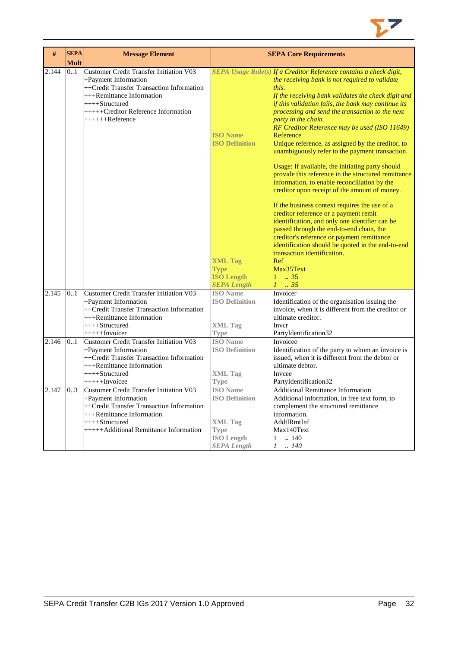

| #     | <b>SEPA</b>        | <b>Message Element</b>                                                                                                                                                                                   |                                                                                                                      | <b>SEPA Core Requirements</b>                                                                                                                                                                                                                                                                                                                                                                                                                                                                                                                                                                                                     |
|-------|--------------------|----------------------------------------------------------------------------------------------------------------------------------------------------------------------------------------------------------|----------------------------------------------------------------------------------------------------------------------|-----------------------------------------------------------------------------------------------------------------------------------------------------------------------------------------------------------------------------------------------------------------------------------------------------------------------------------------------------------------------------------------------------------------------------------------------------------------------------------------------------------------------------------------------------------------------------------------------------------------------------------|
| 2.144 | <b>Mult</b><br>0.1 | <b>Customer Credit Transfer Initiation V03</b>                                                                                                                                                           |                                                                                                                      | SEPA Usage Rule(s) If a Creditor Reference contains a check digit,                                                                                                                                                                                                                                                                                                                                                                                                                                                                                                                                                                |
|       |                    | +Payment Information<br>++Credit Transfer Transaction Information<br>$+++$ Remittance Information<br>$++++$ Structured<br>$+++++Creditor$ Reference Information<br>$+++++Reference$                      | <b>ISO Name</b><br><b>ISO Definition</b>                                                                             | the receiving bank is not required to validate<br>this.<br>If the receiving bank validates the check digit and<br>if this validation fails, the bank may continue its<br>processing and send the transaction to the next<br>party in the chain.<br>RF Creditor Reference may be used (ISO 11649)<br>Reference<br>Unique reference, as assigned by the creditor, to<br>unambiguously refer to the payment transaction.<br>Usage: If available, the initiating party should<br>provide this reference in the structured remittance<br>information, to enable reconciliation by the<br>creditor upon receipt of the amount of money. |
|       |                    |                                                                                                                                                                                                          | <b>XML Tag</b><br><b>Type</b><br><b>ISO Length</b><br><b>SEPA Length</b>                                             | If the business context requires the use of a<br>creditor reference or a payment remit<br>identification, and only one identifier can be<br>passed through the end-to-end chain, the<br>creditor's reference or payment remittance<br>identification should be quoted in the end-to-end<br>transaction identification.<br>Ref<br>Max35Text<br>$1 \t . 35$<br>$1-.35$                                                                                                                                                                                                                                                              |
| 2.145 | 0.1                | <b>Customer Credit Transfer Initiation V03</b><br>+Payment Information<br>++Credit Transfer Transaction Information<br>+++Remittance Information<br>$+++Structured$<br>$+++++Invoicer$                   | <b>ISO</b> Name<br><b>ISO Definition</b><br><b>XML Tag</b><br><b>Type</b>                                            | Invoicer<br>Identification of the organisation issuing the<br>invoice, when it is different from the creditor or<br>ultimate creditor.<br>Inver<br>PartyIdentification32                                                                                                                                                                                                                                                                                                                                                                                                                                                          |
| 2.146 | 0.1                | <b>Customer Credit Transfer Initiation V03</b><br>+Payment Information<br>++Credit Transfer Transaction Information<br>+++Remittance Information<br>$++++-Structured$<br>$+++++Invoicee$                 | <b>ISO</b> Name<br><b>ISO Definition</b><br><b>XML Tag</b><br><b>Type</b>                                            | Invoicee<br>Identification of the party to whom an invoice is<br>issued, when it is different from the debtor or<br>ultimate debtor.<br>Invcee<br>PartyIdentification32                                                                                                                                                                                                                                                                                                                                                                                                                                                           |
| 2.147 | 03                 | Customer Credit Transfer Initiation V03<br>+Payment Information<br>++Credit Transfer Transaction Information<br>$+++$ Remittance Information<br>++++Structured<br>+++++Additional Remittance Information | <b>ISO</b> Name<br><b>ISO Definition</b><br><b>XML Tag</b><br><b>Type</b><br><b>ISO Length</b><br><b>SEPA Length</b> | <b>Additional Remittance Information</b><br>Additional information, in free text form, to<br>complement the structured remittance<br>information.<br>AddtlRmtInf<br>Max140Text<br>.140<br>1<br>$1-.140$                                                                                                                                                                                                                                                                                                                                                                                                                           |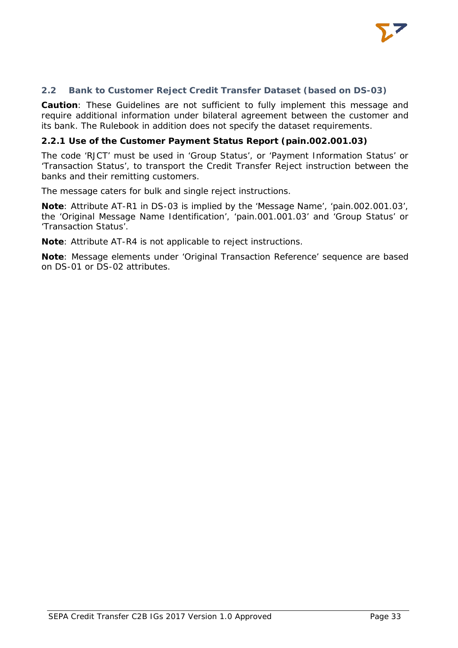

# <span id="page-33-0"></span>**2.2 Bank to Customer Reject Credit Transfer Dataset (based on DS-03)**

**Caution**: These Guidelines are not sufficient to fully implement this message and require additional information under bilateral agreement between the customer and its bank. The Rulebook in addition does not specify the dataset requirements.

#### <span id="page-33-1"></span>**2.2.1 Use of the Customer Payment Status Report (pain.002.001.03)**

The code 'RJCT' must be used in 'Group Status', or 'Payment Information Status' or 'Transaction Status', to transport the Credit Transfer Reject instruction between the banks and their remitting customers.

The message caters for bulk and single reject instructions.

**Note**: Attribute AT-R1 in DS-03 is implied by the 'Message Name', 'pain.002.001.03', the 'Original Message Name Identification', 'pain.001.001.03' and 'Group Status' or 'Transaction Status'.

**Note**: Attribute AT-R4 is not applicable to reject instructions.

**Note**: Message elements under 'Original Transaction Reference' sequence are based on DS-01 or DS-02 attributes.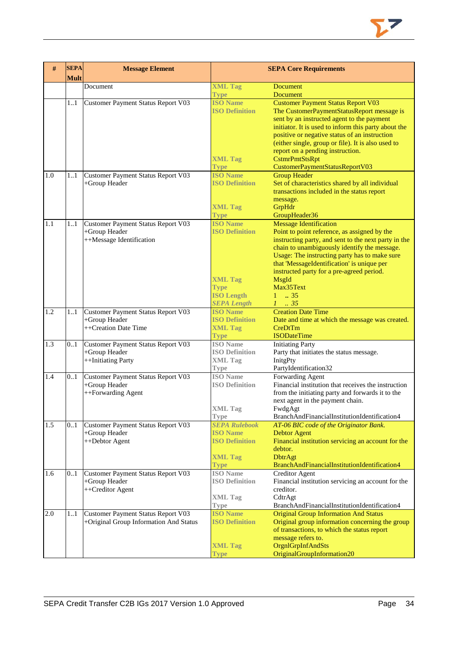

| #       | <b>SEPA</b><br><b>Mult</b> | <b>Message Element</b>                              | <b>SEPA Core Requirements</b>            |                                                                               |
|---------|----------------------------|-----------------------------------------------------|------------------------------------------|-------------------------------------------------------------------------------|
|         |                            | Document                                            | <b>XML Tag</b>                           | <b>Document</b>                                                               |
|         | 11                         | Customer Payment Status Report V03                  | <b>Type</b><br><b>ISO Name</b>           | <b>Document</b><br><b>Customer Payment Status Report V03</b>                  |
|         |                            |                                                     | <b>ISO Definition</b>                    | The CustomerPaymentStatusReport message is                                    |
|         |                            |                                                     |                                          | sent by an instructed agent to the payment                                    |
|         |                            |                                                     |                                          | initiator. It is used to inform this party about the                          |
|         |                            |                                                     |                                          | positive or negative status of an instruction                                 |
|         |                            |                                                     |                                          | (either single, group or file). It is also used to                            |
|         |                            |                                                     |                                          | report on a pending instruction.                                              |
|         |                            |                                                     | <b>XML Tag</b><br><b>Type</b>            | CstmrPmtStsRpt<br>CustomerPaymentStatusReportV03                              |
| 1.0     | 11                         | Customer Payment Status Report V03                  | <b>ISO Name</b>                          | <b>Group Header</b>                                                           |
|         |                            | +Group Header                                       | <b>ISO Definition</b>                    | Set of characteristics shared by all individual                               |
|         |                            |                                                     |                                          | transactions included in the status report                                    |
|         |                            |                                                     |                                          | message.                                                                      |
|         |                            |                                                     | <b>XML Tag</b>                           | GrpHdr                                                                        |
|         |                            |                                                     | <b>Type</b>                              | GroupHeader36                                                                 |
| 1.1     | 11                         | Customer Payment Status Report V03<br>+Group Header | <b>ISO Name</b><br><b>ISO Definition</b> | <b>Message Identification</b><br>Point to point reference, as assigned by the |
|         |                            | ++Message Identification                            |                                          | instructing party, and sent to the next party in the                          |
|         |                            |                                                     |                                          | chain to unambiguously identify the message.                                  |
|         |                            |                                                     |                                          | Usage: The instructing party has to make sure                                 |
|         |                            |                                                     |                                          | that 'MessageIdentification' is unique per                                    |
|         |                            |                                                     |                                          | instructed party for a pre-agreed period.                                     |
|         |                            |                                                     | <b>XML Tag</b>                           | MsgId                                                                         |
|         |                            |                                                     | <b>Type</b><br><b>ISO Length</b>         | Max35Text<br>$1 \t . 35$                                                      |
|         |                            |                                                     | <b>SEPA Length</b>                       | $1-.35$                                                                       |
| 1.2     | 11                         | Customer Payment Status Report V03                  | <b>ISO Name</b>                          | <b>Creation Date Time</b>                                                     |
|         |                            | +Group Header                                       | <b>ISO Definition</b>                    | Date and time at which the message was created.                               |
|         |                            | ++Creation Date Time                                | <b>XML Tag</b>                           | CreDtTm                                                                       |
|         |                            |                                                     | <b>Type</b>                              | <b>ISODateTime</b>                                                            |
| 1.3     | 0.1                        | Customer Payment Status Report V03<br>+Group Header | <b>ISO</b> Name<br><b>ISO Definition</b> | <b>Initiating Party</b><br>Party that initiates the status message.           |
|         |                            | ++Initiating Party                                  | <b>XML Tag</b>                           | InitgPty                                                                      |
|         |                            |                                                     | <b>Type</b>                              | PartyIdentification32                                                         |
| 1.4     | 0.1                        | Customer Payment Status Report V03                  | <b>ISO</b> Name                          | Forwarding Agent                                                              |
|         |                            | +Group Header                                       | <b>ISO Definition</b>                    | Financial institution that receives the instruction                           |
|         |                            | ++Forwarding Agent                                  |                                          | from the initiating party and forwards it to the                              |
|         |                            |                                                     |                                          | next agent in the payment chain.                                              |
|         |                            |                                                     | <b>XML Tag</b><br><b>Type</b>            | FwdgAgt<br>BranchAndFinancialInstitutionIdentification4                       |
| 1.5     | 0.1                        | Customer Payment Status Report V03                  | <b>SEPA Rulebook</b>                     | AT-06 BIC code of the Originator Bank.                                        |
|         |                            | +Group Header                                       | <b>ISO</b> Name                          | <b>Debtor Agent</b>                                                           |
|         |                            | ++Debtor Agent                                      | <b>ISO Definition</b>                    | Financial institution servicing an account for the                            |
|         |                            |                                                     |                                          | debtor.                                                                       |
|         |                            |                                                     | <b>XML Tag</b>                           | <b>DbtrAgt</b>                                                                |
|         |                            |                                                     | <b>Type</b>                              | BranchAndFinancialInstitutionIdentification4                                  |
| 1.6     | 01                         | Customer Payment Status Report V03                  | <b>ISO</b> Name                          | <b>Creditor Agent</b>                                                         |
|         |                            | +Group Header<br>++Creditor Agent                   | <b>ISO Definition</b>                    | Financial institution servicing an account for the<br>creditor.               |
|         |                            |                                                     | <b>XML</b> Tag                           | CdtrAgt                                                                       |
|         |                            |                                                     | <b>Type</b>                              | BranchAndFinancialInstitutionIdentification4                                  |
| $2.0\,$ | 11                         | Customer Payment Status Report V03                  | <b>ISO Name</b>                          | <b>Original Group Information And Status</b>                                  |
|         |                            | +Original Group Information And Status              | <b>ISO Definition</b>                    | Original group information concerning the group                               |
|         |                            |                                                     |                                          | of transactions, to which the status report                                   |
|         |                            |                                                     |                                          | message refers to.                                                            |
|         |                            |                                                     | <b>XML Tag</b>                           | OrgnlGrpInfAndSts<br>OriginalGroupInformation20                               |
|         |                            |                                                     | <b>Type</b>                              |                                                                               |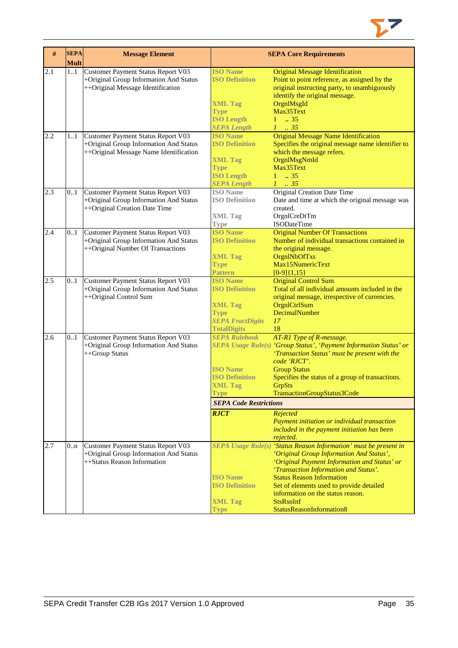

| $\#$ | <b>SEPA</b><br><b>Mult</b> | <b>Message Element</b>                    |                               | <b>SEPA Core Requirements</b>                                      |
|------|----------------------------|-------------------------------------------|-------------------------------|--------------------------------------------------------------------|
| 2.1  | 11                         | <b>Customer Payment Status Report V03</b> | <b>ISO Name</b>               | <b>Original Message Identification</b>                             |
|      |                            | +Original Group Information And Status    | <b>ISO Definition</b>         | Point to point reference, as assigned by the                       |
|      |                            | ++Original Message Identification         |                               | original instructing party, to unambiguously                       |
|      |                            |                                           |                               | identify the original message.                                     |
|      |                            |                                           | <b>XML Tag</b>                | OrgnlMsgId                                                         |
|      |                            |                                           | <b>Type</b>                   | Max35Text                                                          |
|      |                            |                                           | <b>ISO Length</b>             | $1 \t . 35$                                                        |
|      |                            |                                           | <b>SEPA Length</b>            | $1-.35$                                                            |
| 2.2  | 11                         | Customer Payment Status Report V03        | <b>ISO Name</b>               | <b>Original Message Name Identification</b>                        |
|      |                            | +Original Group Information And Status    | <b>ISO Definition</b>         | Specifies the original message name identifier to                  |
|      |                            | ++Original Message Name Identification    |                               | which the message refers.                                          |
|      |                            |                                           | <b>XML Tag</b>                | OrgnlMsgNmId                                                       |
|      |                            |                                           | <b>Type</b>                   | Max35Text                                                          |
|      |                            |                                           | <b>ISO Length</b>             | $1 \t . 35$                                                        |
|      |                            |                                           | <b>SEPA Length</b>            | $1 \t35$                                                           |
| 2.3  | 0.1                        | Customer Payment Status Report V03        | <b>ISO</b> Name               | <b>Original Creation Date Time</b>                                 |
|      |                            | +Original Group Information And Status    | <b>ISO Definition</b>         | Date and time at which the original message was                    |
|      |                            | ++Original Creation Date Time             |                               | created.                                                           |
|      |                            |                                           | <b>XML Tag</b>                | OrgnlCreDtTm                                                       |
|      |                            |                                           | Type                          | ISODateTime                                                        |
| 2.4  | 0.1                        | Customer Payment Status Report V03        | <b>ISO Name</b>               | <b>Original Number Of Transactions</b>                             |
|      |                            |                                           | <b>ISO Definition</b>         | Number of individual transactions contained in                     |
|      |                            | +Original Group Information And Status    |                               |                                                                    |
|      |                            | ++Original Number Of Transactions         |                               | the original message.                                              |
|      |                            |                                           | <b>XML Tag</b>                | OrgnlNbOfTxs<br>Max15NumericText                                   |
|      |                            |                                           | <b>Type</b>                   |                                                                    |
|      |                            |                                           | <b>Pattern</b>                | $[0-9]{1,15}$                                                      |
| 2.5  | 0.1                        | Customer Payment Status Report V03        | <b>ISO Name</b>               | <b>Original Control Sum</b>                                        |
|      |                            | +Original Group Information And Status    | <b>ISO Definition</b>         | Total of all individual amounts included in the                    |
|      |                            | ++Original Control Sum                    |                               | original message, irrespective of currencies.                      |
|      |                            |                                           | <b>XML Tag</b>                | OrgnlCtrlSum                                                       |
|      |                            |                                           | <b>Type</b>                   | DecimalNumber                                                      |
|      |                            |                                           | <b>SEPA FractDigits</b>       | 17                                                                 |
|      |                            |                                           | <b>TotalDigits</b>            | 18                                                                 |
| 2.6  | 0.1                        | Customer Payment Status Report V03        | <b>SEPA Rulebook</b>          | AT-R1 Type of R-message.                                           |
|      |                            | +Original Group Information And Status    |                               | SEPA Usage Rule(s) 'Group Status', 'Payment Information Status' or |
|      |                            | ++Group Status                            |                               | 'Transaction Status' must be present with the                      |
|      |                            |                                           |                               | code 'RJCT'.                                                       |
|      |                            |                                           | <b>ISO Name</b>               | <b>Group Status</b>                                                |
|      |                            |                                           | <b>ISO Definition</b>         | Specifies the status of a group of transactions.                   |
|      |                            |                                           | <b>XML Tag</b>                | <b>GrpSts</b>                                                      |
|      |                            |                                           | <b>Type</b>                   | TransactionGroupStatus3Code                                        |
|      |                            |                                           | <b>SEPA Code Restrictions</b> |                                                                    |
|      |                            |                                           | <b>RJCT</b>                   | Rejected                                                           |
|      |                            |                                           |                               | Payment initiation or individual transaction                       |
|      |                            |                                           |                               | included in the payment initiation has been                        |
|      |                            |                                           |                               | rejected.                                                          |
| 2.7  | 0n                         | Customer Payment Status Report V03        |                               | SEPA Usage Rule(s) 'Status Reason Information' must be present in  |
|      |                            | +Original Group Information And Status    |                               | 'Original Group Information And Status',                           |
|      |                            | ++Status Reason Information               |                               | 'Original Payment Information and Status' or                       |
|      |                            |                                           |                               | 'Transaction Information and Status'.                              |
|      |                            |                                           | <b>ISO Name</b>               | <b>Status Reason Information</b>                                   |
|      |                            |                                           | <b>ISO Definition</b>         | Set of elements used to provide detailed                           |
|      |                            |                                           |                               | information on the status reason.                                  |
|      |                            |                                           | <b>XML Tag</b>                | <b>StsRsnInf</b>                                                   |
|      |                            |                                           | <b>Type</b>                   | StatusReasonInformation8                                           |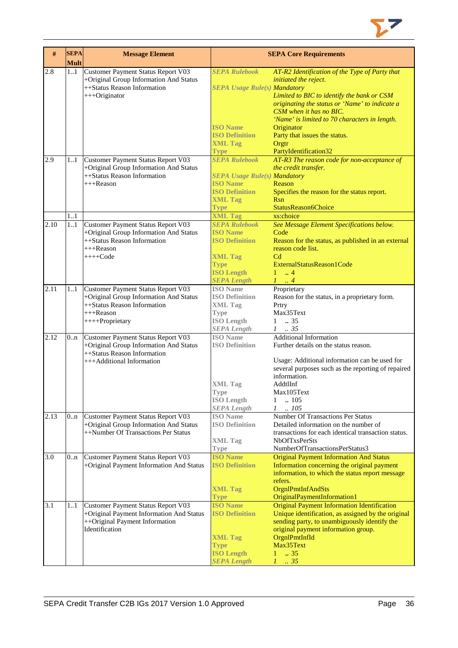

| #    | <b>SEPA</b><br><b>Mult</b> | <b>Message Element</b>                   |                                     | <b>SEPA Core Requirements</b>                       |
|------|----------------------------|------------------------------------------|-------------------------------------|-----------------------------------------------------|
| 2.8  | 11                         | Customer Payment Status Report V03       | <b>SEPA Rulebook</b>                | AT-R2 Identification of the Type of Party that      |
|      |                            | +Original Group Information And Status   |                                     | initiated the reject.                               |
|      |                            | ++Status Reason Information              | <b>SEPA Usage Rule(s) Mandatory</b> |                                                     |
|      |                            | +++Originator                            |                                     | Limited to BIC to identify the bank or CSM          |
|      |                            |                                          |                                     | originating the status or 'Name' to indicate a      |
|      |                            |                                          |                                     | CSM when it has no BIC.                             |
|      |                            |                                          |                                     | 'Name' is limited to 70 characters in length.       |
|      |                            |                                          | <b>ISO Name</b>                     | Originator                                          |
|      |                            |                                          | <b>ISO Definition</b>               | Party that issues the status.                       |
|      |                            |                                          | <b>XML Tag</b>                      | Orgtr                                               |
|      |                            |                                          | <b>Type</b>                         | PartyIdentification32                               |
| 2.9  | 1.1                        | Customer Payment Status Report V03       | <b>SEPA Rulebook</b>                | AT-R3 The reason code for non-acceptance of         |
|      |                            | +Original Group Information And Status   |                                     | the credit transfer.                                |
|      |                            | ++Status Reason Information              | <b>SEPA Usage Rule(s) Mandatory</b> |                                                     |
|      |                            | $+++$ Reason                             | <b>ISO Name</b>                     | Reason                                              |
|      |                            |                                          | <b>ISO Definition</b>               | Specifies the reason for the status report.         |
|      |                            |                                          | <b>XML Tag</b>                      | <b>R</b> sn                                         |
|      |                            |                                          | <b>Type</b>                         | StatusReason6Choice                                 |
|      | 1.1                        |                                          | <b>XML Tag</b>                      | xs:choice                                           |
| 2.10 |                            |                                          | <b>SEPA Rulebook</b>                |                                                     |
|      | 11                         | Customer Payment Status Report V03       | <b>ISO Name</b>                     | See Message Element Specifications below.<br>Code   |
|      |                            | +Original Group Information And Status   |                                     |                                                     |
|      |                            | ++Status Reason Information              | <b>ISO Definition</b>               | Reason for the status, as published in an external  |
|      |                            | $+++$ Reason                             |                                     | reason code list.                                   |
|      |                            | $+++Code$                                | <b>XML Tag</b>                      | C <sub>d</sub>                                      |
|      |                            |                                          | <b>Type</b>                         | ExternalStatusReason1Code                           |
|      |                            |                                          | <b>ISO Length</b>                   | $\ldots$ 4<br>1                                     |
|      |                            |                                          | <b>SEPA Length</b>                  | $1 \ldots 4$                                        |
| 2.11 | 11                         | Customer Payment Status Report V03       | <b>ISO</b> Name                     | Proprietary                                         |
|      |                            | +Original Group Information And Status   | <b>ISO Definition</b>               | Reason for the status, in a proprietary form.       |
|      |                            | ++Status Reason Information              | <b>XML Tag</b>                      | Prtry                                               |
|      |                            | +++Reason                                | Type                                | Max35Text                                           |
|      |                            | ++++Proprietary                          | <b>ISO Length</b>                   | $1-.35$                                             |
|      |                            |                                          | <b>SEPA</b> Length                  | $1-.35$                                             |
| 2.12 | 0 <sub>nn</sub>            | Customer Payment Status Report V03       | <b>ISO</b> Name                     | <b>Additional Information</b>                       |
|      |                            | +Original Group Information And Status   | <b>ISO Definition</b>               | Further details on the status reason.               |
|      |                            | ++Status Reason Information              |                                     |                                                     |
|      |                            | +++Additional Information                |                                     | Usage: Additional information can be used for       |
|      |                            |                                          |                                     | several purposes such as the reporting of repaired  |
|      |                            |                                          |                                     | information.                                        |
|      |                            |                                          | <b>XML</b> Tag                      | AddtlInf                                            |
|      |                            |                                          | Type                                | Max105Text                                          |
|      |                            |                                          | <b>ISO</b> Length                   | $\mathbf{1}$<br>$\ln 105$                           |
|      |                            |                                          | <b>SEPA Length</b>                  | .105<br>$\mathcal{I}$                               |
| 2.13 | 0 <sub>nn</sub>            | Customer Payment Status Report V03       | <b>ISO</b> Name                     | <b>Number Of Transactions Per Status</b>            |
|      |                            | +Original Group Information And Status   | <b>ISO Definition</b>               | Detailed information on the number of               |
|      |                            | ++Number Of Transactions Per Status      |                                     | transactions for each identical transaction status. |
|      |                            |                                          | <b>XML Tag</b>                      | <b>NbOfTxsPerSts</b>                                |
|      |                            |                                          | <b>Type</b>                         | NumberOfTransactionsPerStatus3                      |
| 3.0  | 0 <sub>nn</sub>            | Customer Payment Status Report V03       | <b>ISO Name</b>                     | <b>Original Payment Information And Status</b>      |
|      |                            | +Original Payment Information And Status | <b>ISO Definition</b>               | Information concerning the original payment         |
|      |                            |                                          |                                     | information, to which the status report message     |
|      |                            |                                          |                                     | refers.                                             |
|      |                            |                                          | <b>XML Tag</b>                      | OrgnlPmtInfAndSts                                   |
|      |                            |                                          | <b>Type</b>                         | OriginalPaymentInformation1                         |
| 3.1  | 1.1                        | Customer Payment Status Report V03       | <b>ISO Name</b>                     | <b>Original Payment Information Identification</b>  |
|      |                            | +Original Payment Information And Status | <b>ISO Definition</b>               | Unique identification, as assigned by the original  |
|      |                            | ++Original Payment Information           |                                     | sending party, to unambiguously identify the        |
|      |                            | Identification                           |                                     | original payment information group.                 |
|      |                            |                                          | <b>XML Tag</b>                      | OrgnlPmtInfId                                       |
|      |                            |                                          | <b>Type</b>                         | Max35Text                                           |
|      |                            |                                          | <b>ISO Length</b>                   | .35<br>$\mathbf{1}$                                 |
|      |                            |                                          | <b>SEPA Length</b>                  | $1 - .35$                                           |
|      |                            |                                          |                                     |                                                     |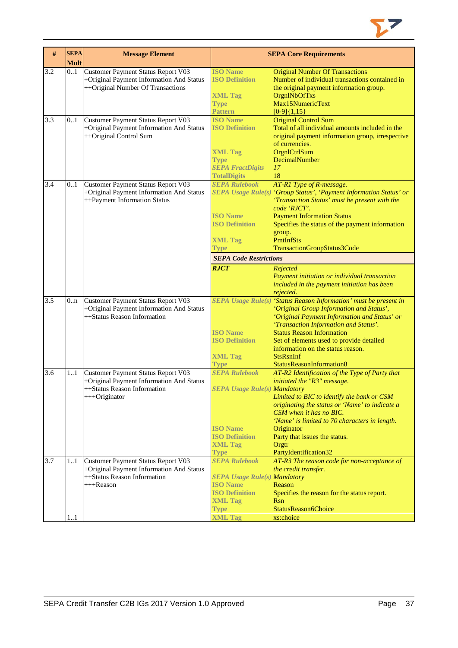

| $\#$             | <b>SEPA</b><br><b>Mult</b> | <b>Message Element</b>                                                                                                         |                                                                                                                                                   | <b>SEPA Core Requirements</b>                                                                                                                                                                                                                                                                                                                                                                                            |
|------------------|----------------------------|--------------------------------------------------------------------------------------------------------------------------------|---------------------------------------------------------------------------------------------------------------------------------------------------|--------------------------------------------------------------------------------------------------------------------------------------------------------------------------------------------------------------------------------------------------------------------------------------------------------------------------------------------------------------------------------------------------------------------------|
| 3.2              | 0.1                        | <b>Customer Payment Status Report V03</b><br>+Original Payment Information And Status<br>++Original Number Of Transactions     | <b>ISO Name</b><br><b>ISO Definition</b><br><b>XML Tag</b><br><b>Type</b><br>Pattern                                                              | <b>Original Number Of Transactions</b><br>Number of individual transactions contained in<br>the original payment information group.<br>OrgnlNbOfTxs<br>Max15NumericText<br>$[0-9]{1,15}$                                                                                                                                                                                                                                 |
| 3.3              | 0.1                        | Customer Payment Status Report V03<br>+Original Payment Information And Status<br>++Original Control Sum                       | <b>ISO Name</b><br><b>ISO Definition</b><br><b>XML Tag</b><br><b>Type</b><br><b>SEPA FractDigits</b><br><b>TotalDigits</b>                        | <b>Original Control Sum</b><br>Total of all individual amounts included in the<br>original payment information group, irrespective<br>of currencies.<br>OrgnlCtrlSum<br>DecimalNumber<br>17<br>18                                                                                                                                                                                                                        |
| 3.4              | 0.1                        | Customer Payment Status Report V03<br>+Original Payment Information And Status<br>++Payment Information Status                 | <b>SEPA Rulebook</b><br><b>ISO Name</b><br><b>ISO Definition</b><br><b>XML Tag</b><br><b>Type</b><br><b>SEPA Code Restrictions</b><br><b>RJCT</b> | AT-R1 Type of R-message.<br>SEPA Usage Rule(s) 'Group Status', 'Payment Information Status' or<br>'Transaction Status' must be present with the<br>code 'RJCT'.<br><b>Payment Information Status</b><br>Specifies the status of the payment information<br>group.<br>PmtInfSts<br>TransactionGroupStatus3Code<br>Rejected<br>Payment initiation or individual transaction<br>included in the payment initiation has been |
| $\overline{3.5}$ | 0.n                        | Customer Payment Status Report V03<br>+Original Payment Information And Status<br>++Status Reason Information                  | <b>ISO Name</b><br><b>ISO Definition</b><br><b>XML Tag</b><br><b>Type</b>                                                                         | rejected.<br>SEPA Usage Rule(s) 'Status Reason Information' must be present in<br>'Original Group Information and Status',<br>'Original Payment Information and Status' or<br>'Transaction Information and Status'.<br><b>Status Reason Information</b><br>Set of elements used to provide detailed<br>information on the status reason.<br><b>StsRsnInf</b><br>StatusReasonInformation8                                 |
| 3.6              | 1.1                        | Customer Payment Status Report V03<br>+Original Payment Information And Status<br>++Status Reason Information<br>+++Originator | <b>SEPA Rulebook</b><br><b>SEPA Usage Rule(s) Mandatory</b><br><b>ISO</b> Name<br><b>ISO Definition</b><br><b>XML Tag</b><br><b>Type</b>          | AT-R2 Identification of the Type of Party that<br>initiated the "R3" message.<br>Limited to BIC to identify the bank or CSM<br>originating the status or 'Name' to indicate a<br>CSM when it has no BIC.<br>'Name' is limited to 70 characters in length.<br>Originator<br>Party that issues the status.<br>Orgtr<br>PartyIdentification32                                                                               |
| 3.7              | 1.1                        | Customer Payment Status Report V03<br>+Original Payment Information And Status<br>++Status Reason Information<br>+++Reason     | <b>SEPA Rulebook</b><br><b>SEPA Usage Rule(s) Mandatory</b><br><b>ISO</b> Name<br><b>ISO Definition</b><br><b>XML Tag</b><br><b>Type</b>          | AT-R3 The reason code for non-acceptance of<br>the credit transfer.<br>Reason<br>Specifies the reason for the status report.<br>Rsn<br>StatusReason6Choice                                                                                                                                                                                                                                                               |
|                  | 11                         |                                                                                                                                | <b>XML Tag</b>                                                                                                                                    | xs:choice                                                                                                                                                                                                                                                                                                                                                                                                                |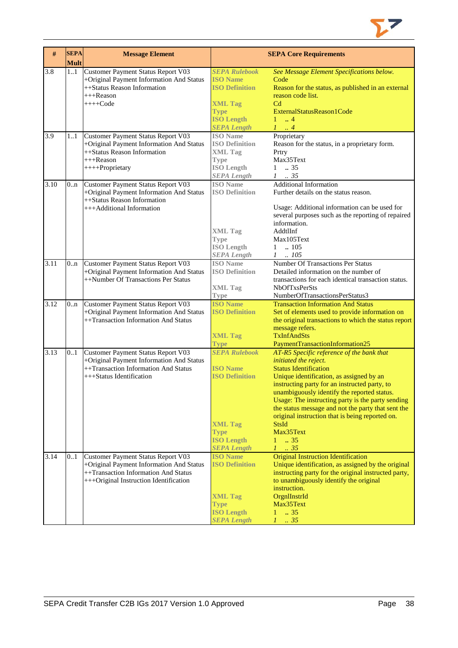

| #    | <b>SEPA</b><br><b>Mult</b> | <b>Message Element</b>                                                                                                                                           |                                                                                                                                              | <b>SEPA Core Requirements</b>                                                                                                                                                                                                                                                                                                                                                                                                                                        |
|------|----------------------------|------------------------------------------------------------------------------------------------------------------------------------------------------------------|----------------------------------------------------------------------------------------------------------------------------------------------|----------------------------------------------------------------------------------------------------------------------------------------------------------------------------------------------------------------------------------------------------------------------------------------------------------------------------------------------------------------------------------------------------------------------------------------------------------------------|
| 3.8  | 1.1                        | Customer Payment Status Report V03<br>+Original Payment Information And Status<br>++Status Reason Information<br>+++Reason<br>$+++Code$                          | <b>SEPA Rulebook</b><br><b>ISO Name</b><br><b>ISO Definition</b><br><b>XML Tag</b><br><b>Type</b><br><b>ISO Length</b><br><b>SEPA Length</b> | See Message Element Specifications below.<br>Code<br>Reason for the status, as published in an external<br>reason code list.<br>C <sub>d</sub><br>ExternalStatusReason1Code<br>$1 \dots 4$<br>$1 \ldots 4$                                                                                                                                                                                                                                                           |
| 3.9  | 11                         | Customer Payment Status Report V03<br>+Original Payment Information And Status<br>++Status Reason Information<br>$+++$ Reason<br>++++Proprietary                 | <b>ISO</b> Name<br><b>ISO Definition</b><br><b>XML Tag</b><br><b>Type</b><br><b>ISO Length</b><br><b>SEPA</b> Length                         | Proprietary<br>Reason for the status, in a proprietary form.<br>Prtry<br>Max35Text<br>$1 \t . 35$<br>$1 \t . 35$                                                                                                                                                                                                                                                                                                                                                     |
| 3.10 | 0n                         | Customer Payment Status Report V03<br>+Original Payment Information And Status<br>++Status Reason Information<br>+++Additional Information                       | <b>ISO</b> Name<br><b>ISO Definition</b><br><b>XML Tag</b><br><b>Type</b><br><b>ISO Length</b><br><b>SEPA</b> Length                         | <b>Additional Information</b><br>Further details on the status reason.<br>Usage: Additional information can be used for<br>several purposes such as the reporting of repaired<br>information.<br>AddtlInf<br>Max105Text<br>$1 \quad .105$<br>$1 \quad .105$                                                                                                                                                                                                          |
| 3.11 | 0 <sub>nn</sub>            | Customer Payment Status Report V03<br>+Original Payment Information And Status<br>++Number Of Transactions Per Status                                            | <b>ISO</b> Name<br><b>ISO Definition</b><br><b>XML Tag</b><br><b>Type</b>                                                                    | Number Of Transactions Per Status<br>Detailed information on the number of<br>transactions for each identical transaction status.<br><b>NbOfTxsPerSts</b><br>NumberOfTransactionsPerStatus3                                                                                                                                                                                                                                                                          |
| 3.12 | 0 <sub>nn</sub>            | Customer Payment Status Report V03<br>+Original Payment Information And Status<br>++Transaction Information And Status                                           | <b>ISO</b> Name<br><b>ISO Definition</b><br><b>XML Tag</b><br><b>Type</b>                                                                    | <b>Transaction Information And Status</b><br>Set of elements used to provide information on<br>the original transactions to which the status report<br>message refers.<br><b>TxInfAndSts</b><br>PaymentTransactionInformation25                                                                                                                                                                                                                                      |
| 3.13 | 0.1                        | Customer Payment Status Report V03<br>+Original Payment Information And Status<br>++Transaction Information And Status<br>+++Status Identification               | <b>SEPA Rulebook</b><br><b>ISO Name</b><br><b>ISO Definition</b><br><b>XML Tag</b><br><b>Type</b><br><b>ISO Length</b><br><b>SEPA Length</b> | AT-R5 Specific reference of the bank that<br>initiated the reject.<br><b>Status Identification</b><br>Unique identification, as assigned by an<br>instructing party for an instructed party, to<br>unambiguously identify the reported status.<br>Usage: The instructing party is the party sending<br>the status message and not the party that sent the<br>original instruction that is being reported on.<br><b>StsId</b><br>Max35Text<br>$1 \t . 35$<br>$1 \t35$ |
| 3.14 | 0.1                        | Customer Payment Status Report V03<br>+Original Payment Information And Status<br>++Transaction Information And Status<br>+++Original Instruction Identification | <b>ISO Name</b><br><b>ISO Definition</b><br><b>XML Tag</b><br><b>Type</b><br><b>ISO Length</b><br><b>SEPA Length</b>                         | <b>Original Instruction Identification</b><br>Unique identification, as assigned by the original<br>instructing party for the original instructed party,<br>to unambiguously identify the original<br>instruction.<br>OrgnIInstrId<br>Max35Text<br>$\overline{35}$<br>$\mathbf{1}$<br>$1-.35$                                                                                                                                                                        |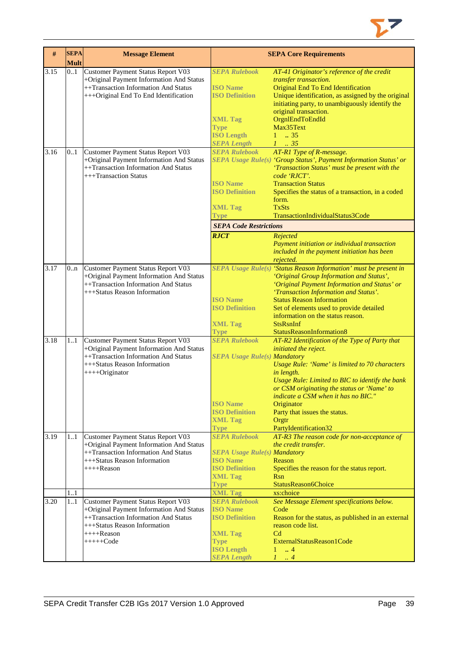

| #    | <b>SEPA</b><br><b>Mult</b> | <b>Message Element</b>                                                                                                                                                                |                                                                                                                                              | <b>SEPA Core Requirements</b>                                                                                                                                                                                                                                                                                                                                               |
|------|----------------------------|---------------------------------------------------------------------------------------------------------------------------------------------------------------------------------------|----------------------------------------------------------------------------------------------------------------------------------------------|-----------------------------------------------------------------------------------------------------------------------------------------------------------------------------------------------------------------------------------------------------------------------------------------------------------------------------------------------------------------------------|
| 3.15 | 0.1                        | Customer Payment Status Report V03<br>+Original Payment Information And Status<br>++Transaction Information And Status<br>+++Original End To End Identification                       | <b>SEPA Rulebook</b><br><b>ISO</b> Name<br><b>ISO Definition</b><br><b>XML Tag</b><br><b>Type</b><br><b>ISO Length</b><br><b>SEPA Length</b> | AT-41 Originator's reference of the credit<br>transfer transaction.<br>Original End To End Identification<br>Unique identification, as assigned by the original<br>initiating party, to unambiguously identify the<br>original transaction.<br>OrgnlEndToEndId<br>Max35Text<br>$1 \t . 35$<br>$1 \t 35$                                                                     |
| 3.16 | 0.1                        | <b>Customer Payment Status Report V03</b><br>+Original Payment Information And Status<br>++Transaction Information And Status<br>+++Transaction Status                                | <b>SEPA Rulebook</b><br><b>ISO Name</b><br><b>ISO Definition</b><br><b>XML Tag</b><br><b>Type</b>                                            | AT-R1 Type of R-message.<br>SEPA Usage Rule(s) 'Group Status', Payment Information Status' or<br>'Transaction Status' must be present with the<br>code 'RJCT'.<br><b>Transaction Status</b><br>Specifies the status of a transaction, in a coded<br>form.<br><b>TxSts</b><br>TransactionIndividualStatus3Code                                                               |
|      |                            |                                                                                                                                                                                       | <b>SEPA Code Restrictions</b>                                                                                                                |                                                                                                                                                                                                                                                                                                                                                                             |
|      |                            |                                                                                                                                                                                       | <b>RJCT</b>                                                                                                                                  | Rejected<br>Payment initiation or individual transaction<br>included in the payment initiation has been<br>rejected.                                                                                                                                                                                                                                                        |
| 3.17 | 0.n                        | Customer Payment Status Report V03<br>+Original Payment Information And Status<br>++Transaction Information And Status<br>+++Status Reason Information                                | <b>ISO Name</b><br><b>ISO Definition</b><br><b>XML Tag</b><br><b>Type</b>                                                                    | SEPA Usage Rule(s) 'Status Reason Information' must be present in<br>'Original Group Information and Status',<br>'Original Payment Information and Status' or<br>'Transaction Information and Status'.<br><b>Status Reason Information</b><br>Set of elements used to provide detailed<br>information on the status reason.<br><b>StsRsnInf</b><br>StatusReasonInformation8 |
| 3.18 | 11                         | Customer Payment Status Report V03<br>+Original Payment Information And Status<br>++Transaction Information And Status<br>+++Status Reason Information<br>$+++O$ riginator            | <b>SEPA Rulebook</b><br><b>SEPA Usage Rule(s) Mandatory</b><br><b>ISO Name</b><br><b>ISO Definition</b><br><b>XML Tag</b><br><b>Type</b>     | AT-R2 Identification of the Type of Party that<br>initiated the reject.<br>Usage Rule: 'Name' is limited to 70 characters<br>in length.<br>Usage Rule: Limited to BIC to identify the bank<br>or CSM originating the status or 'Name' to<br>indicate a CSM when it has no BIC."<br>Originator<br>Party that issues the status.<br>Orgtr<br>PartyIdentification32            |
| 3.19 | 11                         | Customer Payment Status Report V03<br>+Original Payment Information And Status<br>++Transaction Information And Status<br>+++Status Reason Information<br>$+++$ Reason                | <b>SEPA Rulebook</b><br><b>SEPA Usage Rule(s) Mandatory</b><br><b>ISO Name</b><br><b>ISO Definition</b><br><b>XML Tag</b><br><b>Type</b>     | AT-R3 The reason code for non-acceptance of<br>the credit transfer.<br>Reason<br>Specifies the reason for the status report.<br><b>Rsn</b><br>StatusReason6Choice                                                                                                                                                                                                           |
|      | 11                         |                                                                                                                                                                                       | <b>XML Tag</b>                                                                                                                               | xs:choice                                                                                                                                                                                                                                                                                                                                                                   |
| 3.20 | 11                         | Customer Payment Status Report V03<br>+Original Payment Information And Status<br>++Transaction Information And Status<br>+++Status Reason Information<br>$++++Reason$<br>$+++++Code$ | <b>SEPA Rulebook</b><br><b>ISO Name</b><br><b>ISO Definition</b><br><b>XML Tag</b><br><b>Type</b><br><b>ISO Length</b><br><b>SEPA Length</b> | See Message Element specifications below.<br>Code<br>Reason for the status, as published in an external<br>reason code list.<br>C <sub>d</sub><br>ExternalStatusReason1Code<br>$\overline{4}$<br>1<br>$\cdot$ 4                                                                                                                                                             |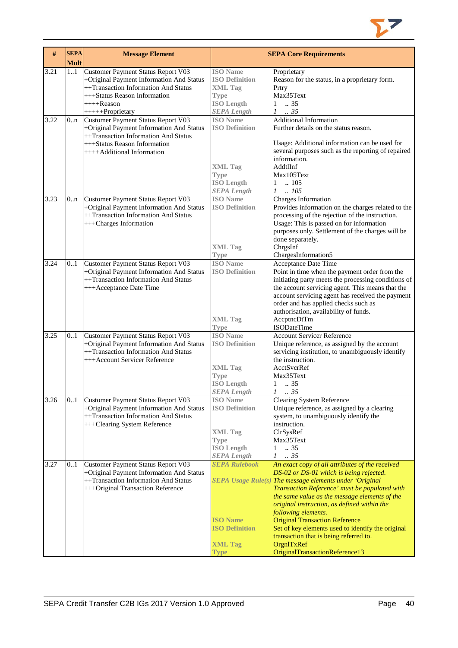

| #    | <b>SEPA</b><br><b>Mult</b> | <b>Message Element</b>                                                                                                                                                                   |                                                                                                                      | <b>SEPA Core Requirements</b>                                                                                                                                                                                                                                                                                                                                                                                                                                                                                         |
|------|----------------------------|------------------------------------------------------------------------------------------------------------------------------------------------------------------------------------------|----------------------------------------------------------------------------------------------------------------------|-----------------------------------------------------------------------------------------------------------------------------------------------------------------------------------------------------------------------------------------------------------------------------------------------------------------------------------------------------------------------------------------------------------------------------------------------------------------------------------------------------------------------|
| 3.21 | 11                         | Customer Payment Status Report V03<br>+Original Payment Information And Status<br>++Transaction Information And Status<br>+++Status Reason Information<br>++++Reason<br>+++++Proprietary | <b>ISO</b> Name<br><b>ISO Definition</b><br><b>XML Tag</b><br><b>Type</b><br><b>ISO Length</b><br><b>SEPA Length</b> | Proprietary<br>Reason for the status, in a proprietary form.<br>Prtry<br>Max35Text<br>$\therefore$ 35<br>$\mathbf{1}$<br>$\mathcal{I}$<br>$\therefore$ 35                                                                                                                                                                                                                                                                                                                                                             |
| 3.22 | 0.n                        | Customer Payment Status Report V03<br>+Original Payment Information And Status<br>++Transaction Information And Status<br>+++Status Reason Information<br>++++Additional Information     | <b>ISO</b> Name<br><b>ISO Definition</b><br><b>XML Tag</b><br><b>Type</b><br><b>ISO Length</b><br><b>SEPA Length</b> | <b>Additional Information</b><br>Further details on the status reason.<br>Usage: Additional information can be used for<br>several purposes such as the reporting of repaired<br>information.<br>AddtlInf<br>Max105Text<br>.105<br>$\mathbf{1}$<br>.105<br>$\mathcal{I}$                                                                                                                                                                                                                                              |
| 3.23 | 0.n                        | Customer Payment Status Report V03<br>+Original Payment Information And Status<br>++Transaction Information And Status<br>+++Charges Information                                         | <b>ISO</b> Name<br><b>ISO Definition</b><br><b>XML Tag</b><br><b>Type</b>                                            | Charges Information<br>Provides information on the charges related to the<br>processing of the rejection of the instruction.<br>Usage: This is passed on for information<br>purposes only. Settlement of the charges will be<br>done separately.<br>ChrgsInf<br>ChargesInformation5                                                                                                                                                                                                                                   |
| 3.24 | 0.1                        | Customer Payment Status Report V03<br>+Original Payment Information And Status<br>++Transaction Information And Status<br>+++Acceptance Date Time                                        | <b>ISO</b> Name<br><b>ISO Definition</b><br><b>XML Tag</b><br><b>Type</b>                                            | Acceptance Date Time<br>Point in time when the payment order from the<br>initiating party meets the processing conditions of<br>the account servicing agent. This means that the<br>account servicing agent has received the payment<br>order and has applied checks such as<br>authorisation, availability of funds.<br>AccptncDtTm<br><b>ISODateTime</b>                                                                                                                                                            |
| 3.25 | 0.1                        | Customer Payment Status Report V03<br>+Original Payment Information And Status<br>++Transaction Information And Status<br>+++Account Servicer Reference                                  | <b>ISO</b> Name<br><b>ISO Definition</b><br><b>XML Tag</b><br><b>Type</b><br><b>ISO</b> Length<br><b>SEPA Length</b> | <b>Account Servicer Reference</b><br>Unique reference, as assigned by the account<br>servicing institution, to unambiguously identify<br>the instruction.<br>AcctSvcrRef<br>Max35Text<br>$\mathbf{1}$<br>$\therefore$ 35<br>$\mathcal{I}$<br>$\frac{1}{2}$ 35                                                                                                                                                                                                                                                         |
| 3.26 | 0.1                        | Customer Payment Status Report V03<br>+Original Payment Information And Status<br>++Transaction Information And Status<br>+++Clearing System Reference                                   | <b>ISO</b> Name<br><b>ISO Definition</b><br><b>XML Tag</b><br><b>Type</b><br><b>ISO Length</b><br><b>SEPA Length</b> | <b>Clearing System Reference</b><br>Unique reference, as assigned by a clearing<br>system, to unambiguously identify the<br>instruction.<br>ClrSysRef<br>Max35Text<br>.35<br>$\mathbf{1}$<br>.35<br>$\mathcal{I}$                                                                                                                                                                                                                                                                                                     |
| 3.27 | 0.1                        | Customer Payment Status Report V03<br>+Original Payment Information And Status<br>++Transaction Information And Status<br>+++Original Transaction Reference                              | <b>SEPA Rulebook</b><br><b>ISO Name</b><br><b>ISO Definition</b><br><b>XML Tag</b><br>Type                           | An exact copy of all attributes of the received<br>DS-02 or DS-01 which is being rejected.<br>SEPA Usage Rule(s) The message elements under 'Original<br>Transaction Reference' must be populated with<br>the same value as the message elements of the<br>original instruction, as defined within the<br>following elements.<br><b>Original Transaction Reference</b><br>Set of key elements used to identify the original<br>transaction that is being referred to.<br>OrgnITxRef<br>OriginalTransactionReference13 |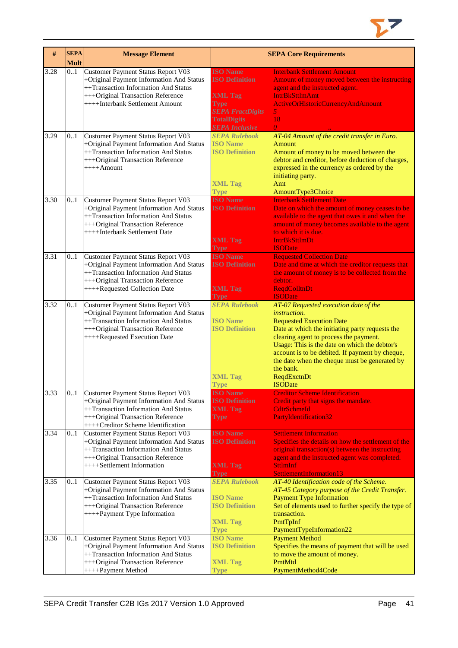

| #    | <b>SEPA</b><br><b>Mult</b> | <b>Message Element</b>                                                                                                                                                                              |                                                                                                                                                     | <b>SEPA Core Requirements</b>                                                                                                                                                                                                                                                                                                                                                                   |
|------|----------------------------|-----------------------------------------------------------------------------------------------------------------------------------------------------------------------------------------------------|-----------------------------------------------------------------------------------------------------------------------------------------------------|-------------------------------------------------------------------------------------------------------------------------------------------------------------------------------------------------------------------------------------------------------------------------------------------------------------------------------------------------------------------------------------------------|
| 3.28 | 0.1                        | Customer Payment Status Report V03<br>+Original Payment Information And Status<br>++Transaction Information And Status<br>+++Original Transaction Reference<br>++++Interbank Settlement Amount      | <b>ISO Name</b><br><b>ISO Definition</b><br><b>XML Tag</b><br><b>Type</b><br><b>SEPA FractDigits</b><br><b>TotalDigits</b><br><b>SEPA Inclusive</b> | <b>Interbank Settlement Amount</b><br>Amount of money moved between the instructing<br>agent and the instructed agent.<br><b>IntrBkSttlmAmt</b><br>ActiveOrHistoricCurrencyAndAmount<br>5 <sub>1</sub><br>18<br>$\theta$                                                                                                                                                                        |
| 3.29 | 0.1                        | <b>Customer Payment Status Report V03</b><br>+Original Payment Information And Status<br>++Transaction Information And Status<br>+++Original Transaction Reference<br>$++++$ Amount                 | <b>SEPA Rulebook</b><br><b>ISO Name</b><br><b>ISO Definition</b><br><b>XML Tag</b><br><b>Type</b>                                                   | AT-04 Amount of the credit transfer in Euro.<br>Amount<br>Amount of money to be moved between the<br>debtor and creditor, before deduction of charges,<br>expressed in the currency as ordered by the<br>initiating party.<br>Amt<br>AmountType3Choice                                                                                                                                          |
| 3.30 | 0.1                        | <b>Customer Payment Status Report V03</b><br>+Original Payment Information And Status<br>++Transaction Information And Status<br>+++Original Transaction Reference<br>++++Interbank Settlement Date | <b>ISO Name</b><br><b>ISO Definition</b><br><b>XML</b> Tag<br>Type                                                                                  | <b>Interbank Settlement Date</b><br>Date on which the amount of money ceases to be<br>available to the agent that owes it and when the<br>amount of money becomes available to the agent<br>to which it is due.<br><b>IntrBkSttImDt</b><br><b>ISODate</b>                                                                                                                                       |
| 3.31 | 0.1                        | <b>Customer Payment Status Report V03</b><br>+Original Payment Information And Status<br>++Transaction Information And Status<br>+++Original Transaction Reference<br>++++Requested Collection Date | <b>ISO Name</b><br><b>ISO Definition</b><br><b>XML Tag</b><br><b>Type</b>                                                                           | <b>Requested Collection Date</b><br>Date and time at which the creditor requests that<br>the amount of money is to be collected from the<br>debtor.<br><b>ReqdColltnDt</b><br><b>ISODate</b>                                                                                                                                                                                                    |
| 3.32 | 0.1                        | Customer Payment Status Report V03<br>+Original Payment Information And Status<br>++Transaction Information And Status<br>+++Original Transaction Reference<br>++++Requested Execution Date         | <b>SEPA Rulebook</b><br><b>ISO Name</b><br><b>ISO Definition</b><br><b>XML Tag</b><br>Type                                                          | AT-07 Requested execution date of the<br><i>instruction.</i><br><b>Requested Execution Date</b><br>Date at which the initiating party requests the<br>clearing agent to process the payment.<br>Usage: This is the date on which the debtor's<br>account is to be debited. If payment by cheque,<br>the date when the cheque must be generated by<br>the bank.<br>ReqdExctnDt<br><b>ISODate</b> |
| 3.33 | 0.1                        | Customer Payment Status Report V03<br>+Original Payment Information And Status<br>++Transaction Information And Status<br>+++Original Transaction Reference<br>++++Creditor Scheme Identification   | <b>ISO</b> Name<br><b>ISO Definition</b><br><b>XML Tag</b><br>Type                                                                                  | <b>Creditor Scheme Identification</b><br>Credit party that signs the mandate.<br><b>CdtrSchmeId</b><br>PartyIdentification32                                                                                                                                                                                                                                                                    |
| 3.34 | 0.1                        | Customer Payment Status Report V03<br>+Original Payment Information And Status<br>++Transaction Information And Status<br>+++Original Transaction Reference<br>++++Settlement Information           | <b>ISO Name</b><br><b>ISO Definition</b><br><b>XML Tag</b><br><b>Type</b>                                                                           | <b>Settlement Information</b><br>Specifies the details on how the settlement of the<br>original transaction(s) between the instructing<br>agent and the instructed agent was completed.<br><b>SttlmInf</b><br>SettlementInformation13                                                                                                                                                           |
| 3.35 | 01                         | Customer Payment Status Report V03<br>+Original Payment Information And Status<br>++Transaction Information And Status<br>+++Original Transaction Reference<br>++++Payment Type Information         | <b>SEPA Rulebook</b><br><b>ISO Name</b><br><b>ISO Definition</b><br><b>XML Tag</b><br><b>Type</b>                                                   | AT-40 Identification code of the Scheme.<br>AT-45 Category purpose of the Credit Transfer.<br><b>Payment Type Information</b><br>Set of elements used to further specify the type of<br>transaction.<br>PmtTpInf<br>PaymentTypeInformation22                                                                                                                                                    |
| 3.36 | 0.1                        | Customer Payment Status Report V03<br>+Original Payment Information And Status<br>++Transaction Information And Status<br>+++Original Transaction Reference<br>++++Payment Method                   | <b>ISO Name</b><br><b>ISO Definition</b><br><b>XML Tag</b><br>Type                                                                                  | <b>Payment Method</b><br>Specifies the means of payment that will be used<br>to move the amount of money.<br>PmtMtd<br>PaymentMethod4Code                                                                                                                                                                                                                                                       |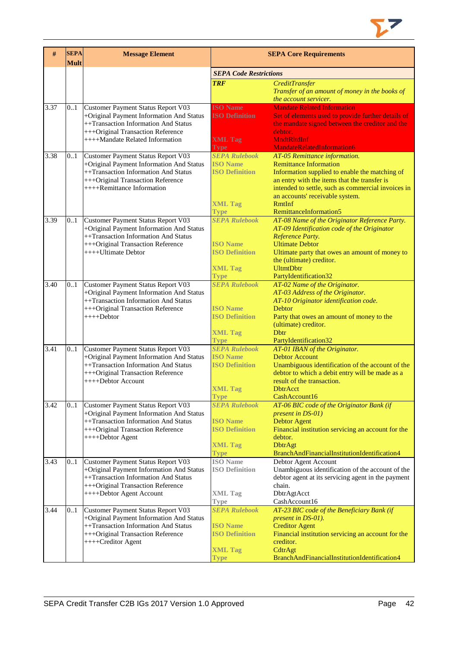

| #    | <b>SEPA</b><br><b>Mult</b> | <b>Message Element</b>                                                                                                                                                                         | <b>SEPA Core Requirements</b>                                                                     |                                                                                                                                                                                                                                                                                                      |  |  |
|------|----------------------------|------------------------------------------------------------------------------------------------------------------------------------------------------------------------------------------------|---------------------------------------------------------------------------------------------------|------------------------------------------------------------------------------------------------------------------------------------------------------------------------------------------------------------------------------------------------------------------------------------------------------|--|--|
|      |                            |                                                                                                                                                                                                | <b>SEPA Code Restrictions</b>                                                                     |                                                                                                                                                                                                                                                                                                      |  |  |
|      |                            |                                                                                                                                                                                                | <b>TRF</b>                                                                                        | <b>CreditTransfer</b><br>Transfer of an amount of money in the books of<br>the account servicer.                                                                                                                                                                                                     |  |  |
| 3.37 | 0.1                        | Customer Payment Status Report V03<br>+Original Payment Information And Status<br>++Transaction Information And Status<br>+++Original Transaction Reference<br>++++Mandate Related Information | <b>ISO Name</b><br><b>ISO Definition</b><br><b>XML Tag</b><br>Type                                | <b>Mandate Related Information</b><br>Set of elements used to provide further details of<br>the mandate signed between the creditor and the<br>debtor.<br><b>MndtRltdInf</b><br>MandateRelatedInformation6                                                                                           |  |  |
| 3.38 | 01                         | Customer Payment Status Report V03<br>+Original Payment Information And Status<br>++Transaction Information And Status<br>+++Original Transaction Reference<br>++++Remittance Information      | <b>SEPA Rulebook</b><br><b>ISO Name</b><br><b>ISO Definition</b><br><b>XML Tag</b><br><b>Type</b> | AT-05 Remittance information.<br><b>Remittance Information</b><br>Information supplied to enable the matching of<br>an entry with the items that the transfer is<br>intended to settle, such as commercial invoices in<br>an accounts' receivable system.<br><b>RmtInf</b><br>RemittanceInformation5 |  |  |
| 3.39 | 0.1                        | Customer Payment Status Report V03<br>+Original Payment Information And Status<br>++Transaction Information And Status<br>+++Original Transaction Reference<br>++++Ultimate Debtor             | <b>SEPA Rulebook</b><br><b>ISO</b> Name<br><b>ISO Definition</b><br><b>XML Tag</b><br><b>Type</b> | AT-08 Name of the Originator Reference Party.<br>AT-09 Identification code of the Originator<br>Reference Party.<br><b>Ultimate Debtor</b><br>Ultimate party that owes an amount of money to<br>the (ultimate) creditor.<br><b>UltmtDbtr</b><br>PartyIdentification32                                |  |  |
| 3.40 | 0.1                        | Customer Payment Status Report V03<br>+Original Payment Information And Status<br>++Transaction Information And Status<br>+++Original Transaction Reference<br>$+++$ Debtor                    | <b>SEPA Rulebook</b><br><b>ISO Name</b><br><b>ISO Definition</b><br><b>XML Tag</b><br><b>Type</b> | AT-02 Name of the Originator.<br>AT-03 Address of the Originator.<br>AT-10 Originator identification code.<br>Debtor<br>Party that owes an amount of money to the<br>(ultimate) creditor.<br>Dbtr<br>PartyIdentification32                                                                           |  |  |
| 3.41 | 0.1                        | Customer Payment Status Report V03<br>+Original Payment Information And Status<br>++Transaction Information And Status<br>+++Original Transaction Reference<br>++++Debtor Account              | <b>SEPA Rulebook</b><br><b>ISO Name</b><br><b>ISO Definition</b><br><b>XML Tag</b><br><b>Type</b> | AT-01 IBAN of the Originator.<br><b>Debtor Account</b><br>Unambiguous identification of the account of the<br>debtor to which a debit entry will be made as a<br>result of the transaction.<br>DbtrAcct<br>CashAccount16                                                                             |  |  |
| 3.42 | 0.1                        | Customer Payment Status Report V03<br>+Original Payment Information And Status<br>++Transaction Information And Status<br>+++Original Transaction Reference<br>++++Debtor Agent                | <b>SEPA Rulebook</b><br><b>ISO</b> Name<br><b>ISO Definition</b><br><b>XML Tag</b><br><b>Type</b> | AT-06 BIC code of the Originator Bank (if<br>present in DS-01)<br><b>Debtor Agent</b><br>Financial institution servicing an account for the<br>debtor.<br><b>DbtrAgt</b><br>BranchAndFinancialInstitutionIdentification4                                                                             |  |  |
| 3.43 | 0.1                        | Customer Payment Status Report V03<br>+Original Payment Information And Status<br>++Transaction Information And Status<br>+++Original Transaction Reference<br>++++Debtor Agent Account        | <b>ISO</b> Name<br><b>ISO Definition</b><br><b>XML Tag</b><br>Type                                | Debtor Agent Account<br>Unambiguous identification of the account of the<br>debtor agent at its servicing agent in the payment<br>chain.<br>DbtrAgtAcct<br>CashAccount16                                                                                                                             |  |  |
| 3.44 | 01                         | Customer Payment Status Report V03<br>+Original Payment Information And Status<br>++Transaction Information And Status<br>+++Original Transaction Reference<br>++++Creditor Agent              | <b>SEPA Rulebook</b><br><b>ISO Name</b><br><b>ISO Definition</b><br><b>XML Tag</b><br>Type        | AT-23 BIC code of the Beneficiary Bank (if<br>present in DS-01).<br><b>Creditor Agent</b><br>Financial institution servicing an account for the<br>creditor.<br>CdtrAgt<br>BranchAndFinancialInstitutionIdentification4                                                                              |  |  |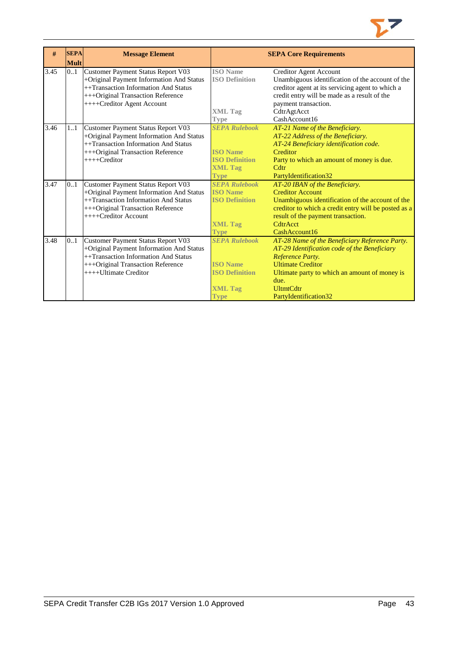

| #    | <b>SEPA</b><br><b>Mult</b> | <b>Message Element</b>                                                                                                                                                                    |                                                                                                   | <b>SEPA Core Requirements</b>                                                                                                                                                                                                                        |
|------|----------------------------|-------------------------------------------------------------------------------------------------------------------------------------------------------------------------------------------|---------------------------------------------------------------------------------------------------|------------------------------------------------------------------------------------------------------------------------------------------------------------------------------------------------------------------------------------------------------|
| 3.45 | 0.1                        | Customer Payment Status Report V03<br>+Original Payment Information And Status<br>++Transaction Information And Status<br>+++Original Transaction Reference<br>++++Creditor Agent Account | <b>ISO</b> Name<br><b>ISO Definition</b>                                                          | Creditor Agent Account<br>Unambiguous identification of the account of the<br>creditor agent at its servicing agent to which a<br>credit entry will be made as a result of the<br>payment transaction.                                               |
|      |                            |                                                                                                                                                                                           | <b>XML Tag</b><br><b>Type</b>                                                                     | CdtrAgtAcct<br>CashAccount16                                                                                                                                                                                                                         |
| 3.46 | 11                         | Customer Payment Status Report V03<br>+Original Payment Information And Status<br>++Transaction Information And Status<br>+++Original Transaction Reference<br>$++++Creditor$             | <b>SEPA Rulebook</b><br><b>ISO Name</b><br><b>ISO Definition</b><br><b>XML Tag</b><br><b>Type</b> | AT-21 Name of the Beneficiary.<br>AT-22 Address of the Beneficiary.<br>AT-24 Beneficiary identification code.<br>Creditor<br>Party to which an amount of money is due.<br>C <sub>dt</sub><br>PartyIdentification32                                   |
| 3.47 | 01                         | Customer Payment Status Report V03<br>+Original Payment Information And Status<br>++Transaction Information And Status<br>+++Original Transaction Reference<br>++++Creditor Account       | <b>SEPA Rulebook</b><br><b>ISO Name</b><br><b>ISO Definition</b><br><b>XML Tag</b><br><b>Type</b> | AT-20 IBAN of the Beneficiary.<br><b>Creditor Account</b><br>Unambiguous identification of the account of the<br>creditor to which a credit entry will be posted as a<br>result of the payment transaction.<br>CdtrAcct<br>CashAccount16             |
| 3.48 | 0.1                        | Customer Payment Status Report V03<br>+Original Payment Information And Status<br>++Transaction Information And Status<br>+++Original Transaction Reference<br>++++Ultimate Creditor      | <b>SEPA Rulebook</b><br><b>ISO Name</b><br><b>ISO Definition</b><br><b>XML Tag</b><br><b>Type</b> | AT-28 Name of the Beneficiary Reference Party.<br>AT-29 Identification code of the Beneficiary<br>Reference Party.<br><b>Ultimate Creditor</b><br>Ultimate party to which an amount of money is<br>due.<br><b>UltmtCdtr</b><br>PartyIdentification32 |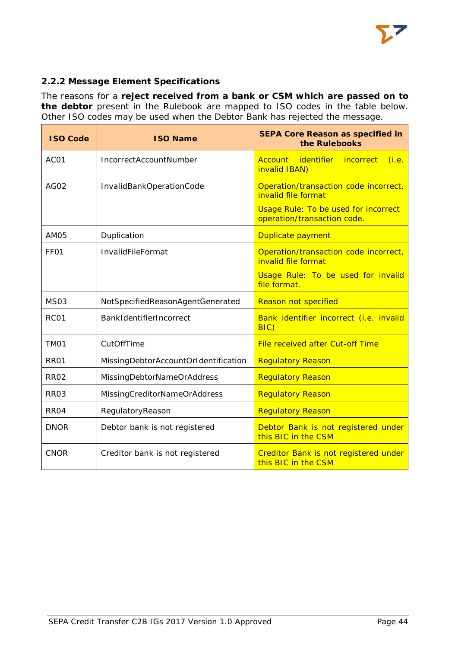

# <span id="page-44-0"></span>**2.2.2 Message Element Specifications**

The reasons for a **reject received from a bank or CSM which are passed on to the debtor** present in the Rulebook are mapped to ISO codes in the table below. Other ISO codes may be used when the Debtor Bank has rejected the message.

| <b>ISO Code</b>  | <b>ISO Name</b>                      | <b>SEPA Core Reason as specified in</b><br>the Rulebooks                                                                                   |
|------------------|--------------------------------------|--------------------------------------------------------------------------------------------------------------------------------------------|
| ACO1             | IncorrectAccountNumber               | Account identifier<br>incorrect<br>(i.e.<br>invalid IBAN)                                                                                  |
| <b>AG02</b>      | InvalidBankOperationCode             | Operation/transaction code incorrect,<br>invalid file format<br><b>Usage Rule: To be used for incorrect</b><br>operation/transaction code. |
| AM05             | Duplication                          | Duplicate payment                                                                                                                          |
| FF <sub>01</sub> | InvalidFileFormat                    | Operation/transaction code incorrect,<br>invalid file format                                                                               |
|                  |                                      | Usage Rule: To be used for invalid<br>file format.                                                                                         |
| <b>MS03</b>      | NotSpecifiedReasonAgentGenerated     | <b>Reason not specified</b>                                                                                                                |
| RC01             | BankIdentifierIncorrect              | Bank identifier incorrect (i.e. invalid<br>BIC                                                                                             |
| TM <sub>01</sub> | CutOffTime                           | File received after Cut-off Time                                                                                                           |
| <b>RR01</b>      | MissingDebtorAccountOrIdentification | <b>Regulatory Reason</b>                                                                                                                   |
| <b>RR02</b>      | MissingDebtorNameOrAddress           | <b>Regulatory Reason</b>                                                                                                                   |
| <b>RR03</b>      | MissingCreditorNameOrAddress         | <b>Regulatory Reason</b>                                                                                                                   |
| RR <sub>04</sub> | RegulatoryReason                     | <b>Regulatory Reason</b>                                                                                                                   |
| <b>DNOR</b>      | Debtor bank is not registered        | Debtor Bank is not registered under<br>this BIC in the CSM                                                                                 |
| <b>CNOR</b>      | Creditor bank is not registered      | Creditor Bank is not registered under<br>this BIC in the CSM                                                                               |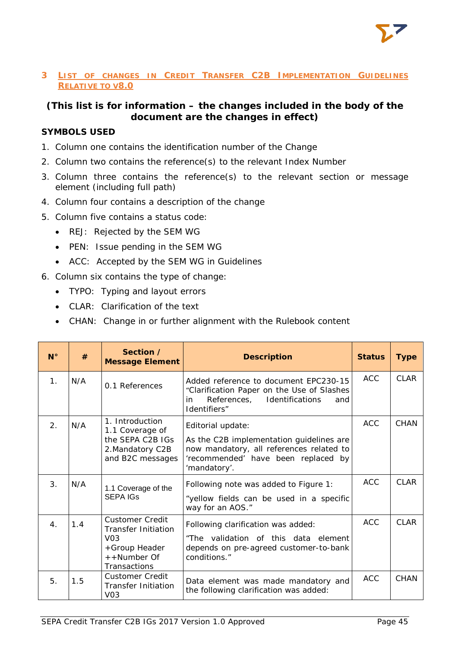# <span id="page-45-0"></span>**3 LIST OF CHANGES IN CREDIT TRANSFER C2B IMPLEMENTATION GUIDELINES RELATIVE TO V8.0**

# **(This list is for information – the changes included in the body of the document are the changes in effect)**

# **SYMBOLS USED**

- 1. Column one contains the identification number of the Change
- 2. Column two contains the reference(s) to the relevant Index Number
- 3. Column three contains the reference(s) to the relevant section or message element (including full path)
- 4. Column four contains a description of the change
- 5. Column five contains a status code:
	- REJ: Rejected by the SEM WG
	- PEN: Issue pending in the SEM WG
	- ACC: Accepted by the SEM WG in Guidelines
- 6. Column six contains the type of change:
	- TYPO: Typing and layout errors
	- CLAR: Clarification of the text
	- CHAN: Change in or further alignment with the Rulebook content

| $N^{\circ}$    | #   | Section /<br><b>Message Element</b>                                                                                      | <b>Description</b>                                                                                                                                               | <b>Status</b> | <b>Type</b> |
|----------------|-----|--------------------------------------------------------------------------------------------------------------------------|------------------------------------------------------------------------------------------------------------------------------------------------------------------|---------------|-------------|
| 1 <sub>1</sub> | N/A | 0.1 References                                                                                                           | Added reference to document EPC230-15<br>"Clarification Paper on the Use of Slashes<br>in<br>References, Identifications<br>and<br>Identifiers"                  | <b>ACC</b>    | CI AR       |
| 2 <sub>1</sub> | N/A | 1. Introduction<br>1.1 Coverage of<br>the SEPA C2B IGs<br>2. Mandatory C2B<br>and B2C messages                           | Editorial update:<br>As the C2B implementation guidelines are<br>now mandatory, all references related to<br>'recommended' have been replaced by<br>'mandatory'. | <b>ACC</b>    | <b>CHAN</b> |
| 3 <sub>1</sub> | N/A | 1.1 Coverage of the<br><b>SEPA IGS</b>                                                                                   | Following note was added to Figure 1:<br>"yellow fields can be used in a specific<br>way for an AOS."                                                            | ACC.          | CI AR       |
| $\mathbf{4}$ . | 1.4 | <b>Customer Credit</b><br><b>Transfer Initiation</b><br>V <sub>0</sub> 3<br>+Group Header<br>++Number Of<br>Transactions | Following clarification was added:<br>"The validation of this data element<br>depends on pre-agreed customer-to-bank<br>conditions."                             | <b>ACC</b>    | CI AR       |
| 5.             | 1.5 | <b>Customer Credit</b><br><b>Transfer Initiation</b><br>V <sub>03</sub>                                                  | Data element was made mandatory and<br>the following clarification was added:                                                                                    | <b>ACC</b>    | CHAN        |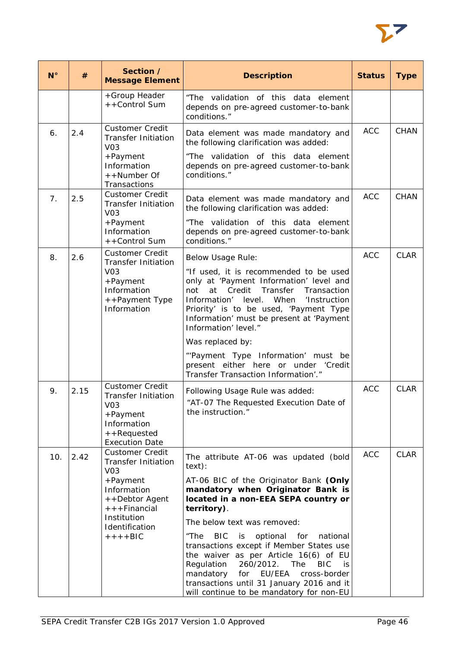

| $N^{\circ}$    | #    | Section /<br><b>Message Element</b>                                                                                                                                                  | <b>Description</b>                                                                                                                                                                                                                                                                                                                                                                                                                                                                                                                                               | <b>Status</b> | <b>Type</b> |
|----------------|------|--------------------------------------------------------------------------------------------------------------------------------------------------------------------------------------|------------------------------------------------------------------------------------------------------------------------------------------------------------------------------------------------------------------------------------------------------------------------------------------------------------------------------------------------------------------------------------------------------------------------------------------------------------------------------------------------------------------------------------------------------------------|---------------|-------------|
|                |      | +Group Header<br>++Control Sum                                                                                                                                                       | "The validation of this data element<br>depends on pre-agreed customer-to-bank<br>conditions."                                                                                                                                                                                                                                                                                                                                                                                                                                                                   |               |             |
| 6.             | 2.4  | <b>Customer Credit</b><br><b>Transfer Initiation</b><br>V <sub>03</sub>                                                                                                              | Data element was made mandatory and<br>the following clarification was added:<br>"The validation of this data element                                                                                                                                                                                                                                                                                                                                                                                                                                            | <b>ACC</b>    | <b>CHAN</b> |
|                |      | +Payment<br>Information<br>++Number Of<br>Transactions                                                                                                                               | depends on pre-agreed customer-to-bank<br>conditions."                                                                                                                                                                                                                                                                                                                                                                                                                                                                                                           |               |             |
| 7 <sub>1</sub> | 2.5  | <b>Customer Credit</b><br><b>Transfer Initiation</b><br>V <sub>03</sub>                                                                                                              | Data element was made mandatory and<br>the following clarification was added:                                                                                                                                                                                                                                                                                                                                                                                                                                                                                    | <b>ACC</b>    | <b>CHAN</b> |
|                |      | +Payment<br>Information<br>++Control Sum                                                                                                                                             | "The validation of this data element<br>depends on pre-agreed customer-to-bank<br>conditions."                                                                                                                                                                                                                                                                                                                                                                                                                                                                   |               |             |
| 8.             | 2.6  | <b>Customer Credit</b><br><b>Transfer Initiation</b><br>V <sub>03</sub><br>+Payment<br>Information<br>++Payment Type<br>Information                                                  | <b>Below Usage Rule:</b><br>"If used, it is recommended to be used<br>only at 'Payment Information' level and<br>at<br>Credit<br>Transfer<br>not<br>Transaction<br>Information' level. When<br>'Instruction<br>Priority' is to be used, 'Payment Type<br>Information' must be present at 'Payment<br>Information' level."                                                                                                                                                                                                                                        | <b>ACC</b>    | <b>CLAR</b> |
|                |      |                                                                                                                                                                                      | Was replaced by:<br>"'Payment Type Information' must be<br>present either here or under 'Credit<br>Transfer Transaction Information'."                                                                                                                                                                                                                                                                                                                                                                                                                           |               |             |
| 9.             | 2.15 | <b>Customer Credit</b><br><b>Transfer Initiation</b><br>V <sub>03</sub><br>+Payment<br>Information<br>++Requested<br><b>Execution Date</b>                                           | Following Usage Rule was added:<br>"AT-07 The Requested Execution Date of<br>the instruction."                                                                                                                                                                                                                                                                                                                                                                                                                                                                   | <b>ACC</b>    | <b>CLAR</b> |
| 10.            | 2.42 | <b>Customer Credit</b><br><b>Transfer Initiation</b><br>V <sub>03</sub><br>+Payment<br>Information<br>++Debtor Agent<br>+ + + Financial<br>Institution<br>Identification<br>$+++BIC$ | The attribute AT-06 was updated (bold<br>text):<br>AT-06 BIC of the Originator Bank (Only<br>mandatory when Originator Bank is<br>located in a non-EEA SEPA country or<br>territory).<br>The below text was removed:<br><b>BIC</b><br>optional for<br>"The<br>is i<br>national<br>transactions except if Member States use<br>the waiver as per Article 16(6) of EU<br>Regulation<br>260/2012.<br><b>BIC</b><br>The<br>is<br>EU/EEA<br>cross-border<br>mandatory<br>for<br>transactions until 31 January 2016 and it<br>will continue to be mandatory for non-EU | <b>ACC</b>    | <b>CLAR</b> |